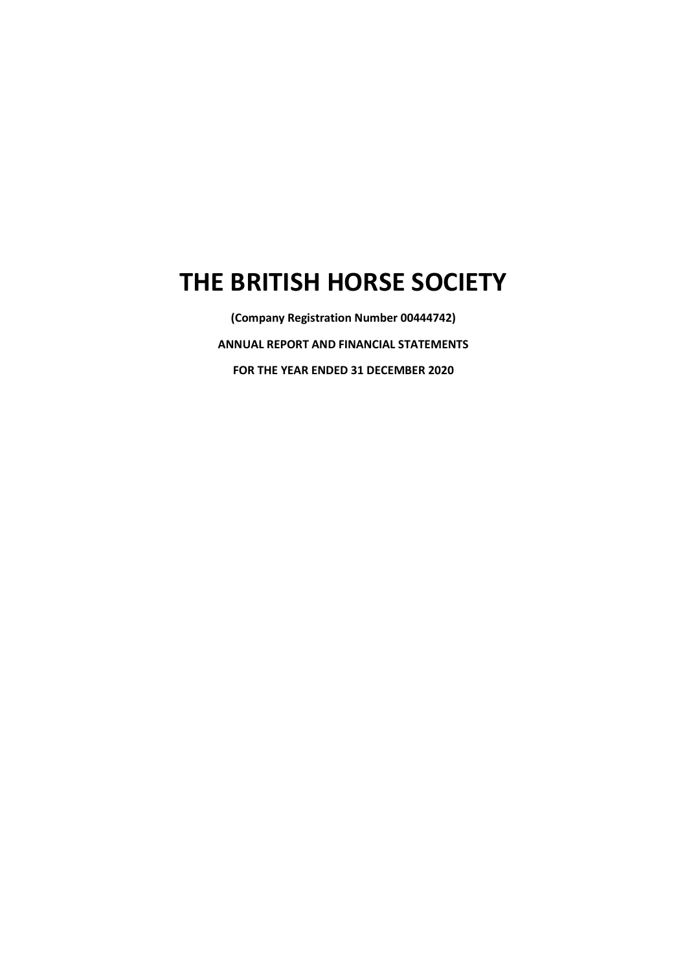# THE BRITISH HORSE SOCIETY

(Company Registration Number 00444742) ANNUAL REPORT AND FINANCIAL STATEMENTS FOR THE YEAR ENDED 31 DECEMBER 2020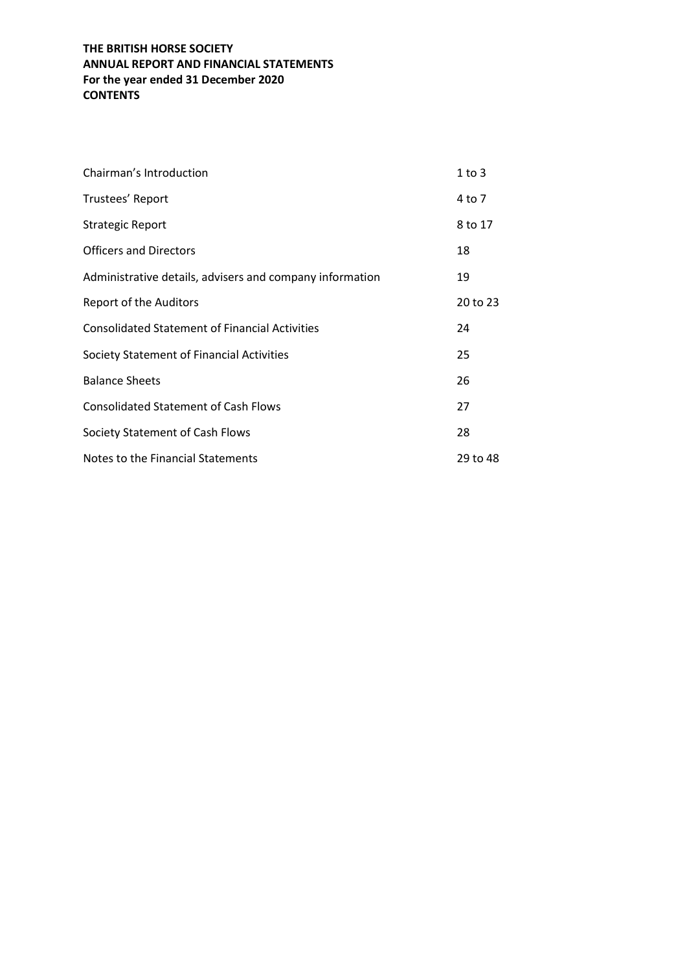## THE BRITISH HORSE SOCIETY ANNUAL REPORT AND FINANCIAL STATEMENTS For the year ended 31 December 2020 **CONTENTS**

| Chairman's Introduction                                  | $1$ to $3$ |
|----------------------------------------------------------|------------|
| Trustees' Report                                         | 4 to 7     |
| Strategic Report                                         | 8 to 17    |
| <b>Officers and Directors</b>                            | 18         |
| Administrative details, advisers and company information | 19         |
| Report of the Auditors                                   | 20 to 23   |
| <b>Consolidated Statement of Financial Activities</b>    | 24         |
| Society Statement of Financial Activities                | 25         |
| <b>Balance Sheets</b>                                    | 26         |
| <b>Consolidated Statement of Cash Flows</b>              | 27         |
| Society Statement of Cash Flows                          | 28         |
| Notes to the Financial Statements                        | 29 to 48   |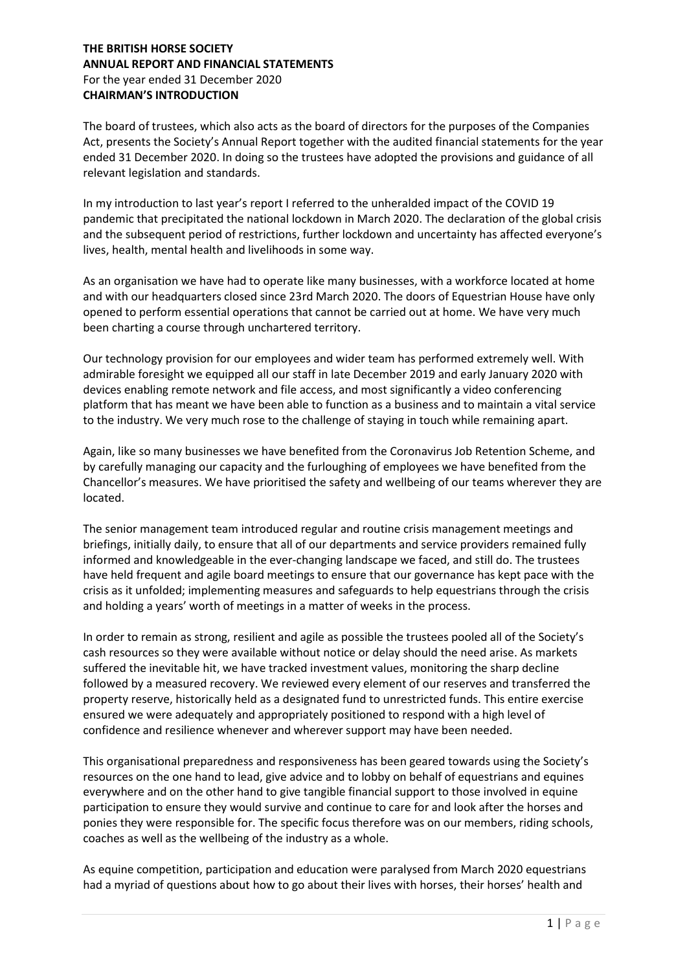## THE BRITISH HORSE SOCIETY ANNUAL REPORT AND FINANCIAL STATEMENTS For the year ended 31 December 2020 CHAIRMAN'S INTRODUCTION

The board of trustees, which also acts as the board of directors for the purposes of the Companies Act, presents the Society's Annual Report together with the audited financial statements for the year ended 31 December 2020. In doing so the trustees have adopted the provisions and guidance of all relevant legislation and standards.

In my introduction to last year's report I referred to the unheralded impact of the COVID 19 pandemic that precipitated the national lockdown in March 2020. The declaration of the global crisis and the subsequent period of restrictions, further lockdown and uncertainty has affected everyone's lives, health, mental health and livelihoods in some way.

As an organisation we have had to operate like many businesses, with a workforce located at home and with our headquarters closed since 23rd March 2020. The doors of Equestrian House have only opened to perform essential operations that cannot be carried out at home. We have very much been charting a course through unchartered territory.

Our technology provision for our employees and wider team has performed extremely well. With admirable foresight we equipped all our staff in late December 2019 and early January 2020 with devices enabling remote network and file access, and most significantly a video conferencing platform that has meant we have been able to function as a business and to maintain a vital service to the industry. We very much rose to the challenge of staying in touch while remaining apart.

Again, like so many businesses we have benefited from the Coronavirus Job Retention Scheme, and by carefully managing our capacity and the furloughing of employees we have benefited from the Chancellor's measures. We have prioritised the safety and wellbeing of our teams wherever they are located.

The senior management team introduced regular and routine crisis management meetings and briefings, initially daily, to ensure that all of our departments and service providers remained fully informed and knowledgeable in the ever-changing landscape we faced, and still do. The trustees have held frequent and agile board meetings to ensure that our governance has kept pace with the crisis as it unfolded; implementing measures and safeguards to help equestrians through the crisis and holding a years' worth of meetings in a matter of weeks in the process.

In order to remain as strong, resilient and agile as possible the trustees pooled all of the Society's cash resources so they were available without notice or delay should the need arise. As markets suffered the inevitable hit, we have tracked investment values, monitoring the sharp decline followed by a measured recovery. We reviewed every element of our reserves and transferred the property reserve, historically held as a designated fund to unrestricted funds. This entire exercise ensured we were adequately and appropriately positioned to respond with a high level of confidence and resilience whenever and wherever support may have been needed.

This organisational preparedness and responsiveness has been geared towards using the Society's resources on the one hand to lead, give advice and to lobby on behalf of equestrians and equines everywhere and on the other hand to give tangible financial support to those involved in equine participation to ensure they would survive and continue to care for and look after the horses and ponies they were responsible for. The specific focus therefore was on our members, riding schools, coaches as well as the wellbeing of the industry as a whole.

As equine competition, participation and education were paralysed from March 2020 equestrians had a myriad of questions about how to go about their lives with horses, their horses' health and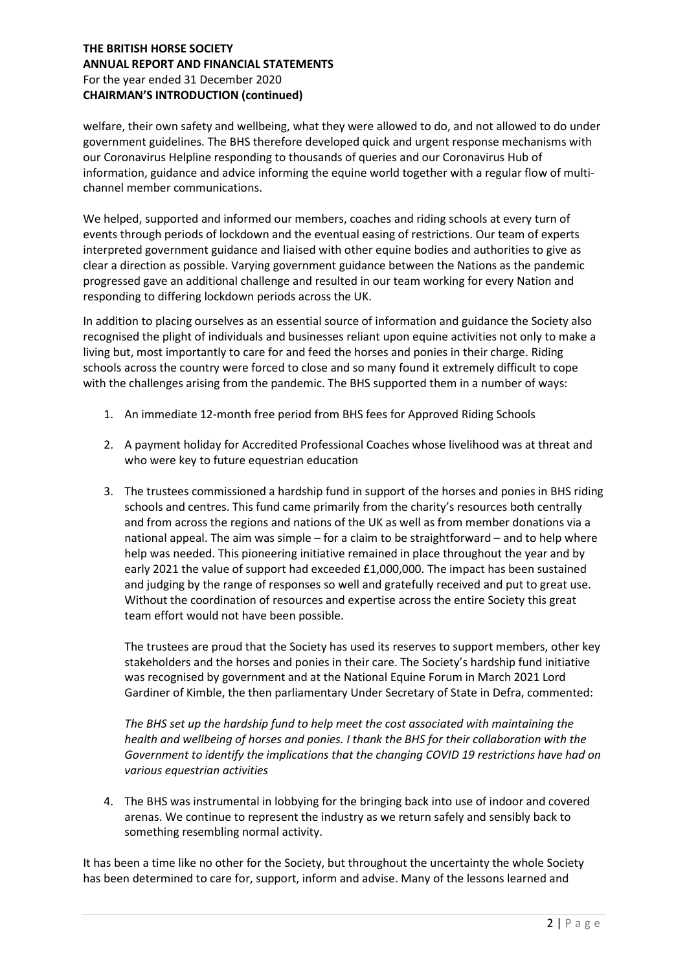## THE BRITISH HORSE SOCIETY ANNUAL REPORT AND FINANCIAL STATEMENTS For the year ended 31 December 2020 CHAIRMAN'S INTRODUCTION (continued)

welfare, their own safety and wellbeing, what they were allowed to do, and not allowed to do under government guidelines. The BHS therefore developed quick and urgent response mechanisms with our Coronavirus Helpline responding to thousands of queries and our Coronavirus Hub of information, guidance and advice informing the equine world together with a regular flow of multichannel member communications.

We helped, supported and informed our members, coaches and riding schools at every turn of events through periods of lockdown and the eventual easing of restrictions. Our team of experts interpreted government guidance and liaised with other equine bodies and authorities to give as clear a direction as possible. Varying government guidance between the Nations as the pandemic progressed gave an additional challenge and resulted in our team working for every Nation and responding to differing lockdown periods across the UK.

In addition to placing ourselves as an essential source of information and guidance the Society also recognised the plight of individuals and businesses reliant upon equine activities not only to make a living but, most importantly to care for and feed the horses and ponies in their charge. Riding schools across the country were forced to close and so many found it extremely difficult to cope with the challenges arising from the pandemic. The BHS supported them in a number of ways:

- 1. An immediate 12-month free period from BHS fees for Approved Riding Schools
- 2. A payment holiday for Accredited Professional Coaches whose livelihood was at threat and who were key to future equestrian education
- 3. The trustees commissioned a hardship fund in support of the horses and ponies in BHS riding schools and centres. This fund came primarily from the charity's resources both centrally and from across the regions and nations of the UK as well as from member donations via a national appeal. The aim was simple – for a claim to be straightforward – and to help where help was needed. This pioneering initiative remained in place throughout the year and by early 2021 the value of support had exceeded £1,000,000. The impact has been sustained and judging by the range of responses so well and gratefully received and put to great use. Without the coordination of resources and expertise across the entire Society this great team effort would not have been possible.

The trustees are proud that the Society has used its reserves to support members, other key stakeholders and the horses and ponies in their care. The Society's hardship fund initiative was recognised by government and at the National Equine Forum in March 2021 Lord Gardiner of Kimble, the then parliamentary Under Secretary of State in Defra, commented:

The BHS set up the hardship fund to help meet the cost associated with maintaining the health and wellbeing of horses and ponies. I thank the BHS for their collaboration with the Government to identify the implications that the changing COVID 19 restrictions have had on various equestrian activities

4. The BHS was instrumental in lobbying for the bringing back into use of indoor and covered arenas. We continue to represent the industry as we return safely and sensibly back to something resembling normal activity.

It has been a time like no other for the Society, but throughout the uncertainty the whole Society has been determined to care for, support, inform and advise. Many of the lessons learned and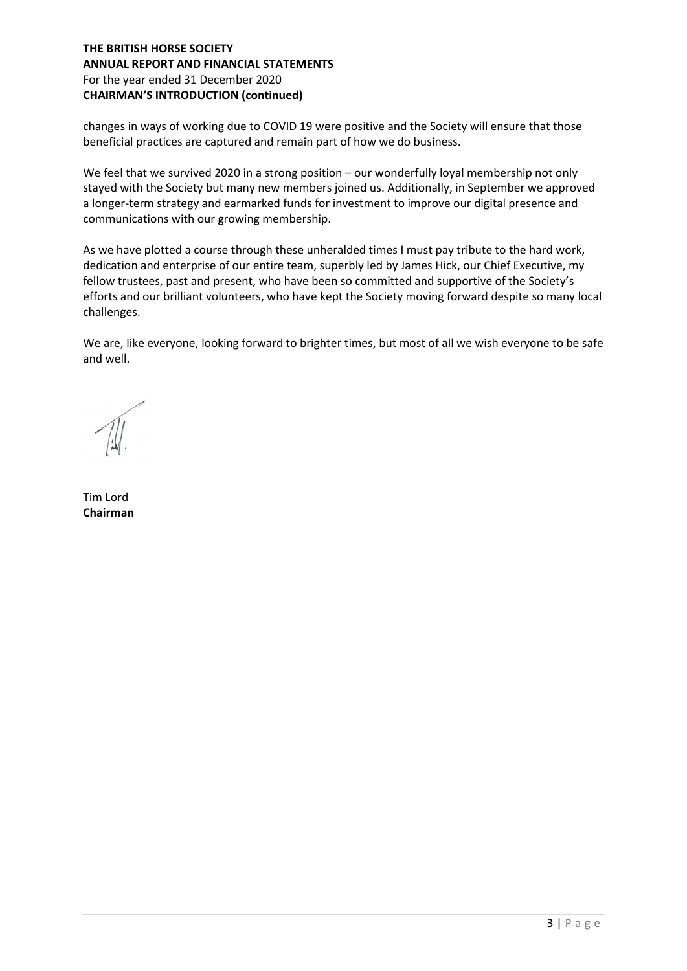## THE BRITISH HORSE SOCIETY ANNUAL REPORT AND FINANCIAL STATEMENTS For the year ended 31 December 2020 CHAIRMAN'S INTRODUCTION (continued)

changes in ways of working due to COVID 19 were positive and the Society will ensure that those beneficial practices are captured and remain part of how we do business.

We feel that we survived 2020 in a strong position – our wonderfully loyal membership not only stayed with the Society but many new members joined us. Additionally, in September we approved a longer-term strategy and earmarked funds for investment to improve our digital presence and communications with our growing membership.

As we have plotted a course through these unheralded times I must pay tribute to the hard work, dedication and enterprise of our entire team, superbly led by James Hick, our Chief Executive, my fellow trustees, past and present, who have been so committed and supportive of the Society's efforts and our brilliant volunteers, who have kept the Society moving forward despite so many local challenges.

We are, like everyone, looking forward to brighter times, but most of all we wish everyone to be safe and well.

Tim Lord Chairman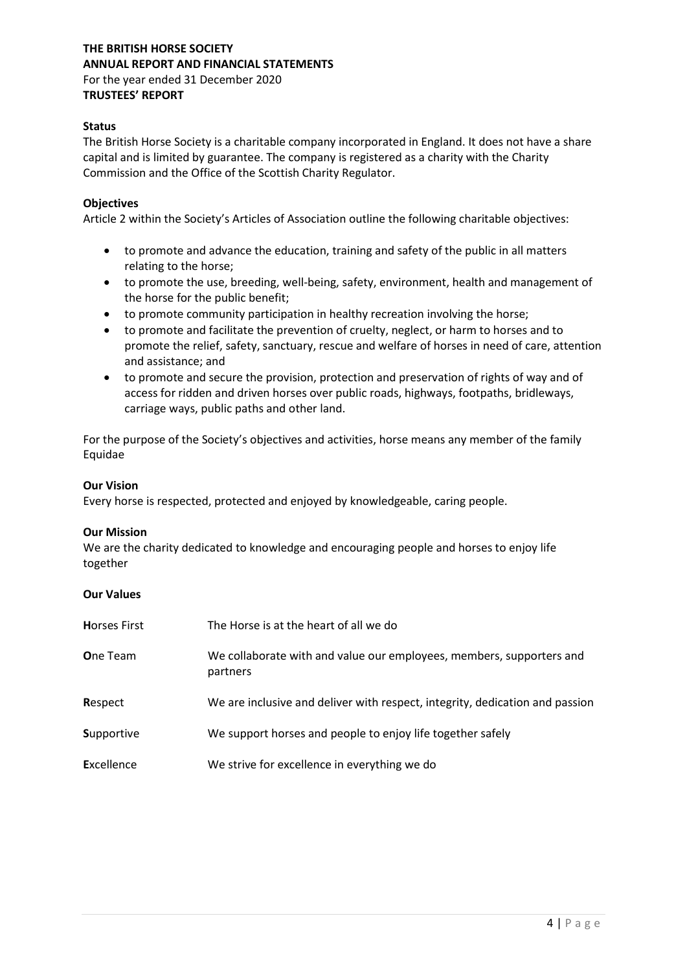# THE BRITISH HORSE SOCIETY ANNUAL REPORT AND FINANCIAL STATEMENTS

For the year ended 31 December 2020 TRUSTEES' REPORT

## **Status**

The British Horse Society is a charitable company incorporated in England. It does not have a share capital and is limited by guarantee. The company is registered as a charity with the Charity Commission and the Office of the Scottish Charity Regulator.

## **Objectives**

Article 2 within the Society's Articles of Association outline the following charitable objectives:

- to promote and advance the education, training and safety of the public in all matters relating to the horse;
- to promote the use, breeding, well-being, safety, environment, health and management of the horse for the public benefit;
- to promote community participation in healthy recreation involving the horse;
- to promote and facilitate the prevention of cruelty, neglect, or harm to horses and to promote the relief, safety, sanctuary, rescue and welfare of horses in need of care, attention and assistance; and
- to promote and secure the provision, protection and preservation of rights of way and of access for ridden and driven horses over public roads, highways, footpaths, bridleways, carriage ways, public paths and other land.

For the purpose of the Society's objectives and activities, horse means any member of the family Equidae

#### Our Vision

Every horse is respected, protected and enjoyed by knowledgeable, caring people.

#### Our Mission

We are the charity dedicated to knowledge and encouraging people and horses to enjoy life together

#### Our Values

| <b>Horses First</b> | The Horse is at the heart of all we do                                           |
|---------------------|----------------------------------------------------------------------------------|
| <b>One Team</b>     | We collaborate with and value our employees, members, supporters and<br>partners |
| Respect             | We are inclusive and deliver with respect, integrity, dedication and passion     |
| <b>Supportive</b>   | We support horses and people to enjoy life together safely                       |
| <b>Excellence</b>   | We strive for excellence in everything we do                                     |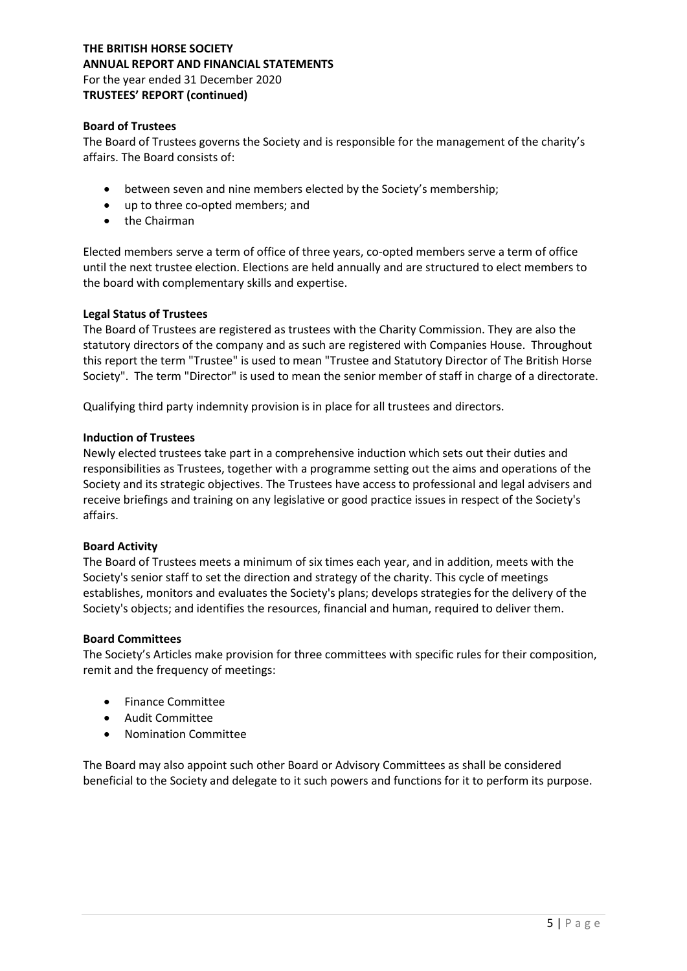#### Board of Trustees

The Board of Trustees governs the Society and is responsible for the management of the charity's affairs. The Board consists of:

- between seven and nine members elected by the Society's membership;
- up to three co-opted members; and
- the Chairman

Elected members serve a term of office of three years, co-opted members serve a term of office until the next trustee election. Elections are held annually and are structured to elect members to the board with complementary skills and expertise.

#### Legal Status of Trustees

The Board of Trustees are registered as trustees with the Charity Commission. They are also the statutory directors of the company and as such are registered with Companies House. Throughout this report the term "Trustee" is used to mean "Trustee and Statutory Director of The British Horse Society". The term "Director" is used to mean the senior member of staff in charge of a directorate.

Qualifying third party indemnity provision is in place for all trustees and directors.

#### Induction of Trustees

Newly elected trustees take part in a comprehensive induction which sets out their duties and responsibilities as Trustees, together with a programme setting out the aims and operations of the Society and its strategic objectives. The Trustees have access to professional and legal advisers and receive briefings and training on any legislative or good practice issues in respect of the Society's affairs.

#### Board Activity

The Board of Trustees meets a minimum of six times each year, and in addition, meets with the Society's senior staff to set the direction and strategy of the charity. This cycle of meetings establishes, monitors and evaluates the Society's plans; develops strategies for the delivery of the Society's objects; and identifies the resources, financial and human, required to deliver them.

#### Board Committees

The Society's Articles make provision for three committees with specific rules for their composition, remit and the frequency of meetings:

- Finance Committee
- Audit Committee
- Nomination Committee

The Board may also appoint such other Board or Advisory Committees as shall be considered beneficial to the Society and delegate to it such powers and functions for it to perform its purpose.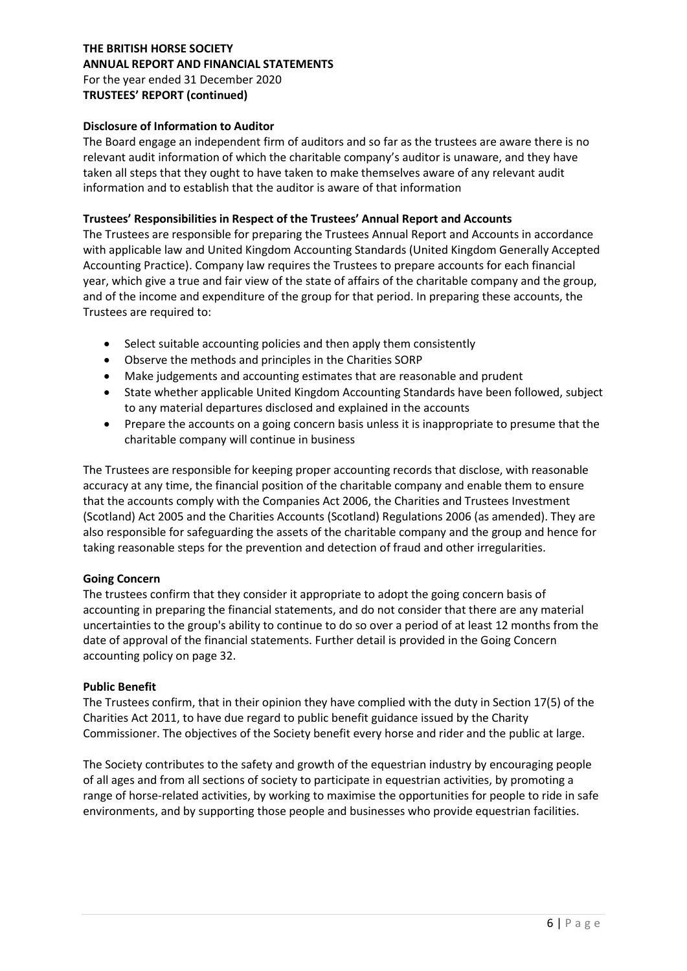## Disclosure of Information to Auditor

The Board engage an independent firm of auditors and so far as the trustees are aware there is no relevant audit information of which the charitable company's auditor is unaware, and they have taken all steps that they ought to have taken to make themselves aware of any relevant audit information and to establish that the auditor is aware of that information

## Trustees' Responsibilities in Respect of the Trustees' Annual Report and Accounts

The Trustees are responsible for preparing the Trustees Annual Report and Accounts in accordance with applicable law and United Kingdom Accounting Standards (United Kingdom Generally Accepted Accounting Practice). Company law requires the Trustees to prepare accounts for each financial year, which give a true and fair view of the state of affairs of the charitable company and the group, and of the income and expenditure of the group for that period. In preparing these accounts, the Trustees are required to:

- Select suitable accounting policies and then apply them consistently
- Observe the methods and principles in the Charities SORP
- Make judgements and accounting estimates that are reasonable and prudent
- State whether applicable United Kingdom Accounting Standards have been followed, subject to any material departures disclosed and explained in the accounts
- Prepare the accounts on a going concern basis unless it is inappropriate to presume that the charitable company will continue in business

The Trustees are responsible for keeping proper accounting records that disclose, with reasonable accuracy at any time, the financial position of the charitable company and enable them to ensure that the accounts comply with the Companies Act 2006, the Charities and Trustees Investment (Scotland) Act 2005 and the Charities Accounts (Scotland) Regulations 2006 (as amended). They are also responsible for safeguarding the assets of the charitable company and the group and hence for taking reasonable steps for the prevention and detection of fraud and other irregularities.

#### Going Concern

The trustees confirm that they consider it appropriate to adopt the going concern basis of accounting in preparing the financial statements, and do not consider that there are any material uncertainties to the group's ability to continue to do so over a period of at least 12 months from the date of approval of the financial statements. Further detail is provided in the Going Concern accounting policy on page 32.

#### Public Benefit

The Trustees confirm, that in their opinion they have complied with the duty in Section 17(5) of the Charities Act 2011, to have due regard to public benefit guidance issued by the Charity Commissioner. The objectives of the Society benefit every horse and rider and the public at large.

The Society contributes to the safety and growth of the equestrian industry by encouraging people of all ages and from all sections of society to participate in equestrian activities, by promoting a range of horse-related activities, by working to maximise the opportunities for people to ride in safe environments, and by supporting those people and businesses who provide equestrian facilities.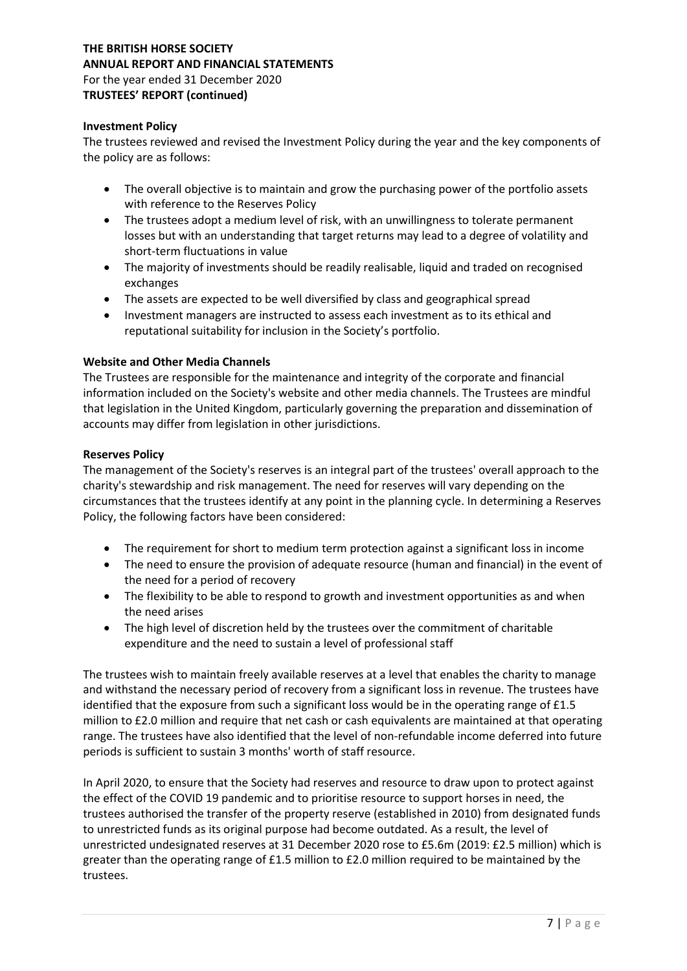## Investment Policy

The trustees reviewed and revised the Investment Policy during the year and the key components of the policy are as follows:

- The overall objective is to maintain and grow the purchasing power of the portfolio assets with reference to the Reserves Policy
- The trustees adopt a medium level of risk, with an unwillingness to tolerate permanent losses but with an understanding that target returns may lead to a degree of volatility and short-term fluctuations in value
- The majority of investments should be readily realisable, liquid and traded on recognised exchanges
- The assets are expected to be well diversified by class and geographical spread
- Investment managers are instructed to assess each investment as to its ethical and reputational suitability for inclusion in the Society's portfolio.

#### Website and Other Media Channels

The Trustees are responsible for the maintenance and integrity of the corporate and financial information included on the Society's website and other media channels. The Trustees are mindful that legislation in the United Kingdom, particularly governing the preparation and dissemination of accounts may differ from legislation in other jurisdictions.

#### Reserves Policy

The management of the Society's reserves is an integral part of the trustees' overall approach to the charity's stewardship and risk management. The need for reserves will vary depending on the circumstances that the trustees identify at any point in the planning cycle. In determining a Reserves Policy, the following factors have been considered:

- The requirement for short to medium term protection against a significant loss in income
- The need to ensure the provision of adequate resource (human and financial) in the event of the need for a period of recovery
- The flexibility to be able to respond to growth and investment opportunities as and when the need arises
- The high level of discretion held by the trustees over the commitment of charitable expenditure and the need to sustain a level of professional staff

The trustees wish to maintain freely available reserves at a level that enables the charity to manage and withstand the necessary period of recovery from a significant loss in revenue. The trustees have identified that the exposure from such a significant loss would be in the operating range of £1.5 million to £2.0 million and require that net cash or cash equivalents are maintained at that operating range. The trustees have also identified that the level of non-refundable income deferred into future periods is sufficient to sustain 3 months' worth of staff resource.

In April 2020, to ensure that the Society had reserves and resource to draw upon to protect against the effect of the COVID 19 pandemic and to prioritise resource to support horses in need, the trustees authorised the transfer of the property reserve (established in 2010) from designated funds to unrestricted funds as its original purpose had become outdated. As a result, the level of unrestricted undesignated reserves at 31 December 2020 rose to £5.6m (2019: £2.5 million) which is greater than the operating range of £1.5 million to £2.0 million required to be maintained by the trustees.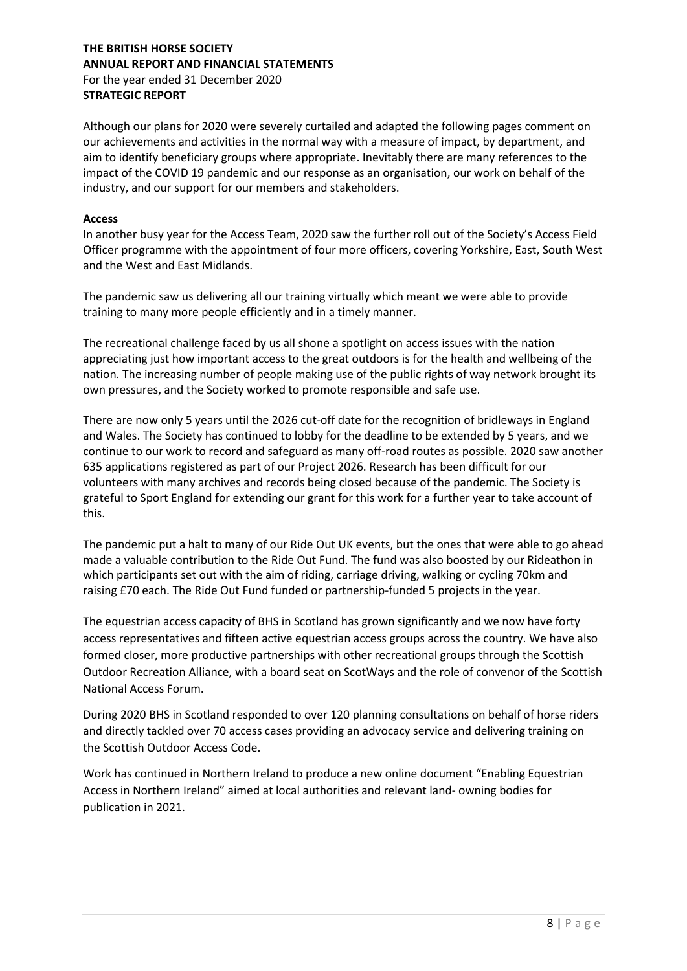Although our plans for 2020 were severely curtailed and adapted the following pages comment on our achievements and activities in the normal way with a measure of impact, by department, and aim to identify beneficiary groups where appropriate. Inevitably there are many references to the impact of the COVID 19 pandemic and our response as an organisation, our work on behalf of the industry, and our support for our members and stakeholders.

#### Access

In another busy year for the Access Team, 2020 saw the further roll out of the Society's Access Field Officer programme with the appointment of four more officers, covering Yorkshire, East, South West and the West and East Midlands.

The pandemic saw us delivering all our training virtually which meant we were able to provide training to many more people efficiently and in a timely manner.

The recreational challenge faced by us all shone a spotlight on access issues with the nation appreciating just how important access to the great outdoors is for the health and wellbeing of the nation. The increasing number of people making use of the public rights of way network brought its own pressures, and the Society worked to promote responsible and safe use.

There are now only 5 years until the 2026 cut-off date for the recognition of bridleways in England and Wales. The Society has continued to lobby for the deadline to be extended by 5 years, and we continue to our work to record and safeguard as many off-road routes as possible. 2020 saw another 635 applications registered as part of our Project 2026. Research has been difficult for our volunteers with many archives and records being closed because of the pandemic. The Society is grateful to Sport England for extending our grant for this work for a further year to take account of this.

The pandemic put a halt to many of our Ride Out UK events, but the ones that were able to go ahead made a valuable contribution to the Ride Out Fund. The fund was also boosted by our Rideathon in which participants set out with the aim of riding, carriage driving, walking or cycling 70km and raising £70 each. The Ride Out Fund funded or partnership-funded 5 projects in the year.

The equestrian access capacity of BHS in Scotland has grown significantly and we now have forty access representatives and fifteen active equestrian access groups across the country. We have also formed closer, more productive partnerships with other recreational groups through the Scottish Outdoor Recreation Alliance, with a board seat on ScotWays and the role of convenor of the Scottish National Access Forum.

During 2020 BHS in Scotland responded to over 120 planning consultations on behalf of horse riders and directly tackled over 70 access cases providing an advocacy service and delivering training on the Scottish Outdoor Access Code.

Work has continued in Northern Ireland to produce a new online document "Enabling Equestrian Access in Northern Ireland" aimed at local authorities and relevant land- owning bodies for publication in 2021.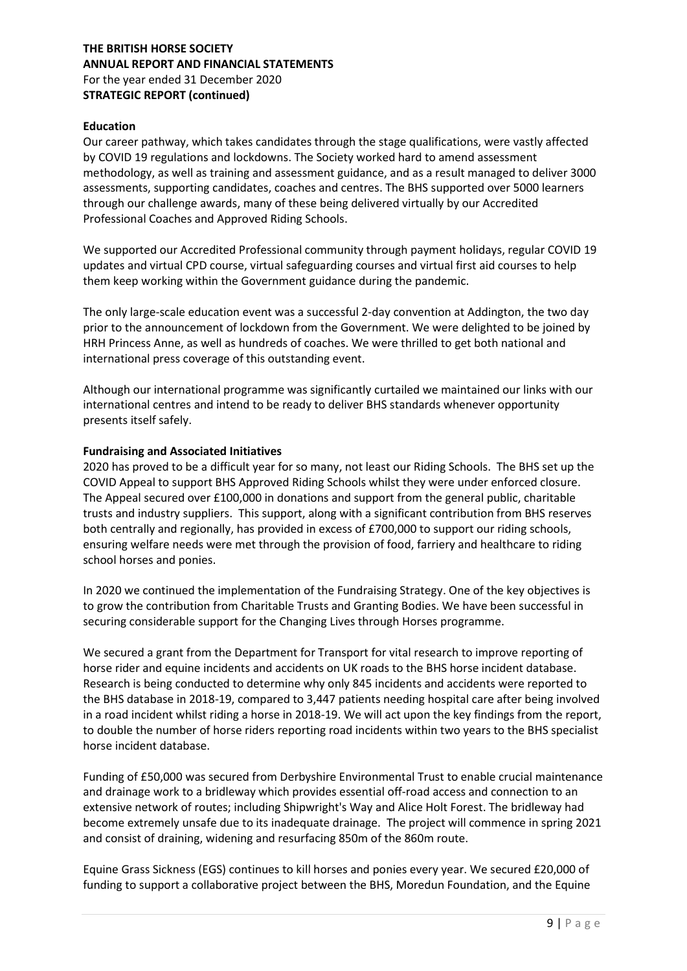#### Education

Our career pathway, which takes candidates through the stage qualifications, were vastly affected by COVID 19 regulations and lockdowns. The Society worked hard to amend assessment methodology, as well as training and assessment guidance, and as a result managed to deliver 3000 assessments, supporting candidates, coaches and centres. The BHS supported over 5000 learners through our challenge awards, many of these being delivered virtually by our Accredited Professional Coaches and Approved Riding Schools.

We supported our Accredited Professional community through payment holidays, regular COVID 19 updates and virtual CPD course, virtual safeguarding courses and virtual first aid courses to help them keep working within the Government guidance during the pandemic.

The only large-scale education event was a successful 2-day convention at Addington, the two day prior to the announcement of lockdown from the Government. We were delighted to be joined by HRH Princess Anne, as well as hundreds of coaches. We were thrilled to get both national and international press coverage of this outstanding event.

Although our international programme was significantly curtailed we maintained our links with our international centres and intend to be ready to deliver BHS standards whenever opportunity presents itself safely.

## Fundraising and Associated Initiatives

2020 has proved to be a difficult year for so many, not least our Riding Schools. The BHS set up the COVID Appeal to support BHS Approved Riding Schools whilst they were under enforced closure. The Appeal secured over £100,000 in donations and support from the general public, charitable trusts and industry suppliers. This support, along with a significant contribution from BHS reserves both centrally and regionally, has provided in excess of £700,000 to support our riding schools, ensuring welfare needs were met through the provision of food, farriery and healthcare to riding school horses and ponies.

In 2020 we continued the implementation of the Fundraising Strategy. One of the key objectives is to grow the contribution from Charitable Trusts and Granting Bodies. We have been successful in securing considerable support for the Changing Lives through Horses programme.

We secured a grant from the Department for Transport for vital research to improve reporting of horse rider and equine incidents and accidents on UK roads to the BHS horse incident database. Research is being conducted to determine why only 845 incidents and accidents were reported to the BHS database in 2018-19, compared to 3,447 patients needing hospital care after being involved in a road incident whilst riding a horse in 2018-19. We will act upon the key findings from the report, to double the number of horse riders reporting road incidents within two years to the BHS specialist horse incident database.

Funding of £50,000 was secured from Derbyshire Environmental Trust to enable crucial maintenance and drainage work to a bridleway which provides essential off-road access and connection to an extensive network of routes; including Shipwright's Way and Alice Holt Forest. The bridleway had become extremely unsafe due to its inadequate drainage. The project will commence in spring 2021 and consist of draining, widening and resurfacing 850m of the 860m route.

Equine Grass Sickness (EGS) continues to kill horses and ponies every year. We secured £20,000 of funding to support a collaborative project between the BHS, Moredun Foundation, and the Equine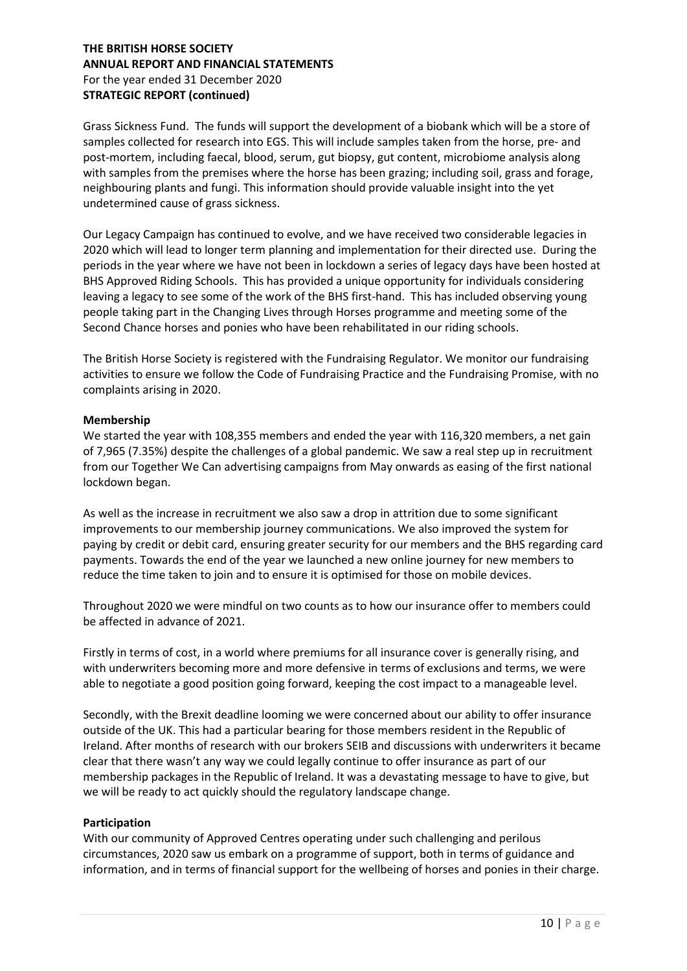Grass Sickness Fund. The funds will support the development of a biobank which will be a store of samples collected for research into EGS. This will include samples taken from the horse, pre- and post-mortem, including faecal, blood, serum, gut biopsy, gut content, microbiome analysis along with samples from the premises where the horse has been grazing; including soil, grass and forage, neighbouring plants and fungi. This information should provide valuable insight into the yet undetermined cause of grass sickness.

Our Legacy Campaign has continued to evolve, and we have received two considerable legacies in 2020 which will lead to longer term planning and implementation for their directed use. During the periods in the year where we have not been in lockdown a series of legacy days have been hosted at BHS Approved Riding Schools. This has provided a unique opportunity for individuals considering leaving a legacy to see some of the work of the BHS first-hand. This has included observing young people taking part in the Changing Lives through Horses programme and meeting some of the Second Chance horses and ponies who have been rehabilitated in our riding schools.

The British Horse Society is registered with the Fundraising Regulator. We monitor our fundraising activities to ensure we follow the Code of Fundraising Practice and the Fundraising Promise, with no complaints arising in 2020.

#### Membership

We started the year with 108,355 members and ended the year with 116,320 members, a net gain of 7,965 (7.35%) despite the challenges of a global pandemic. We saw a real step up in recruitment from our Together We Can advertising campaigns from May onwards as easing of the first national lockdown began.

As well as the increase in recruitment we also saw a drop in attrition due to some significant improvements to our membership journey communications. We also improved the system for paying by credit or debit card, ensuring greater security for our members and the BHS regarding card payments. Towards the end of the year we launched a new online journey for new members to reduce the time taken to join and to ensure it is optimised for those on mobile devices.

Throughout 2020 we were mindful on two counts as to how our insurance offer to members could be affected in advance of 2021.

Firstly in terms of cost, in a world where premiums for all insurance cover is generally rising, and with underwriters becoming more and more defensive in terms of exclusions and terms, we were able to negotiate a good position going forward, keeping the cost impact to a manageable level.

Secondly, with the Brexit deadline looming we were concerned about our ability to offer insurance outside of the UK. This had a particular bearing for those members resident in the Republic of Ireland. After months of research with our brokers SEIB and discussions with underwriters it became clear that there wasn't any way we could legally continue to offer insurance as part of our membership packages in the Republic of Ireland. It was a devastating message to have to give, but we will be ready to act quickly should the regulatory landscape change.

#### Participation

With our community of Approved Centres operating under such challenging and perilous circumstances, 2020 saw us embark on a programme of support, both in terms of guidance and information, and in terms of financial support for the wellbeing of horses and ponies in their charge.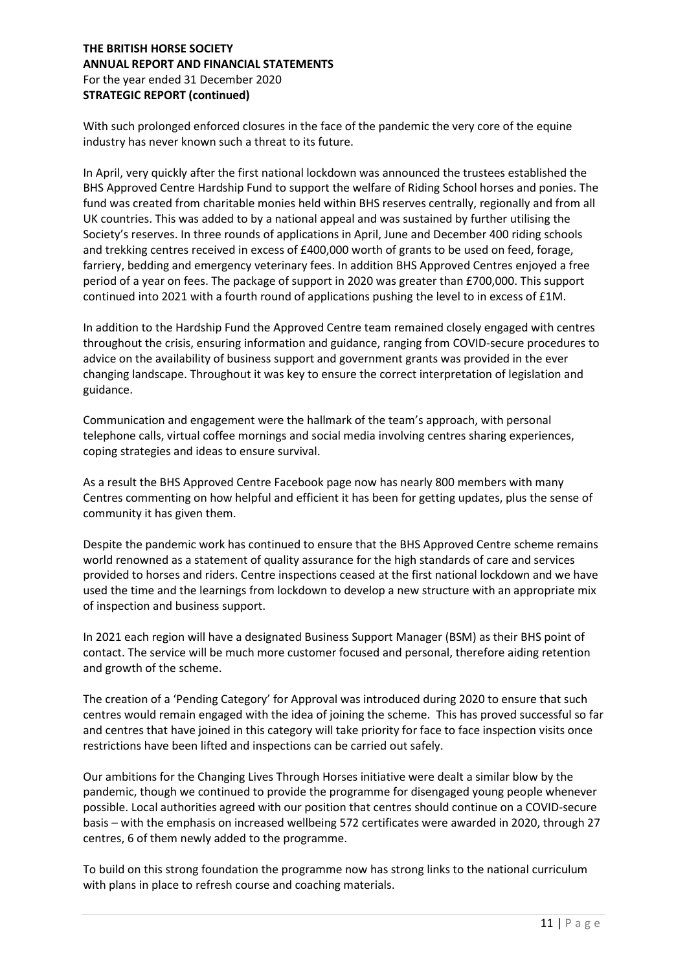With such prolonged enforced closures in the face of the pandemic the very core of the equine industry has never known such a threat to its future.

In April, very quickly after the first national lockdown was announced the trustees established the BHS Approved Centre Hardship Fund to support the welfare of Riding School horses and ponies. The fund was created from charitable monies held within BHS reserves centrally, regionally and from all UK countries. This was added to by a national appeal and was sustained by further utilising the Society's reserves. In three rounds of applications in April, June and December 400 riding schools and trekking centres received in excess of £400,000 worth of grants to be used on feed, forage, farriery, bedding and emergency veterinary fees. In addition BHS Approved Centres enjoyed a free period of a year on fees. The package of support in 2020 was greater than £700,000. This support continued into 2021 with a fourth round of applications pushing the level to in excess of £1M.

In addition to the Hardship Fund the Approved Centre team remained closely engaged with centres throughout the crisis, ensuring information and guidance, ranging from COVID-secure procedures to advice on the availability of business support and government grants was provided in the ever changing landscape. Throughout it was key to ensure the correct interpretation of legislation and guidance.

Communication and engagement were the hallmark of the team's approach, with personal telephone calls, virtual coffee mornings and social media involving centres sharing experiences, coping strategies and ideas to ensure survival.

As a result the BHS Approved Centre Facebook page now has nearly 800 members with many Centres commenting on how helpful and efficient it has been for getting updates, plus the sense of community it has given them.

Despite the pandemic work has continued to ensure that the BHS Approved Centre scheme remains world renowned as a statement of quality assurance for the high standards of care and services provided to horses and riders. Centre inspections ceased at the first national lockdown and we have used the time and the learnings from lockdown to develop a new structure with an appropriate mix of inspection and business support.

In 2021 each region will have a designated Business Support Manager (BSM) as their BHS point of contact. The service will be much more customer focused and personal, therefore aiding retention and growth of the scheme.

The creation of a 'Pending Category' for Approval was introduced during 2020 to ensure that such centres would remain engaged with the idea of joining the scheme. This has proved successful so far and centres that have joined in this category will take priority for face to face inspection visits once restrictions have been lifted and inspections can be carried out safely.

Our ambitions for the Changing Lives Through Horses initiative were dealt a similar blow by the pandemic, though we continued to provide the programme for disengaged young people whenever possible. Local authorities agreed with our position that centres should continue on a COVID-secure basis – with the emphasis on increased wellbeing 572 certificates were awarded in 2020, through 27 centres, 6 of them newly added to the programme.

To build on this strong foundation the programme now has strong links to the national curriculum with plans in place to refresh course and coaching materials.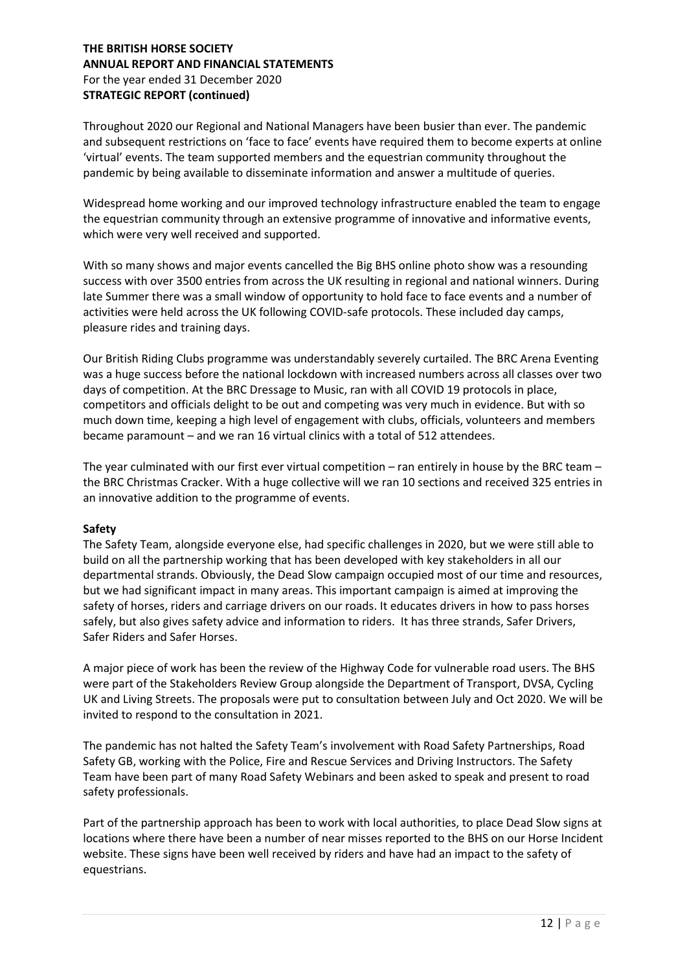Throughout 2020 our Regional and National Managers have been busier than ever. The pandemic and subsequent restrictions on 'face to face' events have required them to become experts at online 'virtual' events. The team supported members and the equestrian community throughout the pandemic by being available to disseminate information and answer a multitude of queries.

Widespread home working and our improved technology infrastructure enabled the team to engage the equestrian community through an extensive programme of innovative and informative events, which were very well received and supported.

With so many shows and major events cancelled the Big BHS online photo show was a resounding success with over 3500 entries from across the UK resulting in regional and national winners. During late Summer there was a small window of opportunity to hold face to face events and a number of activities were held across the UK following COVID-safe protocols. These included day camps, pleasure rides and training days.

Our British Riding Clubs programme was understandably severely curtailed. The BRC Arena Eventing was a huge success before the national lockdown with increased numbers across all classes over two days of competition. At the BRC Dressage to Music, ran with all COVID 19 protocols in place, competitors and officials delight to be out and competing was very much in evidence. But with so much down time, keeping a high level of engagement with clubs, officials, volunteers and members became paramount – and we ran 16 virtual clinics with a total of 512 attendees.

The year culminated with our first ever virtual competition – ran entirely in house by the BRC team – the BRC Christmas Cracker. With a huge collective will we ran 10 sections and received 325 entries in an innovative addition to the programme of events.

#### Safety

The Safety Team, alongside everyone else, had specific challenges in 2020, but we were still able to build on all the partnership working that has been developed with key stakeholders in all our departmental strands. Obviously, the Dead Slow campaign occupied most of our time and resources, but we had significant impact in many areas. This important campaign is aimed at improving the safety of horses, riders and carriage drivers on our roads. It educates drivers in how to pass horses safely, but also gives safety advice and information to riders. It has three strands, Safer Drivers, Safer Riders and Safer Horses.

A major piece of work has been the review of the Highway Code for vulnerable road users. The BHS were part of the Stakeholders Review Group alongside the Department of Transport, DVSA, Cycling UK and Living Streets. The proposals were put to consultation between July and Oct 2020. We will be invited to respond to the consultation in 2021.

The pandemic has not halted the Safety Team's involvement with Road Safety Partnerships, Road Safety GB, working with the Police, Fire and Rescue Services and Driving Instructors. The Safety Team have been part of many Road Safety Webinars and been asked to speak and present to road safety professionals.

Part of the partnership approach has been to work with local authorities, to place Dead Slow signs at locations where there have been a number of near misses reported to the BHS on our Horse Incident website. These signs have been well received by riders and have had an impact to the safety of equestrians.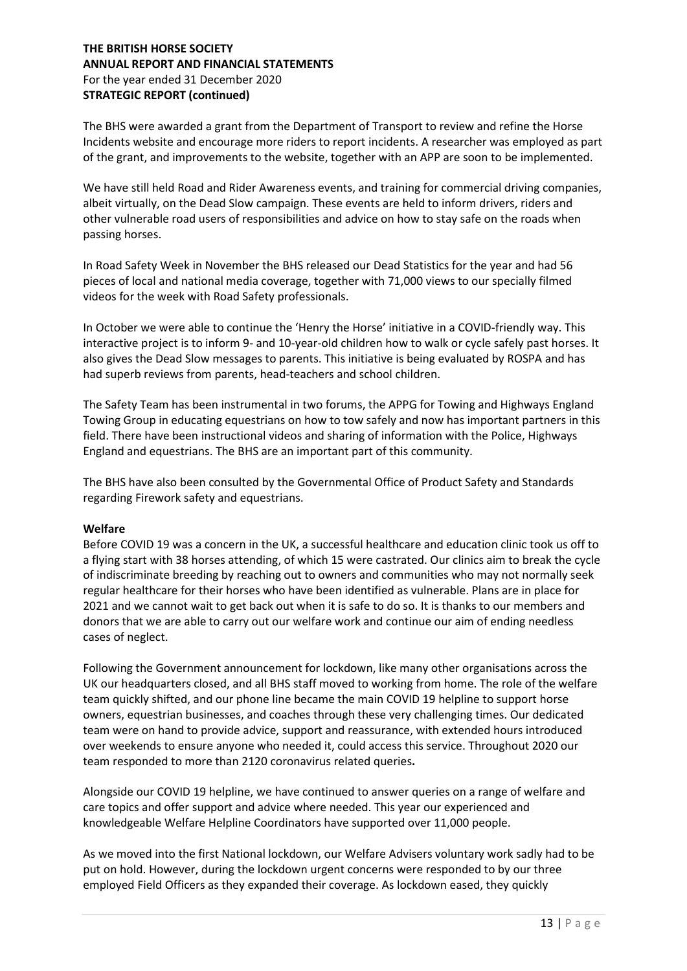The BHS were awarded a grant from the Department of Transport to review and refine the Horse Incidents website and encourage more riders to report incidents. A researcher was employed as part of the grant, and improvements to the website, together with an APP are soon to be implemented.

We have still held Road and Rider Awareness events, and training for commercial driving companies, albeit virtually, on the Dead Slow campaign. These events are held to inform drivers, riders and other vulnerable road users of responsibilities and advice on how to stay safe on the roads when passing horses.

In Road Safety Week in November the BHS released our Dead Statistics for the year and had 56 pieces of local and national media coverage, together with 71,000 views to our specially filmed videos for the week with Road Safety professionals.

In October we were able to continue the 'Henry the Horse' initiative in a COVID-friendly way. This interactive project is to inform 9- and 10-year-old children how to walk or cycle safely past horses. It also gives the Dead Slow messages to parents. This initiative is being evaluated by ROSPA and has had superb reviews from parents, head-teachers and school children.

The Safety Team has been instrumental in two forums, the APPG for Towing and Highways England Towing Group in educating equestrians on how to tow safely and now has important partners in this field. There have been instructional videos and sharing of information with the Police, Highways England and equestrians. The BHS are an important part of this community.

The BHS have also been consulted by the Governmental Office of Product Safety and Standards regarding Firework safety and equestrians.

#### Welfare

Before COVID 19 was a concern in the UK, a successful healthcare and education clinic took us off to a flying start with 38 horses attending, of which 15 were castrated. Our clinics aim to break the cycle of indiscriminate breeding by reaching out to owners and communities who may not normally seek regular healthcare for their horses who have been identified as vulnerable. Plans are in place for 2021 and we cannot wait to get back out when it is safe to do so. It is thanks to our members and donors that we are able to carry out our welfare work and continue our aim of ending needless cases of neglect.

Following the Government announcement for lockdown, like many other organisations across the UK our headquarters closed, and all BHS staff moved to working from home. The role of the welfare team quickly shifted, and our phone line became the main COVID 19 helpline to support horse owners, equestrian businesses, and coaches through these very challenging times. Our dedicated team were on hand to provide advice, support and reassurance, with extended hours introduced over weekends to ensure anyone who needed it, could access this service. Throughout 2020 our team responded to more than 2120 coronavirus related queries.

Alongside our COVID 19 helpline, we have continued to answer queries on a range of welfare and care topics and offer support and advice where needed. This year our experienced and knowledgeable Welfare Helpline Coordinators have supported over 11,000 people.

As we moved into the first National lockdown, our Welfare Advisers voluntary work sadly had to be put on hold. However, during the lockdown urgent concerns were responded to by our three employed Field Officers as they expanded their coverage. As lockdown eased, they quickly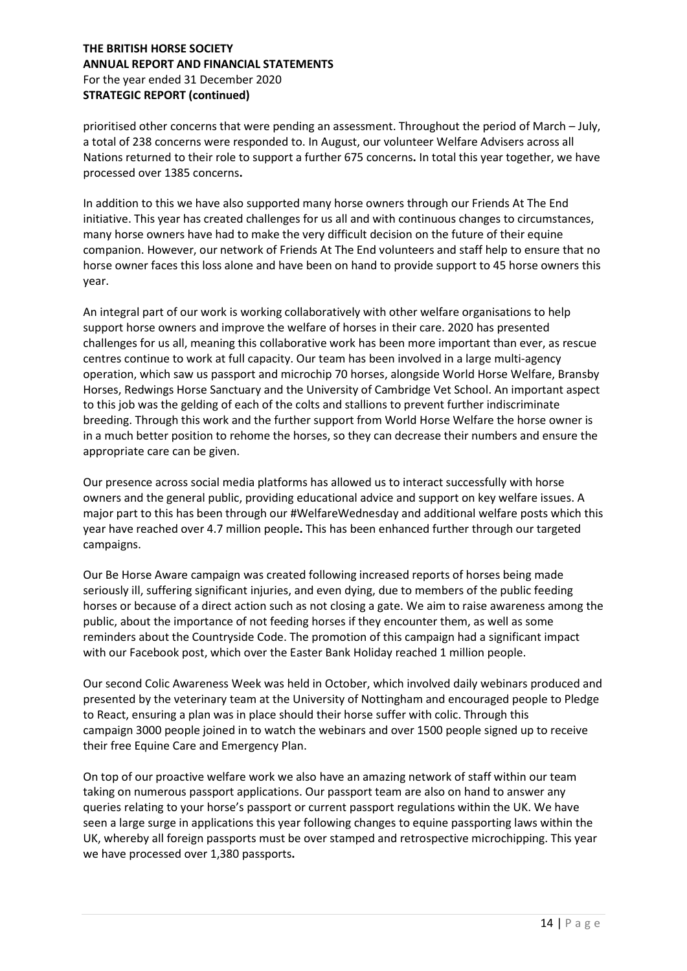prioritised other concerns that were pending an assessment. Throughout the period of March – July, a total of 238 concerns were responded to. In August, our volunteer Welfare Advisers across all Nations returned to their role to support a further 675 concerns. In total this year together, we have processed over 1385 concerns.

In addition to this we have also supported many horse owners through our Friends At The End initiative. This year has created challenges for us all and with continuous changes to circumstances, many horse owners have had to make the very difficult decision on the future of their equine companion. However, our network of Friends At The End volunteers and staff help to ensure that no horse owner faces this loss alone and have been on hand to provide support to 45 horse owners this year.

An integral part of our work is working collaboratively with other welfare organisations to help support horse owners and improve the welfare of horses in their care. 2020 has presented challenges for us all, meaning this collaborative work has been more important than ever, as rescue centres continue to work at full capacity. Our team has been involved in a large multi-agency operation, which saw us passport and microchip 70 horses, alongside World Horse Welfare, Bransby Horses, Redwings Horse Sanctuary and the University of Cambridge Vet School. An important aspect to this job was the gelding of each of the colts and stallions to prevent further indiscriminate breeding. Through this work and the further support from World Horse Welfare the horse owner is in a much better position to rehome the horses, so they can decrease their numbers and ensure the appropriate care can be given.

Our presence across social media platforms has allowed us to interact successfully with horse owners and the general public, providing educational advice and support on key welfare issues. A major part to this has been through our #WelfareWednesday and additional welfare posts which this year have reached over 4.7 million people. This has been enhanced further through our targeted campaigns.

Our Be Horse Aware campaign was created following increased reports of horses being made seriously ill, suffering significant injuries, and even dying, due to members of the public feeding horses or because of a direct action such as not closing a gate. We aim to raise awareness among the public, about the importance of not feeding horses if they encounter them, as well as some reminders about the Countryside Code. The promotion of this campaign had a significant impact with our Facebook post, which over the Easter Bank Holiday reached 1 million people.

Our second Colic Awareness Week was held in October, which involved daily webinars produced and presented by the veterinary team at the University of Nottingham and encouraged people to Pledge to React, ensuring a plan was in place should their horse suffer with colic. Through this campaign 3000 people joined in to watch the webinars and over 1500 people signed up to receive their free Equine Care and Emergency Plan.

On top of our proactive welfare work we also have an amazing network of staff within our team taking on numerous passport applications. Our passport team are also on hand to answer any queries relating to your horse's passport or current passport regulations within the UK. We have seen a large surge in applications this year following changes to equine passporting laws within the UK, whereby all foreign passports must be over stamped and retrospective microchipping. This year we have processed over 1,380 passports.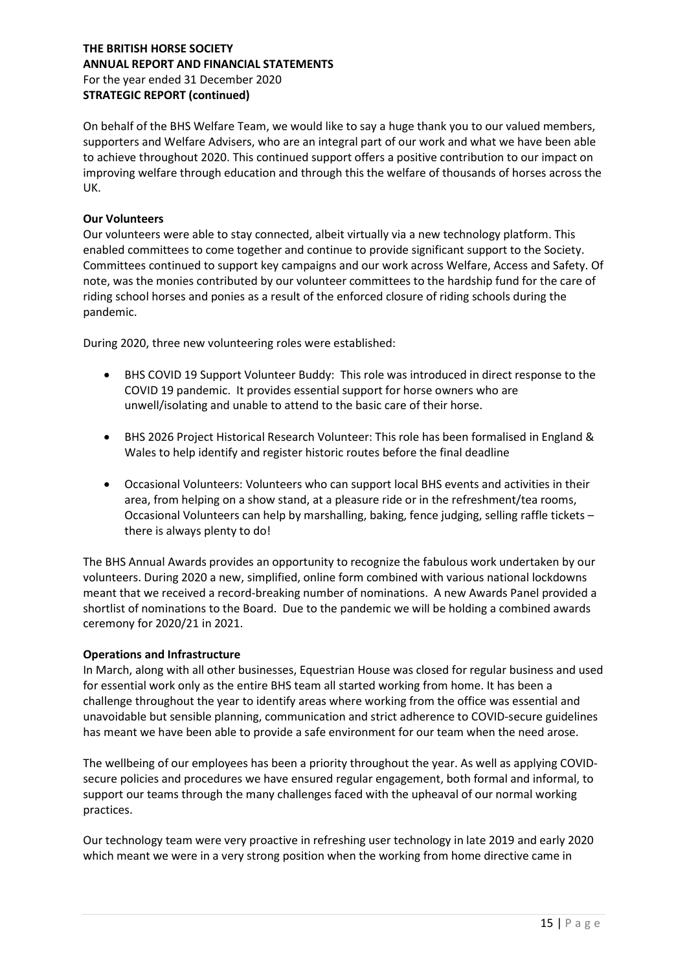On behalf of the BHS Welfare Team, we would like to say a huge thank you to our valued members, supporters and Welfare Advisers, who are an integral part of our work and what we have been able to achieve throughout 2020. This continued support offers a positive contribution to our impact on improving welfare through education and through this the welfare of thousands of horses across the UK.

#### Our Volunteers

Our volunteers were able to stay connected, albeit virtually via a new technology platform. This enabled committees to come together and continue to provide significant support to the Society. Committees continued to support key campaigns and our work across Welfare, Access and Safety. Of note, was the monies contributed by our volunteer committees to the hardship fund for the care of riding school horses and ponies as a result of the enforced closure of riding schools during the pandemic.

During 2020, three new volunteering roles were established:

- BHS COVID 19 Support Volunteer Buddy: This role was introduced in direct response to the COVID 19 pandemic. It provides essential support for horse owners who are unwell/isolating and unable to attend to the basic care of their horse.
- BHS 2026 Project Historical Research Volunteer: This role has been formalised in England & Wales to help identify and register historic routes before the final deadline
- Occasional Volunteers: Volunteers who can support local BHS events and activities in their area, from helping on a show stand, at a pleasure ride or in the refreshment/tea rooms, Occasional Volunteers can help by marshalling, baking, fence judging, selling raffle tickets – there is always plenty to do!

The BHS Annual Awards provides an opportunity to recognize the fabulous work undertaken by our volunteers. During 2020 a new, simplified, online form combined with various national lockdowns meant that we received a record-breaking number of nominations. A new Awards Panel provided a shortlist of nominations to the Board. Due to the pandemic we will be holding a combined awards ceremony for 2020/21 in 2021.

#### Operations and Infrastructure

In March, along with all other businesses, Equestrian House was closed for regular business and used for essential work only as the entire BHS team all started working from home. It has been a challenge throughout the year to identify areas where working from the office was essential and unavoidable but sensible planning, communication and strict adherence to COVID-secure guidelines has meant we have been able to provide a safe environment for our team when the need arose.

The wellbeing of our employees has been a priority throughout the year. As well as applying COVIDsecure policies and procedures we have ensured regular engagement, both formal and informal, to support our teams through the many challenges faced with the upheaval of our normal working practices.

Our technology team were very proactive in refreshing user technology in late 2019 and early 2020 which meant we were in a very strong position when the working from home directive came in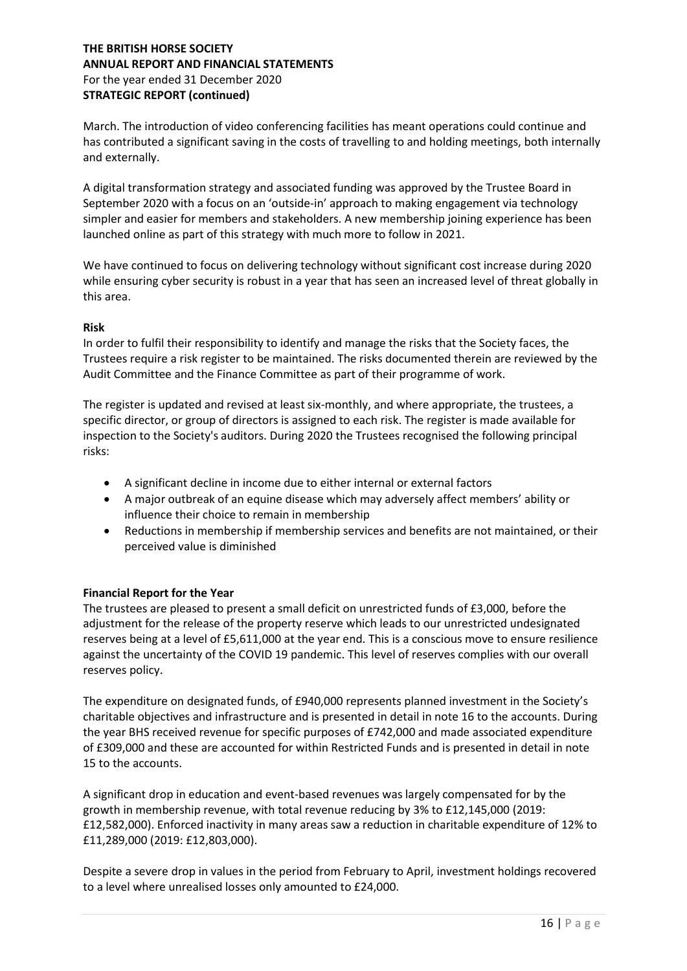March. The introduction of video conferencing facilities has meant operations could continue and has contributed a significant saving in the costs of travelling to and holding meetings, both internally and externally.

A digital transformation strategy and associated funding was approved by the Trustee Board in September 2020 with a focus on an 'outside-in' approach to making engagement via technology simpler and easier for members and stakeholders. A new membership joining experience has been launched online as part of this strategy with much more to follow in 2021.

We have continued to focus on delivering technology without significant cost increase during 2020 while ensuring cyber security is robust in a year that has seen an increased level of threat globally in this area.

#### Risk

In order to fulfil their responsibility to identify and manage the risks that the Society faces, the Trustees require a risk register to be maintained. The risks documented therein are reviewed by the Audit Committee and the Finance Committee as part of their programme of work.

The register is updated and revised at least six-monthly, and where appropriate, the trustees, a specific director, or group of directors is assigned to each risk. The register is made available for inspection to the Society's auditors. During 2020 the Trustees recognised the following principal risks:

- A significant decline in income due to either internal or external factors
- A major outbreak of an equine disease which may adversely affect members' ability or influence their choice to remain in membership
- Reductions in membership if membership services and benefits are not maintained, or their perceived value is diminished

#### Financial Report for the Year

The trustees are pleased to present a small deficit on unrestricted funds of £3,000, before the adjustment for the release of the property reserve which leads to our unrestricted undesignated reserves being at a level of £5,611,000 at the year end. This is a conscious move to ensure resilience against the uncertainty of the COVID 19 pandemic. This level of reserves complies with our overall reserves policy.

The expenditure on designated funds, of £940,000 represents planned investment in the Society's charitable objectives and infrastructure and is presented in detail in note 16 to the accounts. During the year BHS received revenue for specific purposes of £742,000 and made associated expenditure of £309,000 and these are accounted for within Restricted Funds and is presented in detail in note 15 to the accounts.

A significant drop in education and event-based revenues was largely compensated for by the growth in membership revenue, with total revenue reducing by 3% to £12,145,000 (2019: £12,582,000). Enforced inactivity in many areas saw a reduction in charitable expenditure of 12% to £11,289,000 (2019: £12,803,000).

Despite a severe drop in values in the period from February to April, investment holdings recovered to a level where unrealised losses only amounted to £24,000.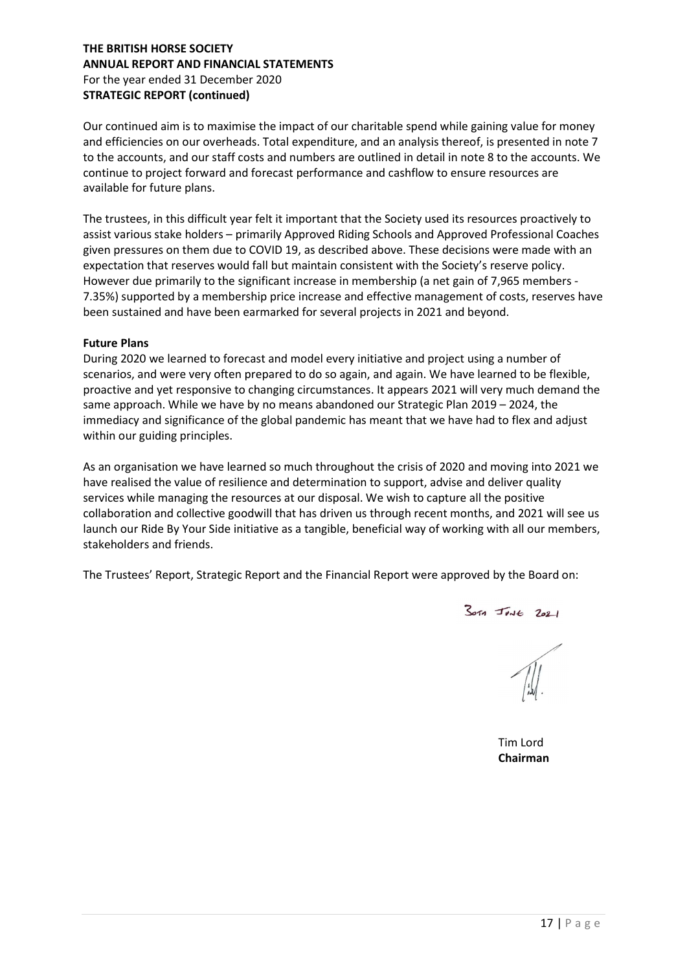Our continued aim is to maximise the impact of our charitable spend while gaining value for money and efficiencies on our overheads. Total expenditure, and an analysis thereof, is presented in note 7 to the accounts, and our staff costs and numbers are outlined in detail in note 8 to the accounts. We continue to project forward and forecast performance and cashflow to ensure resources are available for future plans.

The trustees, in this difficult year felt it important that the Society used its resources proactively to assist various stake holders – primarily Approved Riding Schools and Approved Professional Coaches given pressures on them due to COVID 19, as described above. These decisions were made with an expectation that reserves would fall but maintain consistent with the Society's reserve policy. However due primarily to the significant increase in membership (a net gain of 7,965 members - 7.35%) supported by a membership price increase and effective management of costs, reserves have been sustained and have been earmarked for several projects in 2021 and beyond.

#### Future Plans

During 2020 we learned to forecast and model every initiative and project using a number of scenarios, and were very often prepared to do so again, and again. We have learned to be flexible, proactive and yet responsive to changing circumstances. It appears 2021 will very much demand the same approach. While we have by no means abandoned our Strategic Plan 2019 – 2024, the immediacy and significance of the global pandemic has meant that we have had to flex and adjust within our guiding principles.

As an organisation we have learned so much throughout the crisis of 2020 and moving into 2021 we have realised the value of resilience and determination to support, advise and deliver quality services while managing the resources at our disposal. We wish to capture all the positive collaboration and collective goodwill that has driven us through recent months, and 2021 will see us launch our Ride By Your Side initiative as a tangible, beneficial way of working with all our members, stakeholders and friends.

The Trustees' Report, Strategic Report and the Financial Report were approved by the Board on:

 $3019$  Joye 2021

 Tim Lord Chairman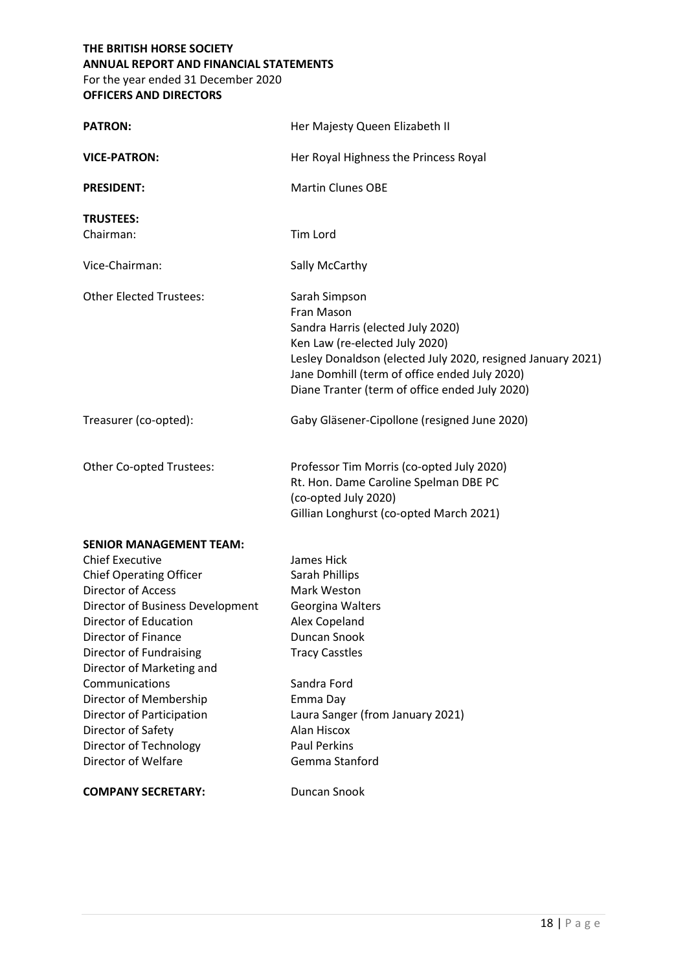## THE BRITISH HORSE SOCIETY ANNUAL REPORT AND FINANCIAL STATEMENTS For the year ended 31 December 2020

OFFICERS AND DIRECTORS

| <b>PATRON:</b>                                                                                                                                                                                                                                                                                                                                                                                                      | Her Majesty Queen Elizabeth II                                                                                                                                                                                                                                       |
|---------------------------------------------------------------------------------------------------------------------------------------------------------------------------------------------------------------------------------------------------------------------------------------------------------------------------------------------------------------------------------------------------------------------|----------------------------------------------------------------------------------------------------------------------------------------------------------------------------------------------------------------------------------------------------------------------|
| <b>VICE-PATRON:</b>                                                                                                                                                                                                                                                                                                                                                                                                 | Her Royal Highness the Princess Royal                                                                                                                                                                                                                                |
| <b>PRESIDENT:</b>                                                                                                                                                                                                                                                                                                                                                                                                   | <b>Martin Clunes OBE</b>                                                                                                                                                                                                                                             |
| <b>TRUSTEES:</b><br>Chairman:                                                                                                                                                                                                                                                                                                                                                                                       | Tim Lord                                                                                                                                                                                                                                                             |
| Vice-Chairman:                                                                                                                                                                                                                                                                                                                                                                                                      | Sally McCarthy                                                                                                                                                                                                                                                       |
| <b>Other Elected Trustees:</b>                                                                                                                                                                                                                                                                                                                                                                                      | Sarah Simpson<br>Fran Mason<br>Sandra Harris (elected July 2020)<br>Ken Law (re-elected July 2020)<br>Lesley Donaldson (elected July 2020, resigned January 2021)<br>Jane Domhill (term of office ended July 2020)<br>Diane Tranter (term of office ended July 2020) |
| Treasurer (co-opted):                                                                                                                                                                                                                                                                                                                                                                                               | Gaby Gläsener-Cipollone (resigned June 2020)                                                                                                                                                                                                                         |
| Other Co-opted Trustees:                                                                                                                                                                                                                                                                                                                                                                                            | Professor Tim Morris (co-opted July 2020)<br>Rt. Hon. Dame Caroline Spelman DBE PC<br>(co-opted July 2020)<br>Gillian Longhurst (co-opted March 2021)                                                                                                                |
| <b>SENIOR MANAGEMENT TEAM:</b><br><b>Chief Executive</b><br><b>Chief Operating Officer</b><br><b>Director of Access</b><br>Director of Business Development<br>Director of Education<br>Director of Finance<br>Director of Fundraising<br>Director of Marketing and<br>Communications<br>Director of Membership<br>Director of Participation<br>Director of Safety<br>Director of Technology<br>Director of Welfare | James Hick<br>Sarah Phillips<br>Mark Weston<br>Georgina Walters<br>Alex Copeland<br>Duncan Snook<br><b>Tracy Casstles</b><br>Sandra Ford<br>Emma Day<br>Laura Sanger (from January 2021)<br>Alan Hiscox<br><b>Paul Perkins</b><br>Gemma Stanford                     |
| <b>COMPANY SECRETARY:</b>                                                                                                                                                                                                                                                                                                                                                                                           | Duncan Snook                                                                                                                                                                                                                                                         |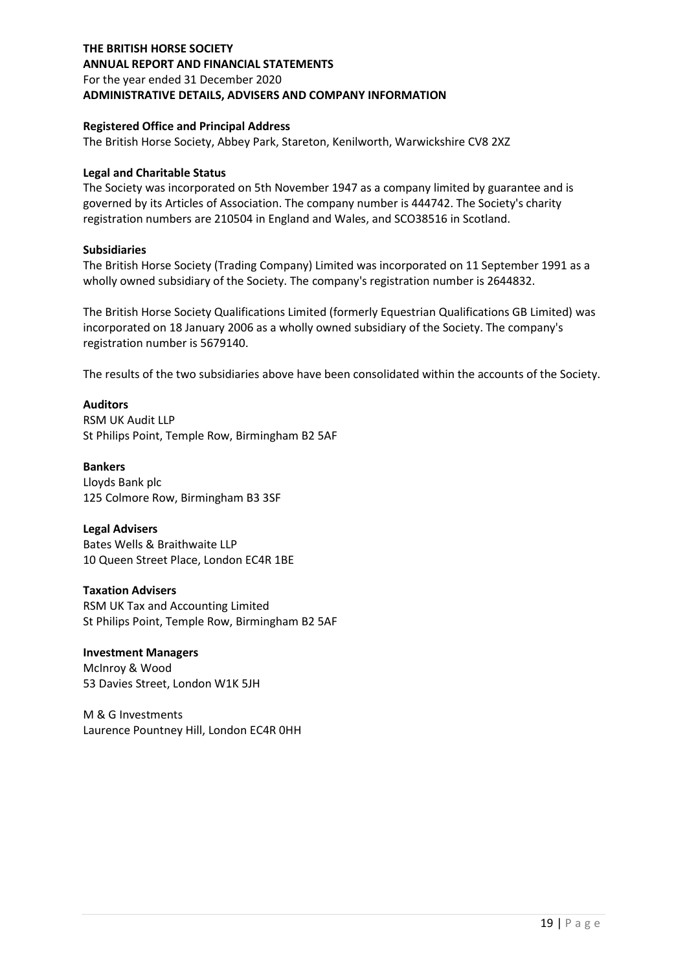## THE BRITISH HORSE SOCIETY ANNUAL REPORT AND FINANCIAL STATEMENTS For the year ended 31 December 2020 ADMINISTRATIVE DETAILS, ADVISERS AND COMPANY INFORMATION

#### Registered Office and Principal Address

The British Horse Society, Abbey Park, Stareton, Kenilworth, Warwickshire CV8 2XZ

#### Legal and Charitable Status

The Society was incorporated on 5th November 1947 as a company limited by guarantee and is governed by its Articles of Association. The company number is 444742. The Society's charity registration numbers are 210504 in England and Wales, and SCO38516 in Scotland.

#### Subsidiaries

The British Horse Society (Trading Company) Limited was incorporated on 11 September 1991 as a wholly owned subsidiary of the Society. The company's registration number is 2644832.

The British Horse Society Qualifications Limited (formerly Equestrian Qualifications GB Limited) was incorporated on 18 January 2006 as a wholly owned subsidiary of the Society. The company's registration number is 5679140.

The results of the two subsidiaries above have been consolidated within the accounts of the Society.

#### Auditors

RSM UK Audit LLP St Philips Point, Temple Row, Birmingham B2 5AF

#### Bankers

Lloyds Bank plc 125 Colmore Row, Birmingham B3 3SF

#### Legal Advisers

Bates Wells & Braithwaite LLP 10 Queen Street Place, London EC4R 1BE

#### Taxation Advisers

RSM UK Tax and Accounting Limited St Philips Point, Temple Row, Birmingham B2 5AF

#### Investment Managers

McInroy & Wood 53 Davies Street, London W1K 5JH

M & G Investments Laurence Pountney Hill, London EC4R 0HH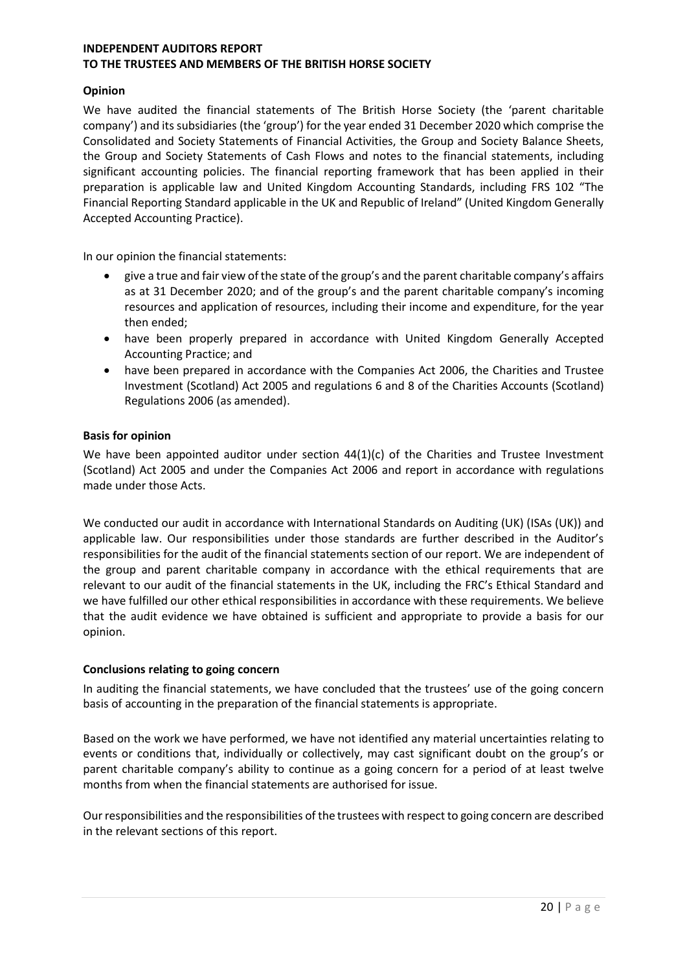## Opinion

We have audited the financial statements of The British Horse Society (the 'parent charitable company') and its subsidiaries (the 'group') for the year ended 31 December 2020 which comprise the Consolidated and Society Statements of Financial Activities, the Group and Society Balance Sheets, the Group and Society Statements of Cash Flows and notes to the financial statements, including significant accounting policies. The financial reporting framework that has been applied in their preparation is applicable law and United Kingdom Accounting Standards, including FRS 102 "The Financial Reporting Standard applicable in the UK and Republic of Ireland" (United Kingdom Generally Accepted Accounting Practice).

In our opinion the financial statements:

- give a true and fair view of the state of the group's and the parent charitable company's affairs as at 31 December 2020; and of the group's and the parent charitable company's incoming resources and application of resources, including their income and expenditure, for the year then ended;
- have been properly prepared in accordance with United Kingdom Generally Accepted Accounting Practice; and
- have been prepared in accordance with the Companies Act 2006, the Charities and Trustee Investment (Scotland) Act 2005 and regulations 6 and 8 of the Charities Accounts (Scotland) Regulations 2006 (as amended).

## Basis for opinion

We have been appointed auditor under section  $44(1)(c)$  of the Charities and Trustee Investment (Scotland) Act 2005 and under the Companies Act 2006 and report in accordance with regulations made under those Acts.

We conducted our audit in accordance with International Standards on Auditing (UK) (ISAs (UK)) and applicable law. Our responsibilities under those standards are further described in the Auditor's responsibilities for the audit of the financial statements section of our report. We are independent of the group and parent charitable company in accordance with the ethical requirements that are relevant to our audit of the financial statements in the UK, including the FRC's Ethical Standard and we have fulfilled our other ethical responsibilities in accordance with these requirements. We believe that the audit evidence we have obtained is sufficient and appropriate to provide a basis for our opinion.

#### Conclusions relating to going concern

In auditing the financial statements, we have concluded that the trustees' use of the going concern basis of accounting in the preparation of the financial statements is appropriate.

Based on the work we have performed, we have not identified any material uncertainties relating to events or conditions that, individually or collectively, may cast significant doubt on the group's or parent charitable company's ability to continue as a going concern for a period of at least twelve months from when the financial statements are authorised for issue.

Our responsibilities and the responsibilities of the trustees with respect to going concern are described in the relevant sections of this report.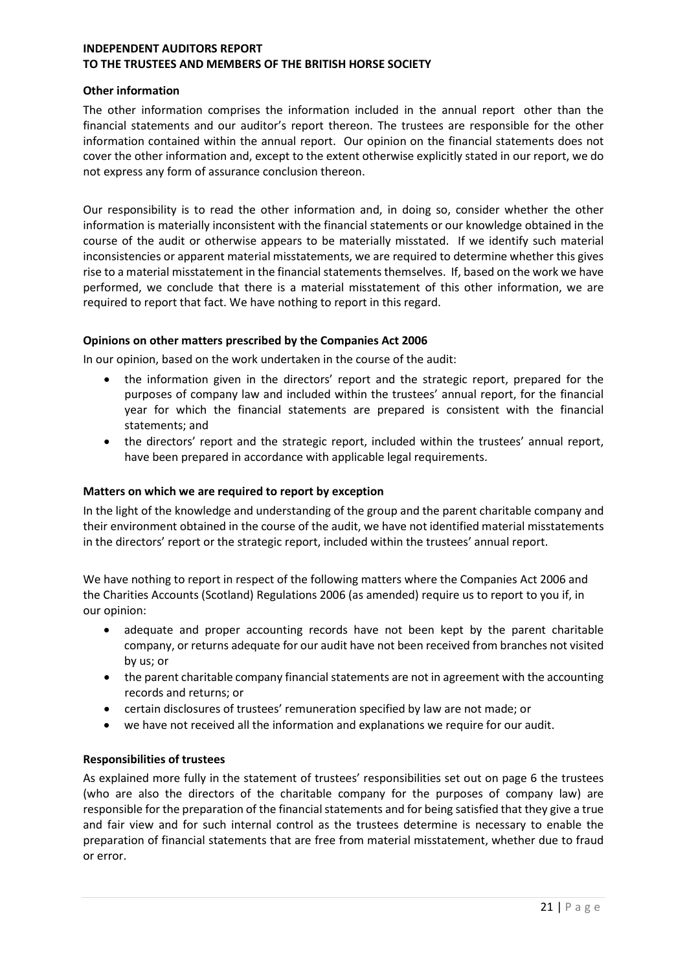#### Other information

The other information comprises the information included in the annual report other than the financial statements and our auditor's report thereon. The trustees are responsible for the other information contained within the annual report. Our opinion on the financial statements does not cover the other information and, except to the extent otherwise explicitly stated in our report, we do not express any form of assurance conclusion thereon.

Our responsibility is to read the other information and, in doing so, consider whether the other information is materially inconsistent with the financial statements or our knowledge obtained in the course of the audit or otherwise appears to be materially misstated. If we identify such material inconsistencies or apparent material misstatements, we are required to determine whether this gives rise to a material misstatement in the financial statements themselves. If, based on the work we have performed, we conclude that there is a material misstatement of this other information, we are required to report that fact. We have nothing to report in this regard.

## Opinions on other matters prescribed by the Companies Act 2006

In our opinion, based on the work undertaken in the course of the audit:

- the information given in the directors' report and the strategic report, prepared for the purposes of company law and included within the trustees' annual report, for the financial year for which the financial statements are prepared is consistent with the financial statements; and
- the directors' report and the strategic report, included within the trustees' annual report, have been prepared in accordance with applicable legal requirements.

## Matters on which we are required to report by exception

In the light of the knowledge and understanding of the group and the parent charitable company and their environment obtained in the course of the audit, we have not identified material misstatements in the directors' report or the strategic report, included within the trustees' annual report.

We have nothing to report in respect of the following matters where the Companies Act 2006 and the Charities Accounts (Scotland) Regulations 2006 (as amended) require us to report to you if, in our opinion:

- adequate and proper accounting records have not been kept by the parent charitable company, or returns adequate for our audit have not been received from branches not visited by us; or
- the parent charitable company financial statements are not in agreement with the accounting records and returns; or
- certain disclosures of trustees' remuneration specified by law are not made; or
- we have not received all the information and explanations we require for our audit.

## Responsibilities of trustees

As explained more fully in the statement of trustees' responsibilities set out on page 6 the trustees (who are also the directors of the charitable company for the purposes of company law) are responsible for the preparation of the financial statements and for being satisfied that they give a true and fair view and for such internal control as the trustees determine is necessary to enable the preparation of financial statements that are free from material misstatement, whether due to fraud or error.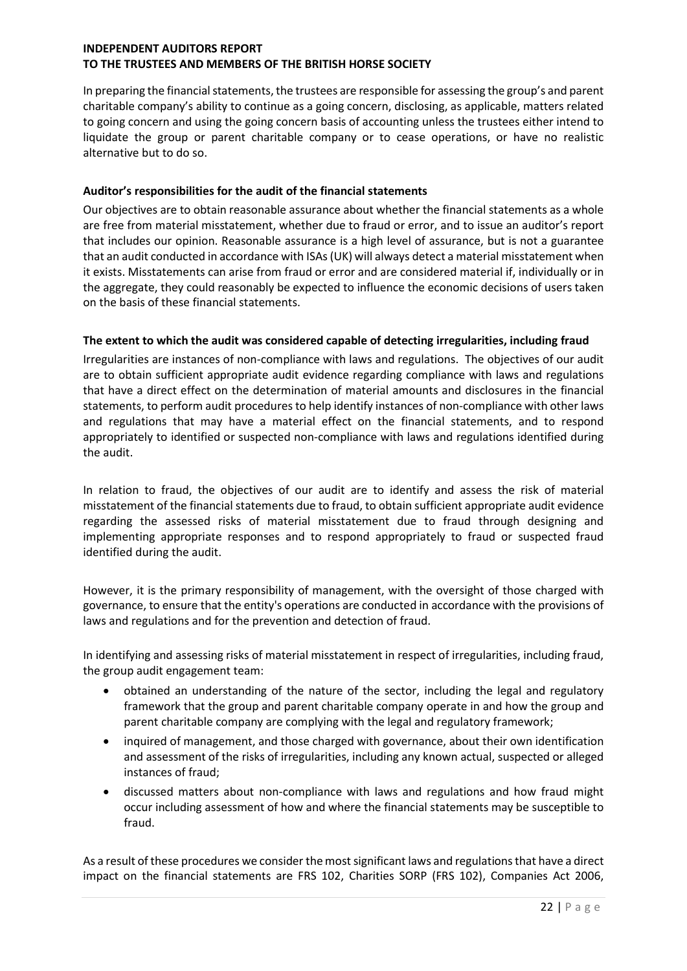In preparing the financial statements, the trustees are responsible for assessing the group's and parent charitable company's ability to continue as a going concern, disclosing, as applicable, matters related to going concern and using the going concern basis of accounting unless the trustees either intend to liquidate the group or parent charitable company or to cease operations, or have no realistic alternative but to do so.

## Auditor's responsibilities for the audit of the financial statements

Our objectives are to obtain reasonable assurance about whether the financial statements as a whole are free from material misstatement, whether due to fraud or error, and to issue an auditor's report that includes our opinion. Reasonable assurance is a high level of assurance, but is not a guarantee that an audit conducted in accordance with ISAs (UK) will always detect a material misstatement when it exists. Misstatements can arise from fraud or error and are considered material if, individually or in the aggregate, they could reasonably be expected to influence the economic decisions of users taken on the basis of these financial statements.

## The extent to which the audit was considered capable of detecting irregularities, including fraud

Irregularities are instances of non-compliance with laws and regulations. The objectives of our audit are to obtain sufficient appropriate audit evidence regarding compliance with laws and regulations that have a direct effect on the determination of material amounts and disclosures in the financial statements, to perform audit procedures to help identify instances of non-compliance with other laws and regulations that may have a material effect on the financial statements, and to respond appropriately to identified or suspected non-compliance with laws and regulations identified during the audit.

In relation to fraud, the objectives of our audit are to identify and assess the risk of material misstatement of the financial statements due to fraud, to obtain sufficient appropriate audit evidence regarding the assessed risks of material misstatement due to fraud through designing and implementing appropriate responses and to respond appropriately to fraud or suspected fraud identified during the audit.

However, it is the primary responsibility of management, with the oversight of those charged with governance, to ensure that the entity's operations are conducted in accordance with the provisions of laws and regulations and for the prevention and detection of fraud.

In identifying and assessing risks of material misstatement in respect of irregularities, including fraud, the group audit engagement team:

- obtained an understanding of the nature of the sector, including the legal and regulatory framework that the group and parent charitable company operate in and how the group and parent charitable company are complying with the legal and regulatory framework;
- inquired of management, and those charged with governance, about their own identification and assessment of the risks of irregularities, including any known actual, suspected or alleged instances of fraud;
- discussed matters about non-compliance with laws and regulations and how fraud might occur including assessment of how and where the financial statements may be susceptible to fraud.

As a result of these procedures we consider the most significant laws and regulations that have a direct impact on the financial statements are FRS 102, Charities SORP (FRS 102), Companies Act 2006,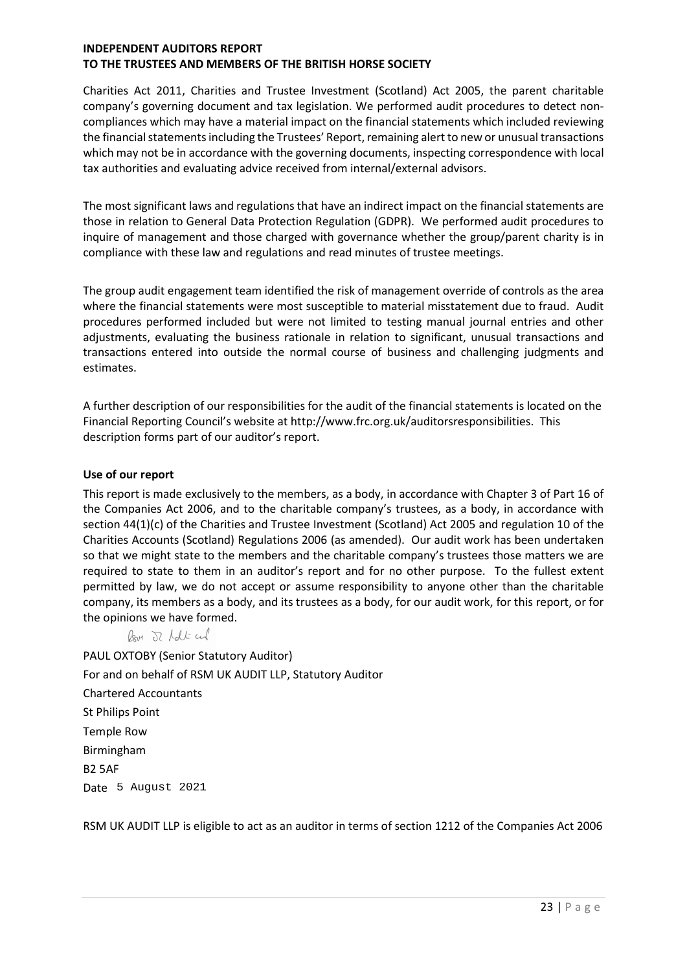Charities Act 2011, Charities and Trustee Investment (Scotland) Act 2005, the parent charitable company's governing document and tax legislation. We performed audit procedures to detect noncompliances which may have a material impact on the financial statements which included reviewing the financial statements including the Trustees' Report, remaining alert to new or unusual transactions which may not be in accordance with the governing documents, inspecting correspondence with local tax authorities and evaluating advice received from internal/external advisors.

The most significant laws and regulations that have an indirect impact on the financial statements are those in relation to General Data Protection Regulation (GDPR). We performed audit procedures to inquire of management and those charged with governance whether the group/parent charity is in compliance with these law and regulations and read minutes of trustee meetings.

The group audit engagement team identified the risk of management override of controls as the area where the financial statements were most susceptible to material misstatement due to fraud. Audit procedures performed included but were not limited to testing manual journal entries and other adjustments, evaluating the business rationale in relation to significant, unusual transactions and transactions entered into outside the normal course of business and challenging judgments and estimates.

A further description of our responsibilities for the audit of the financial statements is located on the Financial Reporting Council's website at http://www.frc.org.uk/auditorsresponsibilities. This description forms part of our auditor's report.

## Use of our report

This report is made exclusively to the members, as a body, in accordance with Chapter 3 of Part 16 of the Companies Act 2006, and to the charitable company's trustees, as a body, in accordance with section 44(1)(c) of the Charities and Trustee Investment (Scotland) Act 2005 and regulation 10 of the Charities Accounts (Scotland) Regulations 2006 (as amended). Our audit work has been undertaken so that we might state to the members and the charitable company's trustees those matters we are required to state to them in an auditor's report and for no other purpose. To the fullest extent permitted by law, we do not accept or assume responsibility to anyone other than the charitable company, its members as a body, and its trustees as a body, for our audit work, for this report, or for the opinions we have formed.

Roy J Lolt and

PAUL OXTOBY (Senior Statutory Auditor) For and on behalf of RSM UK AUDIT LLP, Statutory Auditor Chartered Accountants St Philips Point Temple Row Birmingham B2 5AF Date 5 August 2021

RSM UK AUDIT LLP is eligible to act as an auditor in terms of section 1212 of the Companies Act 2006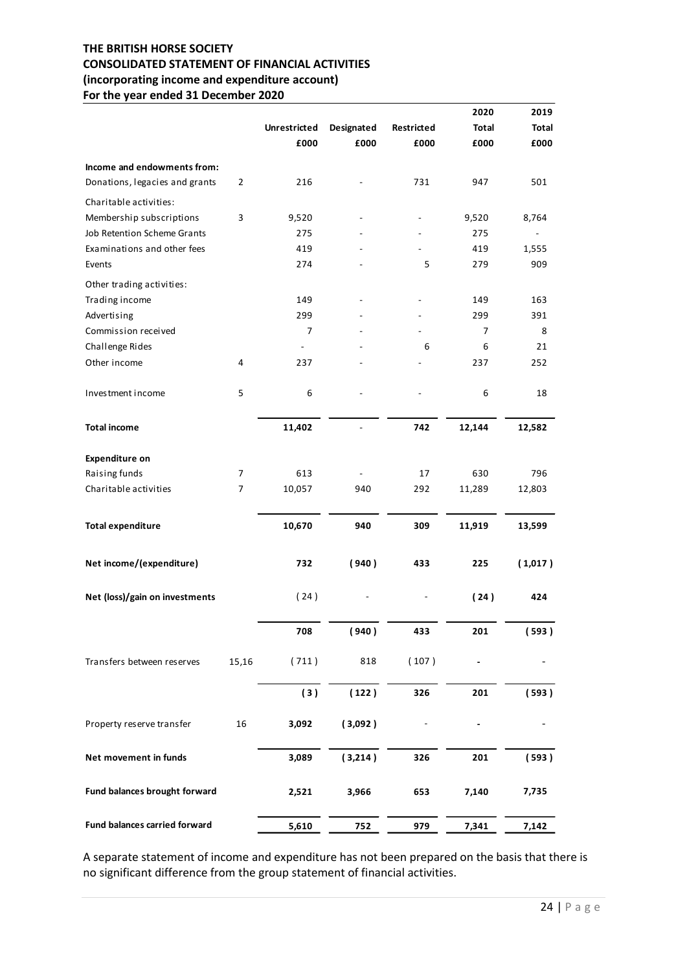## THE BRITISH HORSE SOCIETY CONSOLIDATED STATEMENT OF FINANCIAL ACTIVITIES (incorporating income and expenditure account) For the year ended 31 December 2020

| (incorporating income and expenditure account)<br>For the year ended 31 December 2020 |                  |                             |                          |                                    |                                    |                          |
|---------------------------------------------------------------------------------------|------------------|-----------------------------|--------------------------|------------------------------------|------------------------------------|--------------------------|
|                                                                                       |                  |                             |                          |                                    |                                    |                          |
|                                                                                       |                  |                             |                          |                                    | 2020                               | 2019                     |
|                                                                                       |                  | <b>Unrestricted</b><br>£000 | Designated<br>£000       | Restricted<br>£000                 | <b>Total</b><br>£000               | <b>Total</b><br>£000     |
|                                                                                       |                  |                             |                          |                                    |                                    |                          |
| Income and endowments from:<br>Donations, legacies and grants                         | $\overline{2}$   | 216                         |                          | 731                                | 947                                | 501                      |
|                                                                                       |                  |                             |                          |                                    |                                    |                          |
| Charitable activities:<br>Membership subscriptions                                    | 3                | 9,520                       |                          | $\overline{\phantom{a}}$           | 9,520                              | 8,764                    |
| Job Retention Scheme Grants                                                           |                  | 275                         |                          | $\overline{\phantom{a}}$           | 275                                | $\overline{\phantom{a}}$ |
| Examinations and other fees                                                           |                  | 419                         | ۰                        | $\overline{\phantom{a}}$           | 419                                | 1,555                    |
| Events                                                                                |                  | 274                         |                          | 5                                  | 279                                | 909                      |
| Other trading activities:                                                             |                  |                             |                          |                                    |                                    |                          |
| Trading income                                                                        |                  | 149                         |                          |                                    | 149                                | 163                      |
| Advertising                                                                           |                  | 299                         |                          | $\overline{\phantom{a}}$           | 299                                | 391                      |
| Commission received<br>Challenge Rides                                                |                  | $\overline{7}$<br>$\sim$    | $\overline{\phantom{a}}$ | $\blacksquare$<br>$\boldsymbol{6}$ | $\overline{7}$<br>$\boldsymbol{6}$ | 8<br>$21\,$              |
| Other income                                                                          | 4                | 237                         |                          |                                    | 237                                | 252                      |
|                                                                                       |                  |                             |                          |                                    |                                    |                          |
| Investment income                                                                     | 5                | $\boldsymbol{6}$            | $\blacksquare$           | $\overline{\phantom{a}}$           | $\boldsymbol{6}$                   | 18                       |
| <b>Total income</b>                                                                   |                  | 11,402                      | $\overline{\phantom{a}}$ | 742                                | 12,144                             | 12,582                   |
| <b>Expenditure on</b>                                                                 |                  |                             |                          |                                    |                                    |                          |
| Raising funds                                                                         | $\boldsymbol{7}$ | 613                         | $\blacksquare$           | 17                                 | 630                                | 796                      |
| Charitable activities                                                                 | $\overline{7}$   | 10,057                      | 940                      | 292                                | 11,289                             | 12,803                   |
| <b>Total expenditure</b>                                                              |                  | 10,670                      | 940                      | 309                                | 11,919                             | 13,599                   |
|                                                                                       |                  |                             |                          |                                    |                                    |                          |
| Net income/(expenditure)                                                              |                  | 732                         | (940)                    | 433                                | 225                                | (1,017)                  |
| Net (loss)/gain on investments                                                        |                  | (24)                        | $\overline{a}$           |                                    | (24)                               | 424                      |
|                                                                                       |                  | 708                         | (940)                    | 433                                | 201                                | (593)                    |
| Transfers between reserves                                                            | 15,16            | (711)                       | 818                      | (107)                              |                                    | $\overline{\phantom{a}}$ |
|                                                                                       |                  | (3)                         | (122)                    | 326                                | ${\bf 201}$                        | (593)                    |
| Property reserve transfer                                                             | $16\,$           | 3,092                       | (3,092)                  | $\overline{\phantom{a}}$           |                                    | $\overline{a}$           |
| Net movement in funds                                                                 |                  | 3,089                       | (3,214)                  | 326                                | 201                                | (593)                    |
| Fund balances brought forward                                                         |                  | 2,521                       | 3,966                    | 653                                | 7,140                              | 7,735                    |
| Fund balances carried forward                                                         |                  | 5,610                       | 752                      | 979                                | 7,341                              | 7,142                    |
|                                                                                       |                  |                             |                          |                                    |                                    |                          |

A separate statement of income and expenditure has not been prepared on the basis that there is no significant difference from the group statement of financial activities.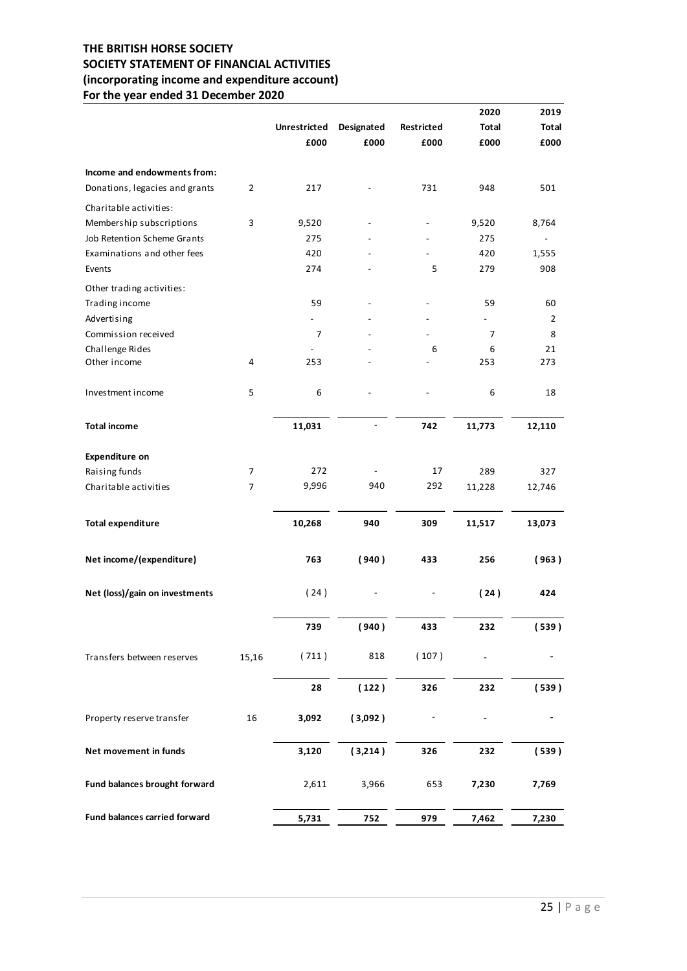## THE BRITISH HORSE SOCIETY SOCIETY STATEMENT OF FINANCIAL ACTIVITIES (incorporating income and expenditure account) For the year ended 31 December 2020

| SOCIETY STATEMENT OF FINANCIAL ACTIVITIES<br>(incorporating income and expenditure account) |                  |                          |                          |                          |                          |                          |
|---------------------------------------------------------------------------------------------|------------------|--------------------------|--------------------------|--------------------------|--------------------------|--------------------------|
|                                                                                             |                  |                          |                          |                          |                          |                          |
| For the year ended 31 December 2020                                                         |                  |                          |                          |                          | 2020                     | 2019                     |
|                                                                                             |                  | <b>Unrestricted</b>      | Designated               | Restricted               | <b>Total</b>             | Total                    |
|                                                                                             |                  | £000                     | £000                     | £000                     | £000                     | £000                     |
|                                                                                             |                  |                          |                          |                          |                          |                          |
| Income and endowments from:<br>Donations, legacies and grants                               | $\overline{2}$   | 217                      |                          | 731                      | 948                      | 501                      |
| Charitable activities:                                                                      |                  |                          |                          |                          |                          |                          |
| Membership subscriptions                                                                    | 3                | 9,520                    |                          |                          | 9,520                    | 8,764                    |
| Job Retention Scheme Grants                                                                 |                  | 275                      |                          | $\overline{\phantom{a}}$ | 275                      | $\overline{\phantom{a}}$ |
| Examinations and other fees                                                                 |                  | 420                      |                          | $\overline{\phantom{a}}$ | 420                      | 1,555                    |
| Events                                                                                      |                  | 274                      |                          | 5                        | 279                      | 908                      |
| Other trading activities:                                                                   |                  |                          |                          |                          |                          |                          |
| Trading income<br>Advertising                                                               |                  | 59<br>$\overline{a}$     |                          |                          | 59<br>$\sim$             | 60<br>$\overline{2}$     |
| Commission received                                                                         |                  | $\overline{7}$           |                          |                          | $\overline{7}$           | 8                        |
| Challenge Rides                                                                             |                  | $\overline{\phantom{a}}$ |                          | 6                        | $\boldsymbol{6}$         | 21                       |
| Other income                                                                                | 4                | 253                      |                          |                          | 253                      | 273                      |
| Investment income                                                                           | 5                | $\boldsymbol{6}$         | $\overline{\phantom{0}}$ | $\sim$                   | $\boldsymbol{6}$         | 18                       |
| <b>Total income</b>                                                                         |                  | 11,031                   | $\overline{\phantom{a}}$ | 742                      | 11,773                   | 12,110                   |
| <b>Expenditure on</b>                                                                       |                  |                          |                          |                          |                          |                          |
| Raising funds                                                                               | $\boldsymbol{7}$ | 272                      | $\blacksquare$           | 17                       | 289                      | 327                      |
| Charitable activities                                                                       | $\overline{7}$   | 9,996                    | 940                      | 292                      | 11,228                   | 12,746                   |
| <b>Total expenditure</b>                                                                    |                  | 10,268                   | 940                      | 309                      | 11,517                   | 13,073                   |
| Net income/(expenditure)                                                                    |                  | 763                      | (940)                    | 433                      | 256                      | (963)                    |
| Net (loss)/gain on investments                                                              |                  | (24)                     | $\overline{\phantom{a}}$ | $\overline{\phantom{a}}$ | (24)                     | 424                      |
|                                                                                             |                  | 739                      | (940)                    | 433                      | 232                      | (539)                    |
| Transfers between reserves                                                                  | 15,16            | (711)                    | 818                      | (107)                    | $\overline{\phantom{a}}$ |                          |
|                                                                                             |                  | 28                       | (122)                    | 326                      | 232                      | (539)                    |
| Property reserve transfer                                                                   | 16               | 3,092                    | (3,092)                  | $\overline{\phantom{a}}$ |                          | $\overline{\phantom{a}}$ |
| Net movement in funds                                                                       |                  | 3,120                    | (3,214)                  | 326                      | 232                      | (539)                    |
| Fund balances brought forward                                                               |                  | 2,611                    | 3,966                    | 653                      | 7,230                    | 7,769                    |
| Fund balances carried forward                                                               |                  | 5,731                    | $752$                    | 979                      | 7,462                    | 7,230                    |
|                                                                                             |                  |                          |                          |                          |                          |                          |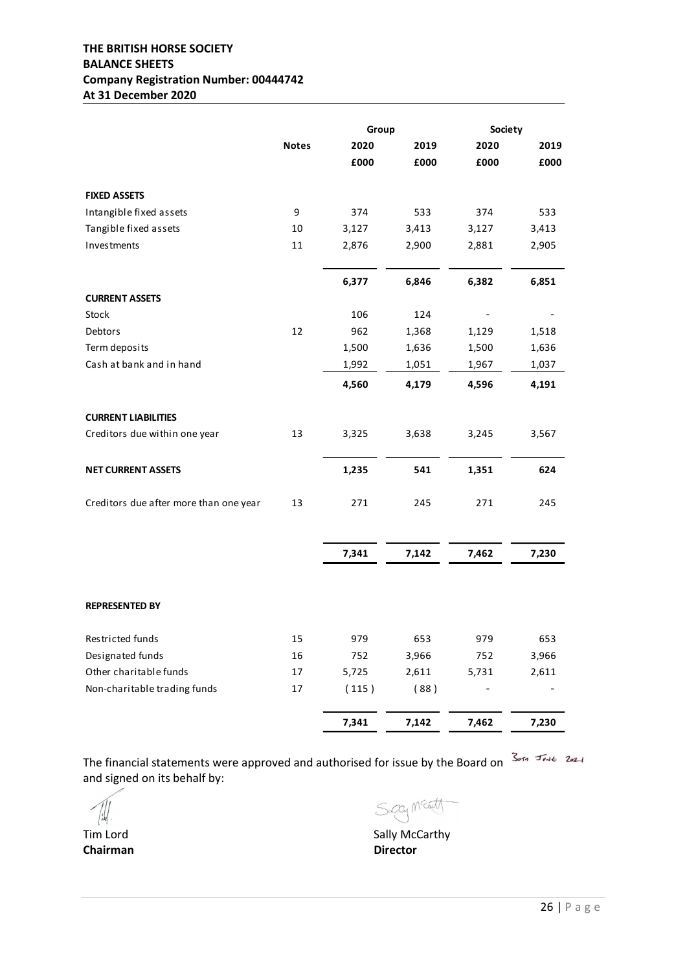## THE BRITISH HORSE SOCIETY BALANCE SHEETS Company Registration Number: 00444742 At 31 December 2020

| THE BRITISH HORSE SOCIETY                      |              |              |                |                          |                |
|------------------------------------------------|--------------|--------------|----------------|--------------------------|----------------|
|                                                |              |              |                |                          |                |
| <b>BALANCE SHEETS</b>                          |              |              |                |                          |                |
| <b>Company Registration Number: 00444742</b>   |              |              |                |                          |                |
| At 31 December 2020                            |              |              |                |                          |                |
|                                                |              | Group        |                | Society                  |                |
|                                                | <b>Notes</b> | 2020         | 2019           | 2020                     | 2019           |
|                                                |              | £000         | £000           | £000                     | £000           |
|                                                |              |              |                |                          |                |
| <b>FIXED ASSETS</b><br>Intangible fixed assets | 9            | 374          | 533            | 374                      | 533            |
| Tangible fixed assets                          | 10           | 3,127        | 3,413          | 3,127                    | 3,413          |
| Investments                                    | 11           | 2,876        | 2,900          | 2,881                    | 2,905          |
|                                                |              |              |                |                          |                |
|                                                |              | 6,377        | 6,846          | 6,382                    | 6,851          |
| <b>CURRENT ASSETS</b>                          |              |              |                |                          |                |
| Stock                                          |              | 106          | 124            |                          |                |
| Debtors<br>Term deposits                       | 12           | 962<br>1,500 | 1,368<br>1,636 | 1,129<br>1,500           | 1,518<br>1,636 |
| Cash at bank and in hand                       |              | 1,992        | 1,051          | 1,967                    | 1,037          |
|                                                |              | 4,560        | 4,179          | 4,596                    | 4,191          |
|                                                |              |              |                |                          |                |
| <b>CURRENT LIABILITIES</b>                     |              |              |                |                          |                |
| Creditors due within one year                  | 13           | 3,325        | 3,638          | 3,245                    | 3,567          |
| <b>NET CURRENT ASSETS</b>                      |              | 1,235        | 541            | 1,351                    | 624            |
|                                                |              |              |                |                          |                |
| Creditors due after more than one year         | 13           | 271          | 245            | 271                      | 245            |
|                                                |              |              |                |                          |                |
|                                                |              | 7,341        | 7,142          | 7,462                    | 7,230          |
|                                                |              |              |                |                          |                |
|                                                |              |              |                |                          |                |
| <b>REPRESENTED BY</b>                          |              |              |                |                          |                |
| Restricted funds                               | 15           | 979          | 653            | 979                      | 653            |
| Designated funds                               | 16           | 752          | 3,966          | 752                      | 3,966          |
| Other charitable funds                         | 17           | 5,725        | 2,611          | 5,731                    | 2,611          |
| Non-charitable trading funds                   | 17           | (115)        | (88)           | $\overline{\phantom{a}}$ | $\overline{a}$ |
|                                                |              |              |                |                          |                |
|                                                |              | 7,341        | 7,142          | 7,462                    | 7,230          |

The financial statements were approved and authorised for issue by the Board on  $\frac{3}{2}$ and signed on its behalf by:

Tim Lord Chairman Director

Sagey Meat

Sally McCarthy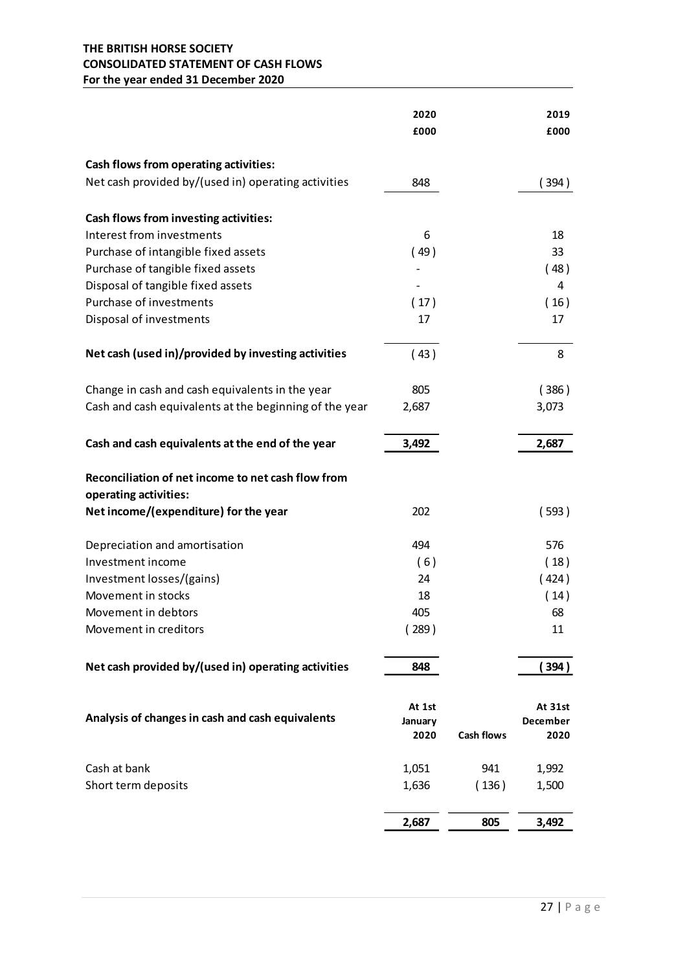## THE BRITISH HORSE SOCIETY CONSOLIDATED STATEMENT OF CASH FLOWS For the year ended 31 December 2020

| THE BRITISH HORSE SOCIETY<br><b>CONSOLIDATED STATEMENT OF CASH FLOWS</b><br>For the year ended 31 December 2020 |                |                   |                |
|-----------------------------------------------------------------------------------------------------------------|----------------|-------------------|----------------|
|                                                                                                                 |                |                   |                |
|                                                                                                                 |                |                   |                |
|                                                                                                                 |                |                   |                |
|                                                                                                                 |                |                   |                |
|                                                                                                                 | 2020<br>£000   |                   | 2019<br>£000   |
|                                                                                                                 |                |                   |                |
| Cash flows from operating activities:                                                                           |                |                   |                |
| Net cash provided by/(used in) operating activities                                                             | 848            |                   | 394)           |
|                                                                                                                 |                |                   |                |
| Cash flows from investing activities:<br>Interest from investments                                              |                |                   |                |
| Purchase of intangible fixed assets                                                                             | 6<br>(49)      |                   | 18<br>33       |
| Purchase of tangible fixed assets                                                                               |                |                   | (48)           |
| Disposal of tangible fixed assets                                                                               |                |                   | 4              |
| Purchase of investments                                                                                         | (17)           |                   | ( 16 )         |
| Disposal of investments                                                                                         | 17             |                   | 17             |
| Net cash (used in)/provided by investing activities                                                             | (43)           |                   | 8              |
| Change in cash and cash equivalents in the year                                                                 | 805            |                   | (386)          |
| Cash and cash equivalents at the beginning of the year                                                          | 2,687          |                   | 3,073          |
|                                                                                                                 |                |                   |                |
| Cash and cash equivalents at the end of the year                                                                | 3,492          |                   | 2,687          |
| Reconciliation of net income to net cash flow from                                                              |                |                   |                |
| operating activities:                                                                                           |                |                   |                |
| Net income/(expenditure) for the year                                                                           | 202            |                   | (593)          |
| Depreciation and amortisation                                                                                   | 494            |                   | 576            |
| Investment income                                                                                               | (6)            |                   | (18)           |
| Investment losses/(gains)                                                                                       | 24             |                   | (424)          |
| Movement in stocks                                                                                              | 18             |                   | (14)           |
| Movement in debtors                                                                                             | 405            |                   | 68             |
| Movement in creditors                                                                                           | (289)          |                   | 11             |
| Net cash provided by/(used in) operating activities                                                             | 848            |                   | (394)          |
|                                                                                                                 | At 1st         |                   | At 31st        |
| Analysis of changes in cash and cash equivalents                                                                | January        |                   | December       |
|                                                                                                                 | 2020           | <b>Cash flows</b> | 2020           |
|                                                                                                                 |                |                   |                |
| Cash at bank<br>Short term deposits                                                                             | 1,051<br>1,636 | 941<br>(136)      | 1,992<br>1,500 |
|                                                                                                                 |                |                   |                |
|                                                                                                                 | 2,687          | 805               | 3,492          |
|                                                                                                                 |                |                   |                |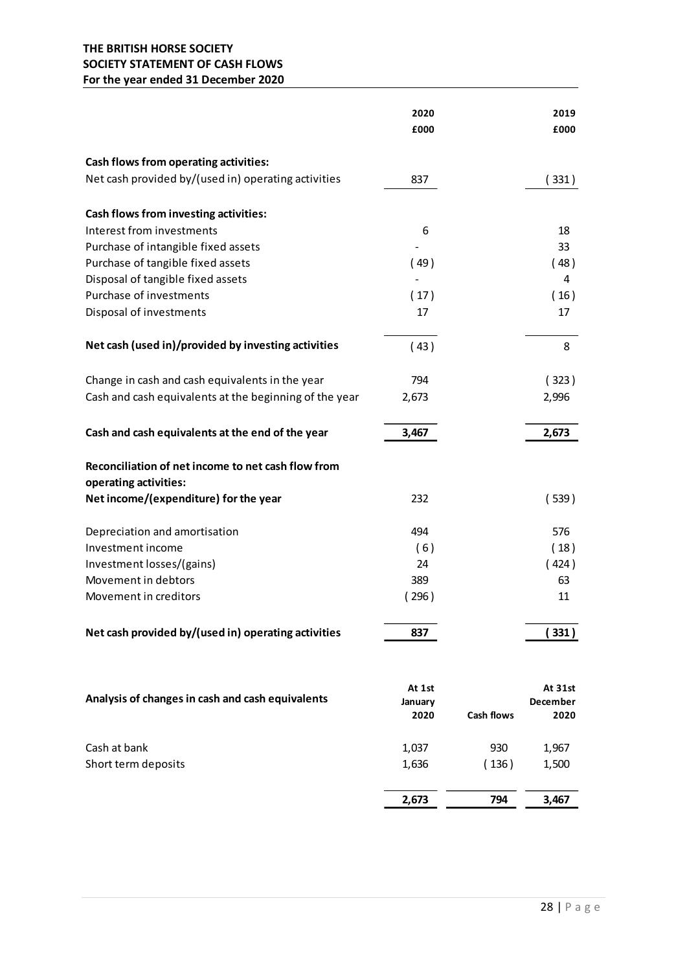## THE BRITISH HORSE SOCIETY SOCIETY STATEMENT OF CASH FLOWS For the year ended 31 December 2020

| SOCIETY STATEMENT OF CASH FLOWS<br>For the year ended 31 December 2020                                    |              |                   |                |
|-----------------------------------------------------------------------------------------------------------|--------------|-------------------|----------------|
|                                                                                                           |              |                   |                |
|                                                                                                           | 2020         |                   | 2019           |
|                                                                                                           | £000         |                   | £000           |
| Cash flows from operating activities:                                                                     |              |                   |                |
| Net cash provided by/(used in) operating activities                                                       | 837          |                   | (331)          |
|                                                                                                           |              |                   |                |
| Cash flows from investing activities:                                                                     |              |                   |                |
| Interest from investments                                                                                 | 6            |                   | 18             |
| Purchase of intangible fixed assets<br>Purchase of tangible fixed assets                                  | (49)         |                   | 33<br>(48)     |
| Disposal of tangible fixed assets                                                                         |              |                   | 4              |
| Purchase of investments                                                                                   | (17)         |                   | (16)           |
| Disposal of investments                                                                                   | 17           |                   | 17             |
| Net cash (used in)/provided by investing activities                                                       | (43)         |                   | 8              |
|                                                                                                           |              |                   |                |
| Change in cash and cash equivalents in the year<br>Cash and cash equivalents at the beginning of the year | 794<br>2,673 |                   | (323)<br>2,996 |
|                                                                                                           |              |                   |                |
| Cash and cash equivalents at the end of the year                                                          | 3,467        |                   | 2,673          |
| Reconciliation of net income to net cash flow from                                                        |              |                   |                |
| operating activities:                                                                                     |              |                   |                |
| Net income/(expenditure) for the year                                                                     | 232          |                   | (539)          |
| Depreciation and amortisation                                                                             | 494          |                   | 576            |
| Investment income                                                                                         | (6)          |                   | (18)           |
| Investment losses/(gains)                                                                                 | 24           |                   | (424)          |
| Movement in debtors                                                                                       | 389          |                   | 63             |
| Movement in creditors                                                                                     | (296)        |                   | 11             |
| Net cash provided by/(used in) operating activities                                                       | 837          |                   | (331)          |
|                                                                                                           |              |                   |                |
|                                                                                                           | At 1st       |                   | At 31st        |
| Analysis of changes in cash and cash equivalents                                                          | January      |                   | December       |
|                                                                                                           | 2020         | <b>Cash flows</b> | 2020           |
| Cash at bank                                                                                              | 1,037        | 930               | 1,967          |
| Short term deposits                                                                                       | 1,636        | (136)             | 1,500          |
|                                                                                                           |              |                   |                |
|                                                                                                           | 2,673        | 794               | 3,467          |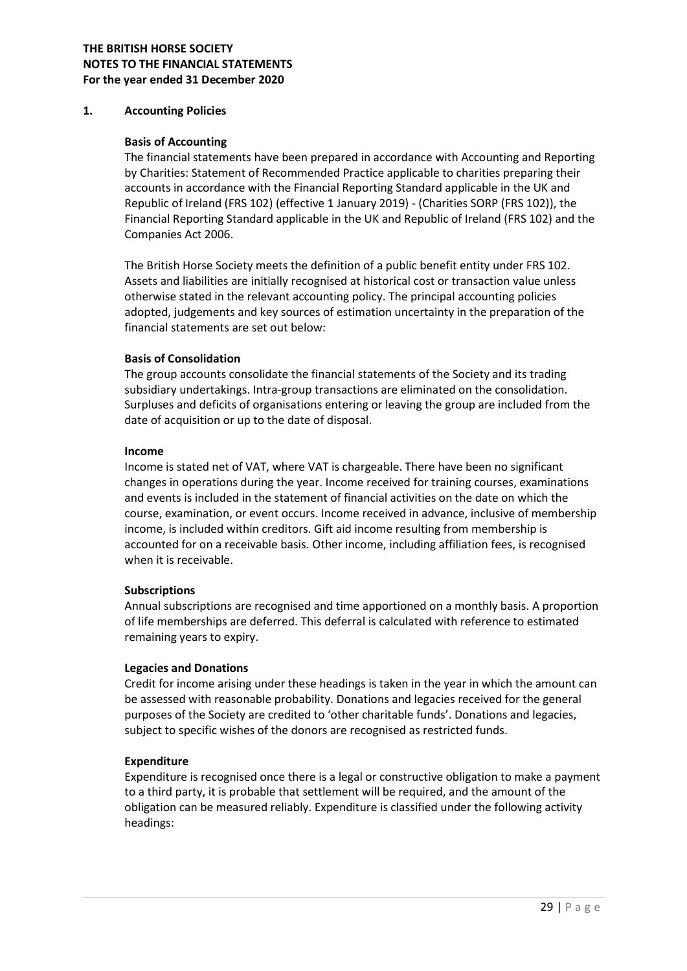#### 1. Accounting Policies

#### Basis of Accounting

The financial statements have been prepared in accordance with Accounting and Reporting by Charities: Statement of Recommended Practice applicable to charities preparing their accounts in accordance with the Financial Reporting Standard applicable in the UK and Republic of Ireland (FRS 102) (effective 1 January 2019) - (Charities SORP (FRS 102)), the Financial Reporting Standard applicable in the UK and Republic of Ireland (FRS 102) and the Companies Act 2006.

The British Horse Society meets the definition of a public benefit entity under FRS 102. Assets and liabilities are initially recognised at historical cost or transaction value unless otherwise stated in the relevant accounting policy. The principal accounting policies adopted, judgements and key sources of estimation uncertainty in the preparation of the financial statements are set out below:

#### Basis of Consolidation

The group accounts consolidate the financial statements of the Society and its trading subsidiary undertakings. Intra-group transactions are eliminated on the consolidation. Surpluses and deficits of organisations entering or leaving the group are included from the date of acquisition or up to the date of disposal.

#### Income

Income is stated net of VAT, where VAT is chargeable. There have been no significant changes in operations during the year. Income received for training courses, examinations and events is included in the statement of financial activities on the date on which the course, examination, or event occurs. Income received in advance, inclusive of membership income, is included within creditors. Gift aid income resulting from membership is accounted for on a receivable basis. Other income, including affiliation fees, is recognised when it is receivable.

#### Subscriptions

Annual subscriptions are recognised and time apportioned on a monthly basis. A proportion of life memberships are deferred. This deferral is calculated with reference to estimated remaining years to expiry.

#### Legacies and Donations

Credit for income arising under these headings is taken in the year in which the amount can be assessed with reasonable probability. Donations and legacies received for the general purposes of the Society are credited to 'other charitable funds'. Donations and legacies, subject to specific wishes of the donors are recognised as restricted funds.

#### Expenditure

Expenditure is recognised once there is a legal or constructive obligation to make a payment to a third party, it is probable that settlement will be required, and the amount of the obligation can be measured reliably. Expenditure is classified under the following activity headings: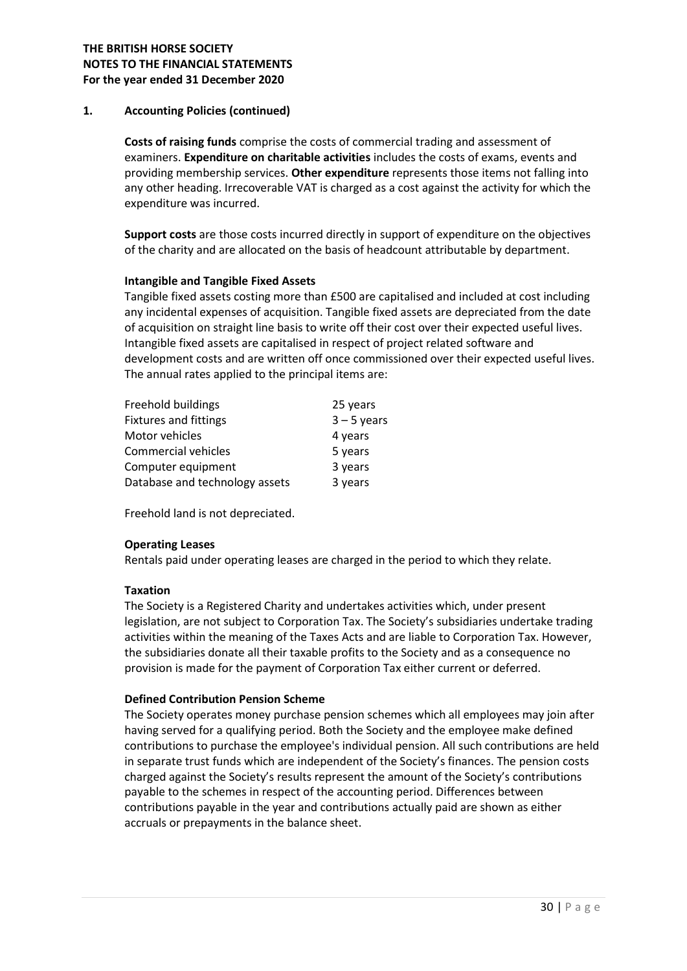## 1. Accounting Policies (continued)

Costs of raising funds comprise the costs of commercial trading and assessment of examiners. Expenditure on charitable activities includes the costs of exams, events and providing membership services. Other expenditure represents those items not falling into any other heading. Irrecoverable VAT is charged as a cost against the activity for which the expenditure was incurred.

Support costs are those costs incurred directly in support of expenditure on the objectives of the charity and are allocated on the basis of headcount attributable by department.

#### Intangible and Tangible Fixed Assets

Tangible fixed assets costing more than £500 are capitalised and included at cost including any incidental expenses of acquisition. Tangible fixed assets are depreciated from the date of acquisition on straight line basis to write off their cost over their expected useful lives. Intangible fixed assets are capitalised in respect of project related software and development costs and are written off once commissioned over their expected useful lives. The annual rates applied to the principal items are:

| 25 years      |
|---------------|
| $3 - 5$ years |
| 4 years       |
| 5 years       |
| 3 years       |
| 3 years       |
|               |

Freehold land is not depreciated.

#### Operating Leases

Rentals paid under operating leases are charged in the period to which they relate.

#### Taxation

The Society is a Registered Charity and undertakes activities which, under present legislation, are not subject to Corporation Tax. The Society's subsidiaries undertake trading activities within the meaning of the Taxes Acts and are liable to Corporation Tax. However, the subsidiaries donate all their taxable profits to the Society and as a consequence no provision is made for the payment of Corporation Tax either current or deferred.

#### Defined Contribution Pension Scheme

The Society operates money purchase pension schemes which all employees may join after having served for a qualifying period. Both the Society and the employee make defined contributions to purchase the employee's individual pension. All such contributions are held in separate trust funds which are independent of the Society's finances. The pension costs charged against the Society's results represent the amount of the Society's contributions payable to the schemes in respect of the accounting period. Differences between contributions payable in the year and contributions actually paid are shown as either accruals or prepayments in the balance sheet.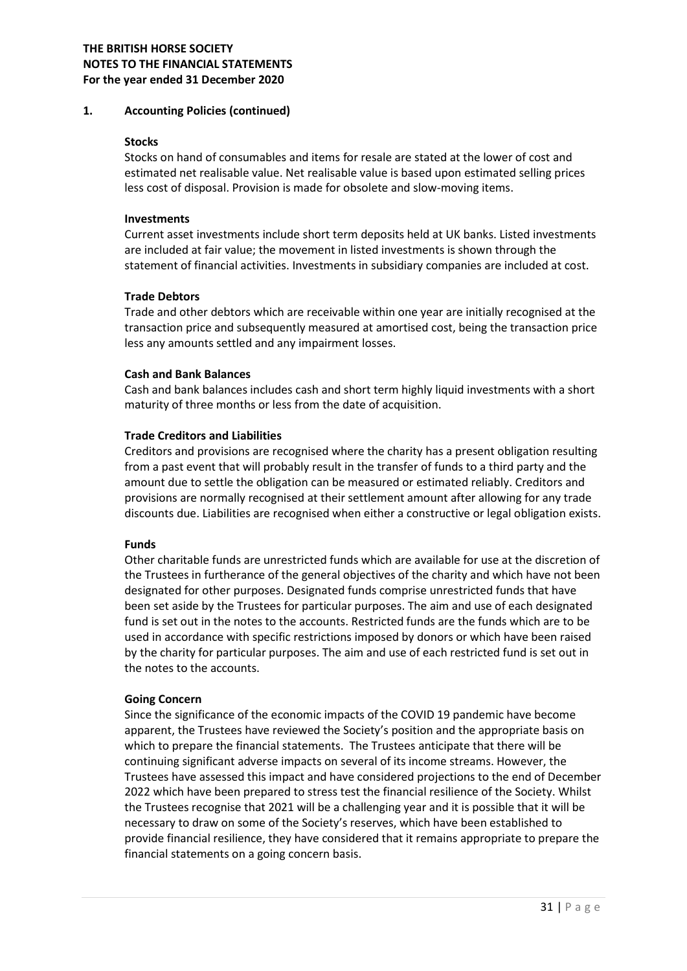#### 1. Accounting Policies (continued)

#### **Stocks**

Stocks on hand of consumables and items for resale are stated at the lower of cost and estimated net realisable value. Net realisable value is based upon estimated selling prices less cost of disposal. Provision is made for obsolete and slow-moving items.

#### Investments

Current asset investments include short term deposits held at UK banks. Listed investments are included at fair value; the movement in listed investments is shown through the statement of financial activities. Investments in subsidiary companies are included at cost.

#### Trade Debtors

Trade and other debtors which are receivable within one year are initially recognised at the transaction price and subsequently measured at amortised cost, being the transaction price less any amounts settled and any impairment losses.

#### Cash and Bank Balances

Cash and bank balances includes cash and short term highly liquid investments with a short maturity of three months or less from the date of acquisition.

#### Trade Creditors and Liabilities

Creditors and provisions are recognised where the charity has a present obligation resulting from a past event that will probably result in the transfer of funds to a third party and the amount due to settle the obligation can be measured or estimated reliably. Creditors and provisions are normally recognised at their settlement amount after allowing for any trade discounts due. Liabilities are recognised when either a constructive or legal obligation exists.

#### Funds

Other charitable funds are unrestricted funds which are available for use at the discretion of the Trustees in furtherance of the general objectives of the charity and which have not been designated for other purposes. Designated funds comprise unrestricted funds that have been set aside by the Trustees for particular purposes. The aim and use of each designated fund is set out in the notes to the accounts. Restricted funds are the funds which are to be used in accordance with specific restrictions imposed by donors or which have been raised by the charity for particular purposes. The aim and use of each restricted fund is set out in the notes to the accounts.

#### Going Concern

Since the significance of the economic impacts of the COVID 19 pandemic have become apparent, the Trustees have reviewed the Society's position and the appropriate basis on which to prepare the financial statements. The Trustees anticipate that there will be continuing significant adverse impacts on several of its income streams. However, the Trustees have assessed this impact and have considered projections to the end of December 2022 which have been prepared to stress test the financial resilience of the Society. Whilst the Trustees recognise that 2021 will be a challenging year and it is possible that it will be necessary to draw on some of the Society's reserves, which have been established to provide financial resilience, they have considered that it remains appropriate to prepare the financial statements on a going concern basis.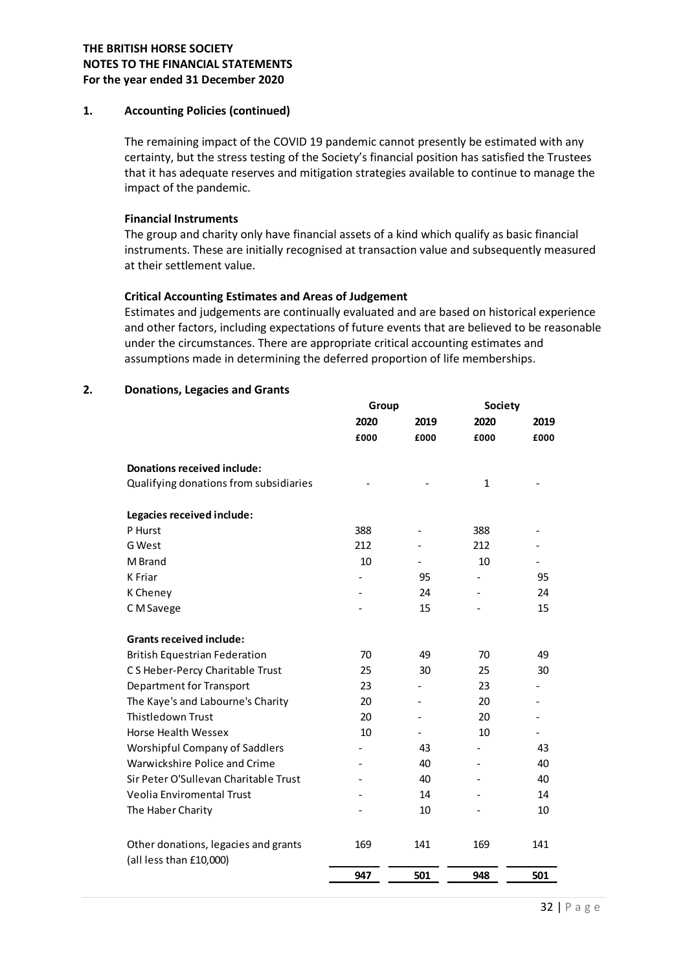#### 1. Accounting Policies (continued)

#### Financial Instruments

#### Critical Accounting Estimates and Areas of Judgement

#### 2. Donations, Legacies and Grants

|                                                                                                  | 947       | 501      | 948       | 501      |  |
|--------------------------------------------------------------------------------------------------|-----------|----------|-----------|----------|--|
| Other donations, legacies and grants<br>(all less than £10,000)                                  | 169       | 141      | 169       | 141      |  |
|                                                                                                  |           |          |           |          |  |
| The Haber Charity                                                                                |           | 10       |           | 10       |  |
| Sir Peter O'Sullevan Charitable Trust<br>Veolia Enviromental Trust                               |           | 40<br>14 |           | 40<br>14 |  |
| Warwickshire Police and Crime                                                                    |           | 40       |           | 40       |  |
| <b>Worshipful Company of Saddlers</b>                                                            |           | 43       |           | 43       |  |
| Horse Health Wessex                                                                              | 10        |          | 10        |          |  |
| Thistledown Trust                                                                                | 20        |          | 20        |          |  |
| The Kaye's and Labourne's Charity                                                                | 20        |          | 20        |          |  |
| Department for Transport                                                                         | 23        |          | 23        |          |  |
| C S Heber-Percy Charitable Trust                                                                 | 25        | 30       | 25        | 30       |  |
| <b>British Equestrian Federation</b>                                                             | 70        | 49       | 70        | 49       |  |
| <b>Grants received include:</b>                                                                  |           |          |           |          |  |
| C M Savege                                                                                       |           | 15       |           | 15       |  |
| K Cheney                                                                                         |           | 24       |           | 24       |  |
| K Friar                                                                                          |           | 95       |           | 95       |  |
| G West<br>M Brand                                                                                | 212<br>10 |          | 212<br>10 |          |  |
| P Hurst                                                                                          | 388       |          | 388       |          |  |
| Legacies received include:                                                                       |           |          |           |          |  |
|                                                                                                  |           |          |           |          |  |
| <b>Donations received include:</b><br>Qualifying donations from subsidiaries                     |           |          | 1         |          |  |
|                                                                                                  |           |          |           |          |  |
|                                                                                                  | £000      | £000     | £000      | £000     |  |
|                                                                                                  | 2020      | 2019     | 2020      | 2019     |  |
|                                                                                                  | Group     |          | Society   |          |  |
| <b>Donations, Legacies and Grants</b>                                                            |           |          |           |          |  |
| assumptions made in determining the deferred proportion of life memberships.                     |           |          |           |          |  |
| under the circumstances. There are appropriate critical accounting estimates and                 |           |          |           |          |  |
| and other factors, including expectations of future events that are believed to be reasonable    |           |          |           |          |  |
| Estimates and judgements are continually evaluated and are based on historical experience        |           |          |           |          |  |
| <b>Critical Accounting Estimates and Areas of Judgement</b>                                      |           |          |           |          |  |
| at their settlement value.                                                                       |           |          |           |          |  |
| instruments. These are initially recognised at transaction value and subsequently measured       |           |          |           |          |  |
| The group and charity only have financial assets of a kind which qualify as basic financial      |           |          |           |          |  |
| <b>Financial Instruments</b>                                                                     |           |          |           |          |  |
| impact of the pandemic.                                                                          |           |          |           |          |  |
| that it has adequate reserves and mitigation strategies available to continue to manage the      |           |          |           |          |  |
| certainty, but the stress testing of the Society's financial position has satisfied the Trustees |           |          |           |          |  |
| The remaining impact of the COVID 19 pandemic cannot presently be estimated with any             |           |          |           |          |  |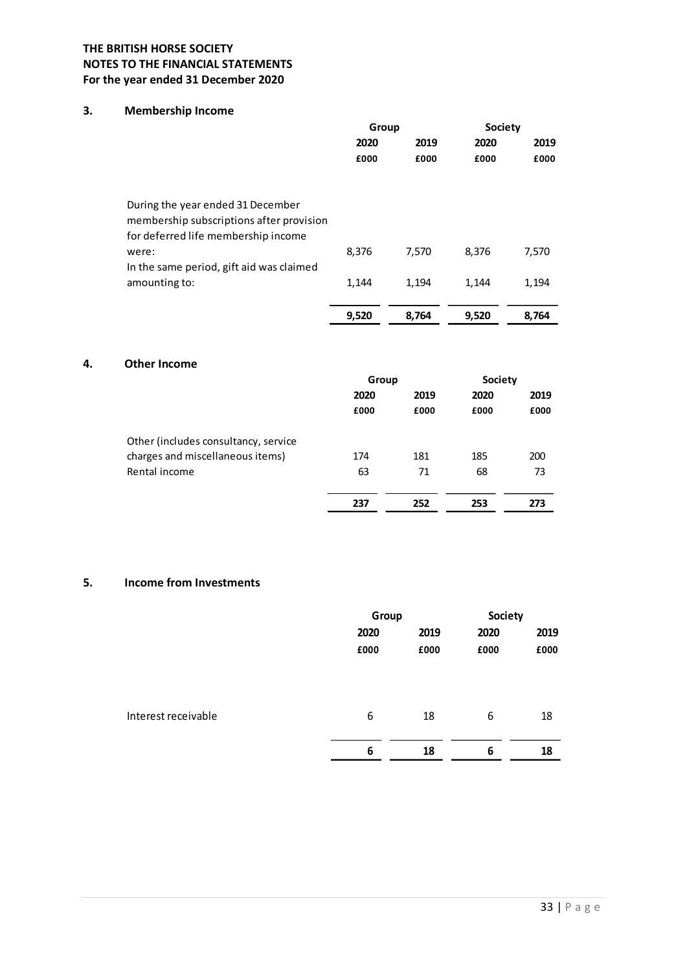## 3. Membership Income

| <b>RITISH HORSE SOCIETY</b>                                                                                          |               |               |                        |           |
|----------------------------------------------------------------------------------------------------------------------|---------------|---------------|------------------------|-----------|
| TO THE FINANCIAL STATEMENTS<br>year ended 31 December 2020                                                           |               |               |                        |           |
| <b>Membership Income</b>                                                                                             |               |               |                        |           |
|                                                                                                                      | Group<br>2020 | 2019          | <b>Society</b><br>2020 | 2019      |
|                                                                                                                      | £000          | £000          | £000                   | £000      |
| During the year ended 31 December<br>membership subscriptions after provision<br>for deferred life membership income |               |               |                        |           |
| were:<br>In the same period, gift aid was claimed                                                                    | 8,376         | 7,570         | 8,376                  | 7,570     |
| amounting to:                                                                                                        | 1,144         | 1,194         | 1,144                  | 1,194     |
|                                                                                                                      | 9,520         | 8,764         | 9,520                  | 8,764     |
| <b>Other Income</b>                                                                                                  |               |               |                        |           |
|                                                                                                                      | Group<br>2020 | 2019          | <b>Society</b><br>2020 | 2019      |
|                                                                                                                      | £000          | £000          | £000                   | £000      |
| Other (includes consultancy, service                                                                                 |               |               |                        |           |
| charges and miscellaneous items)<br>Rental income                                                                    | 174<br>63     | 181<br>$71\,$ | 185<br>68              | 200<br>73 |
|                                                                                                                      |               |               |                        |           |

#### 4. Other Income

| <b>Other Income</b>                  |                  |        |                  |      |
|--------------------------------------|------------------|--------|------------------|------|
|                                      | Group            |        | Society          |      |
|                                      | 2019<br>2020     |        | 2019<br>2020     |      |
|                                      | £000             | £000   | £000             | £000 |
| Other (includes consultancy, service |                  |        |                  |      |
| charges and miscellaneous items)     | 174              | 181    | 185              | 200  |
| Rental income                        | 63               | $71\,$ | 68               | 73   |
|                                      |                  |        |                  |      |
|                                      | 237              | 252    | 253              | 273  |
| <b>Income from Investments</b>       |                  |        |                  |      |
|                                      | Group            |        | <b>Society</b>   |      |
|                                      | 2020             | 2019   | 2020             | 2019 |
|                                      | £000             | £000   | £000             | £000 |
|                                      |                  |        |                  |      |
| Interest receivable                  | $\boldsymbol{6}$ | 18     | $\boldsymbol{6}$ | 18   |
|                                      |                  |        |                  |      |

## 5. Income from Investments

|                     | Group |      | <b>Society</b> |      |
|---------------------|-------|------|----------------|------|
|                     | 2020  | 2019 | 2020           | 2019 |
|                     | £000  | £000 | £000           | £000 |
|                     |       |      |                |      |
|                     |       |      |                |      |
| Interest receivable | 6     | 18   | 6              | 18   |
|                     |       |      |                |      |
|                     | 6     | 18   | 6              | 18   |
|                     |       |      |                |      |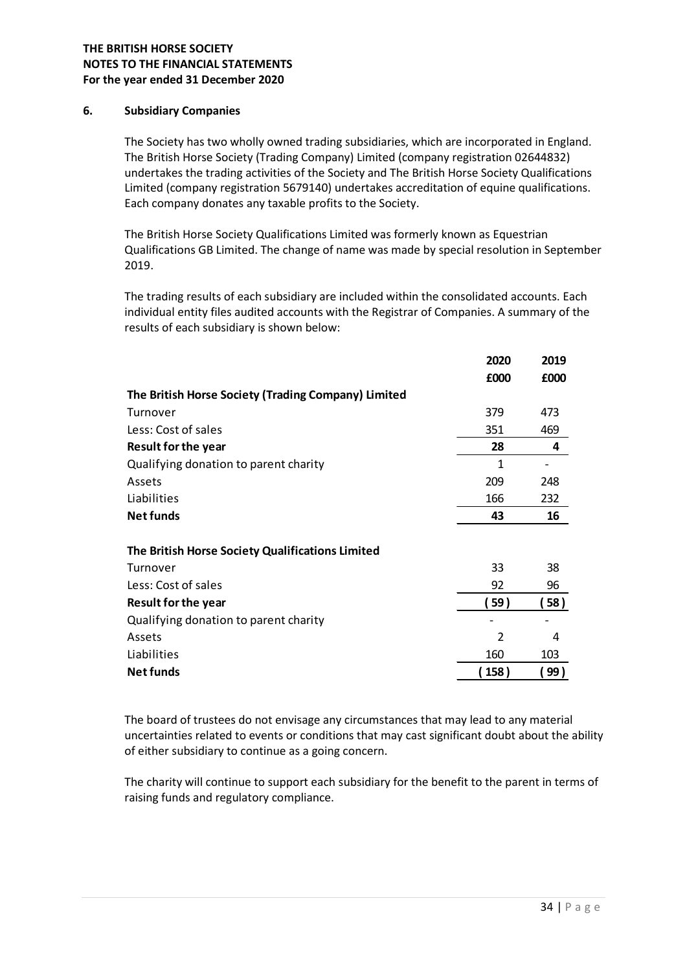#### 6. Subsidiary Companies

The Society has two wholly owned trading subsidiaries, which are incorporated in England. The British Horse Society (Trading Company) Limited (company registration 02644832) undertakes the trading activities of the Society and The British Horse Society Qualifications Limited (company registration 5679140) undertakes accreditation of equine qualifications. Each company donates any taxable profits to the Society.

The British Horse Society Qualifications Limited was formerly known as Equestrian Qualifications GB Limited. The change of name was made by special resolution in September 2019.

The trading results of each subsidiary are included within the consolidated accounts. Each individual entity files audited accounts with the Registrar of Companies. A summary of the results of each subsidiary is shown below:

|                                                     | 2020                    | 2019 |
|-----------------------------------------------------|-------------------------|------|
|                                                     | £000                    | £000 |
| The British Horse Society (Trading Company) Limited |                         |      |
| Turnover                                            | 379                     | 473  |
| Less: Cost of sales                                 | 351                     | 469  |
| <b>Result for the year</b>                          | 28                      | 4    |
| Qualifying donation to parent charity               | 1                       |      |
| Assets                                              | 209                     | 248  |
| Liabilities                                         | 166                     | 232  |
| <b>Net funds</b>                                    | 43                      | 16   |
|                                                     |                         |      |
| The British Horse Society Qualifications Limited    |                         |      |
| Turnover                                            | 33                      | 38   |
| Less: Cost of sales                                 | 92                      | 96   |
| <b>Result for the year</b>                          | 【59 】                   | 58)  |
| Qualifying donation to parent charity               |                         |      |
| Assets                                              | $\overline{\mathbf{c}}$ | 4    |
| Liabilities                                         | 160                     | 103  |
| <b>Net funds</b>                                    | (158)                   | 99)  |

The board of trustees do not envisage any circumstances that may lead to any material uncertainties related to events or conditions that may cast significant doubt about the ability of either subsidiary to continue as a going concern.

The charity will continue to support each subsidiary for the benefit to the parent in terms of raising funds and regulatory compliance.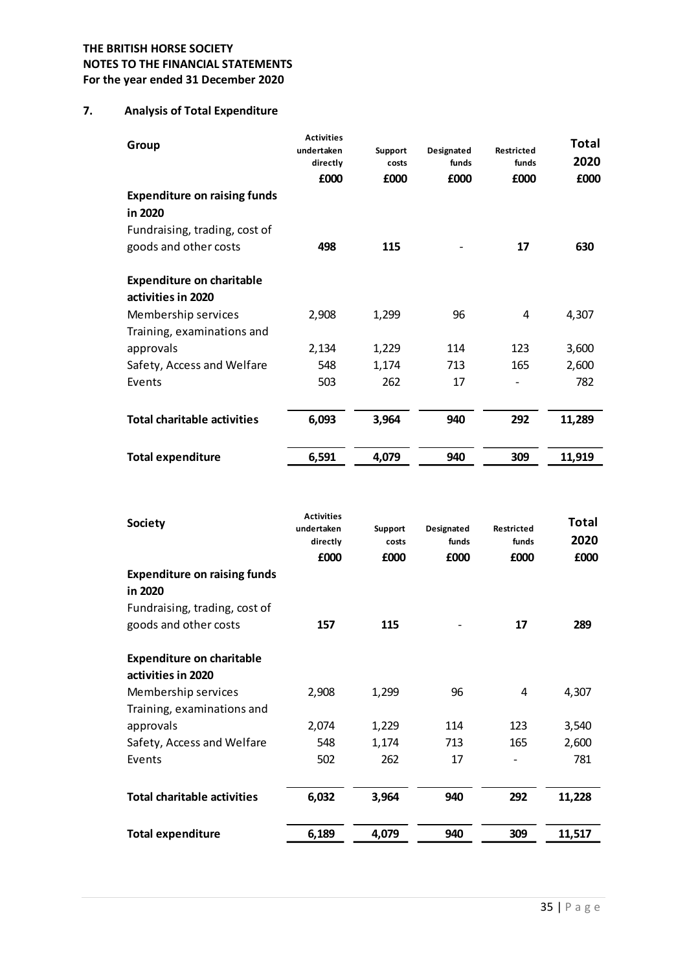## 7. Analysis of Total Expenditure

| <b>ITISH HORSE SOCIETY</b>                                 |                                                     |                          |                             |                             |                              |
|------------------------------------------------------------|-----------------------------------------------------|--------------------------|-----------------------------|-----------------------------|------------------------------|
| TO THE FINANCIAL STATEMENTS<br>year ended 31 December 2020 |                                                     |                          |                             |                             |                              |
| <b>Analysis of Total Expenditure</b>                       |                                                     |                          |                             |                             |                              |
| Group                                                      | <b>Activities</b><br>undertaken<br>directly<br>£000 | Support<br>costs<br>£000 | Designated<br>funds<br>£000 | Restricted<br>funds<br>£000 | <b>Total</b><br>2020<br>£000 |
| <b>Expenditure on raising funds</b><br>in 2020             |                                                     |                          |                             |                             |                              |
| Fundraising, trading, cost of                              |                                                     |                          |                             |                             |                              |
| goods and other costs                                      | 498                                                 | 115                      |                             | 17                          | 630                          |
| <b>Expenditure on charitable</b><br>activities in 2020     |                                                     |                          |                             |                             |                              |
| Membership services                                        | 2,908                                               | 1,299                    | 96                          | 4                           | 4,307                        |
| Training, examinations and                                 |                                                     |                          |                             |                             |                              |
| approvals                                                  | 2,134                                               | 1,229                    | 114                         | 123                         | 3,600                        |
| Safety, Access and Welfare                                 | 548                                                 | 1,174                    | 713                         | 165                         | 2,600                        |
| Events                                                     | 503                                                 | 262                      | 17                          | $\overline{\phantom{a}}$    | 782                          |
| <b>Total charitable activities</b>                         | 6,093                                               | 3,964                    | 940                         | 292                         | 11,289                       |
| <b>Total expenditure</b>                                   | 6,591                                               | 4,079                    | 940                         | 309                         | 11,919                       |

| <b>Society</b>                      | <b>Activities</b><br>undertaken<br>directly<br>£000 | Support<br>costs<br>£000 | Designated<br>funds<br>£000 | <b>Restricted</b><br>funds<br>£000 | <b>Total</b><br>2020<br>£000 |
|-------------------------------------|-----------------------------------------------------|--------------------------|-----------------------------|------------------------------------|------------------------------|
| <b>Expenditure on raising funds</b> |                                                     |                          |                             |                                    |                              |
| in 2020                             |                                                     |                          |                             |                                    |                              |
| Fundraising, trading, cost of       |                                                     |                          |                             |                                    |                              |
| goods and other costs               | 157                                                 | 115                      |                             | 17                                 | 289                          |
| <b>Expenditure on charitable</b>    |                                                     |                          |                             |                                    |                              |
| activities in 2020                  |                                                     |                          |                             |                                    |                              |
| Membership services                 | 2,908                                               | 1,299                    | 96                          | 4                                  | 4,307                        |
| Training, examinations and          |                                                     |                          |                             |                                    |                              |
| approvals                           | 2,074                                               | 1,229                    | 114                         | 123                                | 3,540                        |
| Safety, Access and Welfare          | 548                                                 | 1,174                    | 713                         | 165                                | 2,600                        |
| Events                              | 502                                                 | 262                      | 17                          |                                    | 781                          |
| <b>Total charitable activities</b>  | 6,032                                               | 3,964                    | 940                         | 292                                | 11,228                       |
|                                     |                                                     |                          |                             |                                    |                              |
| <b>Total expenditure</b>            | 6,189                                               | 4,079                    | 940                         | 309                                | 11,517                       |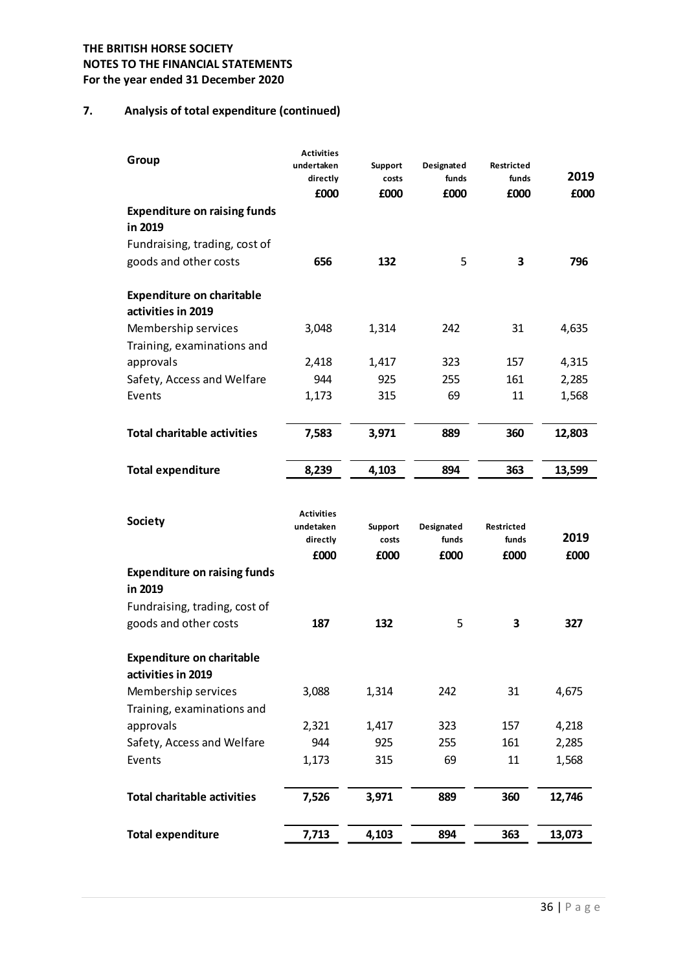# 7. Analysis of total expenditure (continued)

| <b>ITISH HORSE SOCIETY</b><br>TO THE FINANCIAL STATEMENTS |                                |                |               |               |                |
|-----------------------------------------------------------|--------------------------------|----------------|---------------|---------------|----------------|
| year ended 31 December 2020                               |                                |                |               |               |                |
|                                                           |                                |                |               |               |                |
| Analysis of total expenditure (continued)                 |                                |                |               |               |                |
|                                                           | <b>Activities</b>              |                |               |               |                |
| Group                                                     | undertaken                     | <b>Support</b> | Designated    | Restricted    |                |
|                                                           | directly<br>£000               | costs<br>£000  | funds<br>£000 | funds<br>£000 | 2019<br>£000   |
| <b>Expenditure on raising funds</b>                       |                                |                |               |               |                |
| in 2019                                                   |                                |                |               |               |                |
| Fundraising, trading, cost of                             |                                |                |               |               |                |
| goods and other costs                                     | 656                            | 132            | 5             | 3             | 796            |
|                                                           |                                |                |               |               |                |
| <b>Expenditure on charitable</b>                          |                                |                |               |               |                |
| activities in 2019                                        |                                |                |               |               |                |
| Membership services                                       | 3,048                          | 1,314          | 242           | 31            | 4,635          |
| Training, examinations and                                |                                |                |               |               |                |
| approvals                                                 | 2,418                          | 1,417          | 323           | 157           | 4,315          |
| Safety, Access and Welfare<br>Events                      | 944<br>1,173                   | 925<br>315     | 255<br>69     | 161<br>11     | 2,285<br>1,568 |
|                                                           |                                |                |               |               |                |
| <b>Total charitable activities</b>                        | 7,583                          | 3,971          | 889           | 360           | 12,803         |
|                                                           |                                |                |               |               |                |
| <b>Total expenditure</b>                                  | 8,239                          | 4,103          | 894           | 363           | 13,599         |
|                                                           |                                |                |               |               |                |
| <b>Society</b>                                            | <b>Activities</b><br>undetaken | Support        | Designated    | Restricted    |                |
|                                                           | directly                       | costs          | funds         | funds         | 2019           |
|                                                           | £000                           | £000           | £000          | £000          | £000           |
| <b>Expenditure on raising funds</b>                       |                                |                |               |               |                |
| in 2019                                                   |                                |                |               |               |                |
| Fundraising, trading, cost of                             |                                |                |               |               | 327            |
| goods and other costs                                     | 187                            | 132            | 5             | 3             |                |
| <b>Expenditure on charitable</b>                          |                                |                |               |               |                |
| activities in 2019                                        |                                |                |               |               |                |
| Membership services                                       | 3,088                          | 1,314          | 242           | 31            | 4,675          |
| Training, examinations and                                |                                |                |               |               |                |
| approvals                                                 | 2,321                          | 1,417          | 323           | 157           | 4,218          |
| Safety, Access and Welfare                                | 944                            | 925            | 255           | 161           | 2,285          |
| Events                                                    | 1,173                          | 315            | 69            | 11            | 1,568          |
| <b>Total charitable activities</b>                        | 7,526                          | 3,971          | 889           | 360           | 12,746         |
|                                                           |                                |                |               |               |                |
| <b>Total expenditure</b>                                  | 7,713                          | 4,103          | 894           | 363           | 13,073         |
|                                                           |                                |                |               |               |                |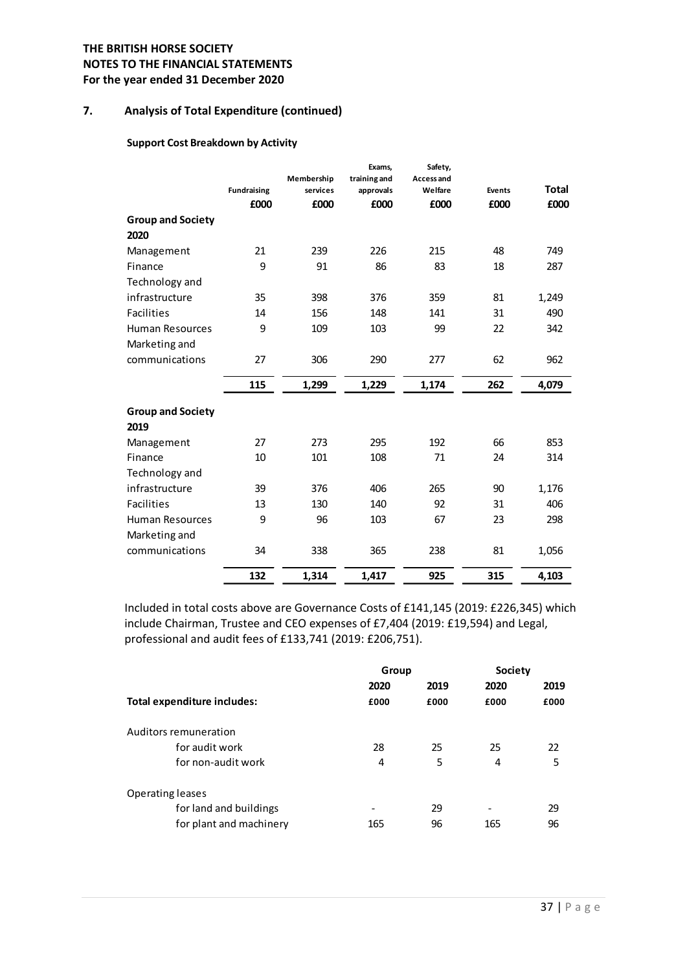## 7. Analysis of Total Expenditure (continued)

#### Support Cost Breakdown by Activity

| <b>Group and Society</b><br>2020<br>Management<br>Finance<br>Technology and<br>infrastructure<br><b>Facilities</b> | 21<br>9<br>35 | £000<br>239<br>91 | £000  | £000  | £000 | £000  |
|--------------------------------------------------------------------------------------------------------------------|---------------|-------------------|-------|-------|------|-------|
|                                                                                                                    |               |                   |       |       |      |       |
|                                                                                                                    |               |                   |       |       |      |       |
|                                                                                                                    |               |                   | 226   | 215   | 48   | 749   |
|                                                                                                                    |               |                   | 86    | 83    | 18   | 287   |
|                                                                                                                    |               |                   |       |       |      |       |
|                                                                                                                    |               | 398               | 376   | 359   | 81   | 1,249 |
|                                                                                                                    | 14            | 156               | 148   | 141   | 31   | 490   |
| Human Resources                                                                                                    | 9             | 109               | 103   | 99    | 22   | 342   |
| Marketing and                                                                                                      |               |                   |       |       |      |       |
| communications                                                                                                     | 27            | 306               | 290   | 277   | 62   | 962   |
|                                                                                                                    | 115           | 1,299             | 1,229 | 1,174 | 262  | 4,079 |
| <b>Group and Society</b><br>2019                                                                                   |               |                   |       |       |      |       |
| Management                                                                                                         | 27            | 273               | 295   | 192   | 66   | 853   |
| Finance                                                                                                            | $10\,$        | 101               | 108   | 71    | 24   | 314   |
| Technology and                                                                                                     |               |                   |       |       |      |       |
| infrastructure                                                                                                     | 39            | 376               | 406   | 265   | 90   | 1,176 |
| Facilities                                                                                                         | 13            | 130               | 140   | 92    | 31   | 406   |
| Human Resources                                                                                                    | 9             | 96                | 103   | 67    | 23   | 298   |
| Marketing and                                                                                                      |               |                   |       |       |      |       |
| communications                                                                                                     | 34            | 338               | 365   | 238   | 81   | 1,056 |
|                                                                                                                    | 132           | 1,314             | 1,417 | 925   | 315  | 4,103 |

| Total expenditure includes: |
|-----------------------------|
| Auditors remuneration       |
| for audit work              |
| for non-audit work          |
| <b>Operating leases</b>     |
| for land and buildings      |
| for plant and machinery     |
|                             |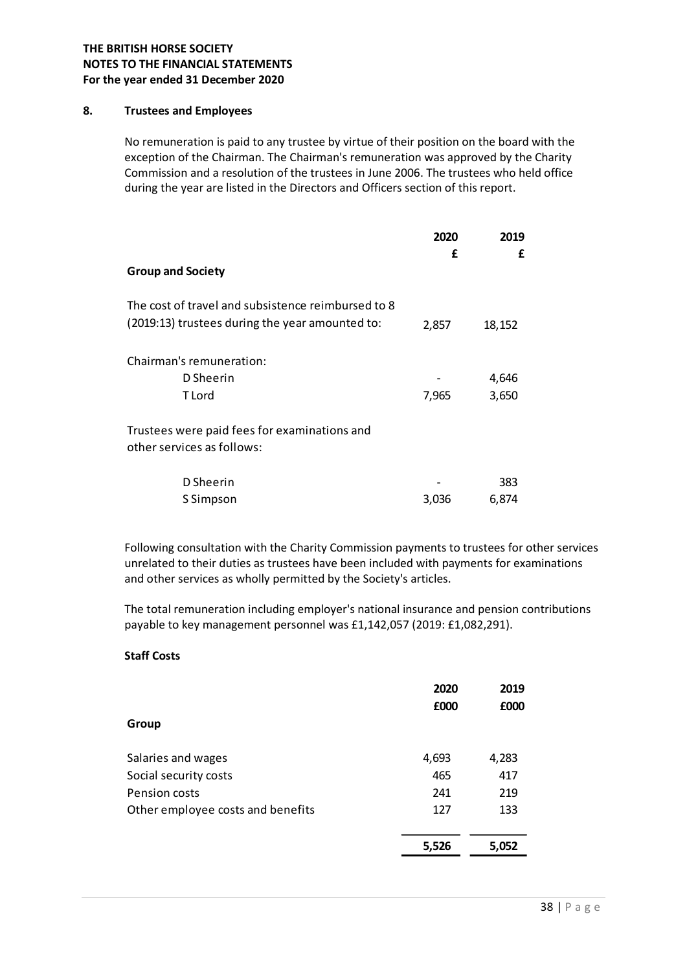#### 8. Trustees and Employees

| <b>TISH HORSE SOCIETY</b><br>O THE FINANCIAL STATEMENTS                                                                                                                                                                                                                                                                                                                                                                                                         |              |              |  |
|-----------------------------------------------------------------------------------------------------------------------------------------------------------------------------------------------------------------------------------------------------------------------------------------------------------------------------------------------------------------------------------------------------------------------------------------------------------------|--------------|--------------|--|
| ear ended 31 December 2020                                                                                                                                                                                                                                                                                                                                                                                                                                      |              |              |  |
| <b>Trustees and Employees</b>                                                                                                                                                                                                                                                                                                                                                                                                                                   |              |              |  |
| No remuneration is paid to any trustee by virtue of their position on the board with the<br>exception of the Chairman. The Chairman's remuneration was approved by the Charity<br>Commission and a resolution of the trustees in June 2006. The trustees who held office<br>during the year are listed in the Directors and Officers section of this report.                                                                                                    |              |              |  |
|                                                                                                                                                                                                                                                                                                                                                                                                                                                                 | 2020         | 2019         |  |
|                                                                                                                                                                                                                                                                                                                                                                                                                                                                 | £            | £            |  |
| <b>Group and Society</b>                                                                                                                                                                                                                                                                                                                                                                                                                                        |              |              |  |
| The cost of travel and subsistence reimbursed to 8                                                                                                                                                                                                                                                                                                                                                                                                              |              |              |  |
| (2019:13) trustees during the year amounted to:                                                                                                                                                                                                                                                                                                                                                                                                                 | 2,857        | 18,152       |  |
| Chairman's remuneration:                                                                                                                                                                                                                                                                                                                                                                                                                                        |              |              |  |
| D Sheerin                                                                                                                                                                                                                                                                                                                                                                                                                                                       |              | 4,646        |  |
| T Lord                                                                                                                                                                                                                                                                                                                                                                                                                                                          | 7,965        | 3,650        |  |
| Trustees were paid fees for examinations and<br>other services as follows:                                                                                                                                                                                                                                                                                                                                                                                      |              |              |  |
| D Sheerin                                                                                                                                                                                                                                                                                                                                                                                                                                                       |              | 383          |  |
| S Simpson                                                                                                                                                                                                                                                                                                                                                                                                                                                       | 3,036        | 6,874        |  |
| Following consultation with the Charity Commission payments to trustees for other services<br>unrelated to their duties as trustees have been included with payments for examinations<br>and other services as wholly permitted by the Society's articles.<br>The total remuneration including employer's national insurance and pension contributions<br>payable to key management personnel was £1,142,057 (2019: £1,082,291).<br><b>Staff Costs</b><br>Group | 2020<br>£000 | 2019<br>£000 |  |
| Salaries and wages                                                                                                                                                                                                                                                                                                                                                                                                                                              | 4,693        | 4,283        |  |
| Social cocurity costs                                                                                                                                                                                                                                                                                                                                                                                                                                           | A G5         | 117          |  |

## Staff Costs

| Trustees were paid fees for examinations and<br>other services as follows:                                                                                                                                                                                                                                                                                                                                                       |              |              |  |
|----------------------------------------------------------------------------------------------------------------------------------------------------------------------------------------------------------------------------------------------------------------------------------------------------------------------------------------------------------------------------------------------------------------------------------|--------------|--------------|--|
| D Sheerin                                                                                                                                                                                                                                                                                                                                                                                                                        |              | 383          |  |
| S Simpson                                                                                                                                                                                                                                                                                                                                                                                                                        | 3,036        | 6,874        |  |
| Following consultation with the Charity Commission payments to trustees for other services<br>unrelated to their duties as trustees have been included with payments for examinations<br>and other services as wholly permitted by the Society's articles.<br>The total remuneration including employer's national insurance and pension contributions<br>payable to key management personnel was £1,142,057 (2019: £1,082,291). |              |              |  |
| <b>Staff Costs</b>                                                                                                                                                                                                                                                                                                                                                                                                               |              |              |  |
|                                                                                                                                                                                                                                                                                                                                                                                                                                  | 2020<br>£000 | 2019<br>£000 |  |
| Group                                                                                                                                                                                                                                                                                                                                                                                                                            |              |              |  |
| Salaries and wages                                                                                                                                                                                                                                                                                                                                                                                                               | 4,693        | 4,283        |  |
| Social security costs                                                                                                                                                                                                                                                                                                                                                                                                            | 465          | 417          |  |
| Pension costs                                                                                                                                                                                                                                                                                                                                                                                                                    | 241          | 219          |  |
| Other employee costs and benefits                                                                                                                                                                                                                                                                                                                                                                                                | 127          | 133          |  |
|                                                                                                                                                                                                                                                                                                                                                                                                                                  | 5,526        | 5,052        |  |
|                                                                                                                                                                                                                                                                                                                                                                                                                                  |              |              |  |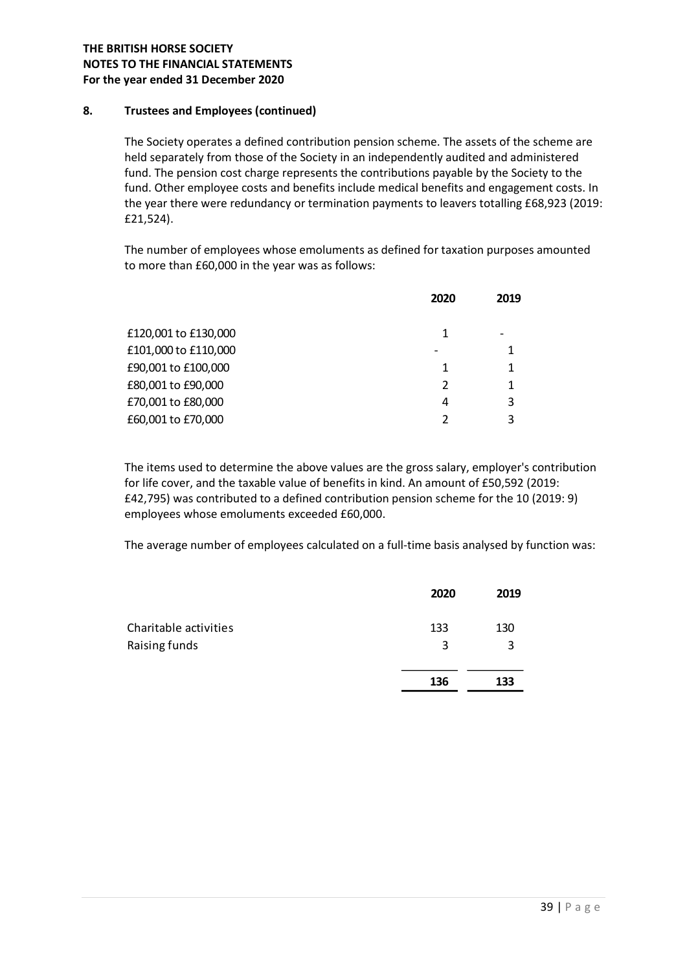## 8. Trustees and Employees (continued)

The Society operates a defined contribution pension scheme. The assets of the scheme are held separately from those of the Society in an independently audited and administered fund. The pension cost charge represents the contributions payable by the Society to the fund. Other employee costs and benefits include medical benefits and engagement costs. In the year there were redundancy or termination payments to leavers totalling £68,923 (2019: £21,524). e. The assets of the scheme are<br>tly audited and administered<br>payable by the Society to the<br>enefits and engagement costs. In<br>o leavers totalling £68,923 (2019:<br>or taxation purposes amounted<br>2020 2019<br>1<br>1<br>- 1<br>1<br>1<br>1<br>2<br>2

The number of employees whose emoluments as defined for taxation purposes amounted to more than £60,000 in the year was as follows:

|                                                                                                                                                                                                                                                                                                                                                                                                                            | 2020           | 2019   |  |
|----------------------------------------------------------------------------------------------------------------------------------------------------------------------------------------------------------------------------------------------------------------------------------------------------------------------------------------------------------------------------------------------------------------------------|----------------|--------|--|
| £120,001 to £130,000                                                                                                                                                                                                                                                                                                                                                                                                       | $\mathbf{1}$   |        |  |
| £101,000 to £110,000                                                                                                                                                                                                                                                                                                                                                                                                       |                | 1      |  |
| £90,001 to £100,000                                                                                                                                                                                                                                                                                                                                                                                                        | 1              | 1      |  |
| £80,001 to £90,000                                                                                                                                                                                                                                                                                                                                                                                                         | 2              | 1      |  |
| £70,001 to £80,000                                                                                                                                                                                                                                                                                                                                                                                                         | 4              | 3      |  |
| £60,001 to £70,000                                                                                                                                                                                                                                                                                                                                                                                                         | $\overline{2}$ | 3      |  |
| The items used to determine the above values are the gross salary, employer's contribution<br>or life cover, and the taxable value of benefits in kind. An amount of £50,592 (2019:<br>£42,795) was contributed to a defined contribution pension scheme for the 10 (2019: 9)<br>employees whose emoluments exceeded £60,000.<br>The average number of employees calculated on a full-time basis analysed by function was: |                |        |  |
|                                                                                                                                                                                                                                                                                                                                                                                                                            | 2020           | 2019   |  |
| Charitable activities                                                                                                                                                                                                                                                                                                                                                                                                      | 133            | 130    |  |
| Raising funds                                                                                                                                                                                                                                                                                                                                                                                                              | 3              | 3      |  |
|                                                                                                                                                                                                                                                                                                                                                                                                                            | $\sim$         | $\sim$ |  |

|                       | 2020 | 2019 |
|-----------------------|------|------|
| Charitable activities | 133  | 130  |
| Raising funds         | 3    | 3    |
|                       | 136  | 133  |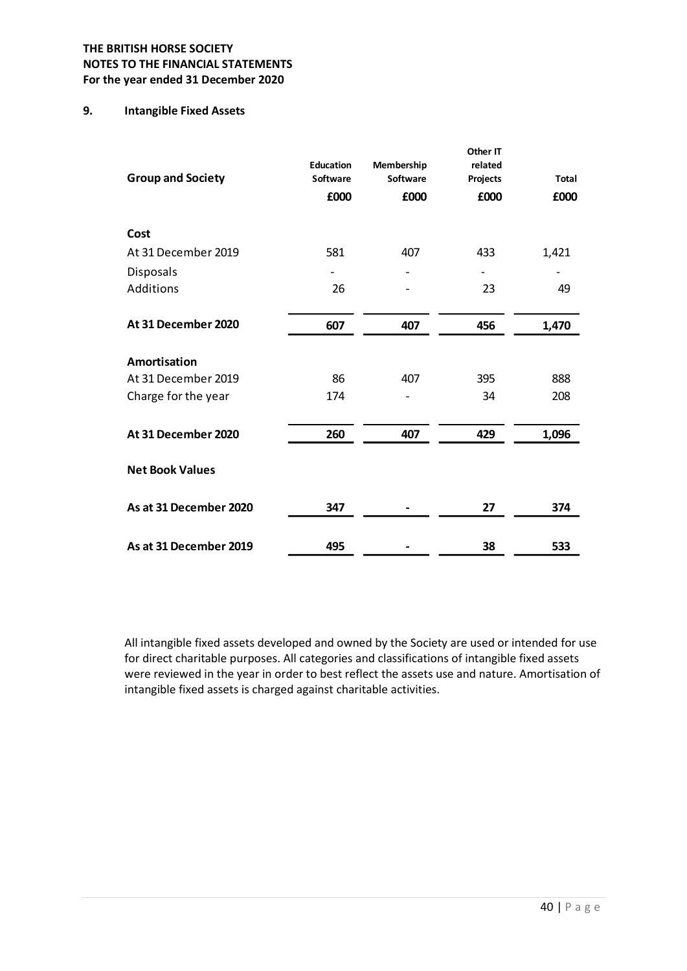## 9. Intangible Fixed Assets

| <b>TISH HORSE SOCIETY</b>      |                          |                          |                          |       |
|--------------------------------|--------------------------|--------------------------|--------------------------|-------|
| TO THE FINANCIAL STATEMENTS    |                          |                          |                          |       |
| year ended 31 December 2020    |                          |                          |                          |       |
| <b>Intangible Fixed Assets</b> |                          |                          |                          |       |
|                                |                          |                          | Other IT                 |       |
| <b>Group and Society</b>       | Education<br>Software    | Membership<br>Software   | related<br>Projects      | Total |
|                                | £000                     | £000                     | £000                     | £000  |
| Cost                           |                          |                          |                          |       |
| At 31 December 2019            | 581                      | 407                      | 433                      | 1,421 |
| Disposals                      | $\overline{\phantom{a}}$ |                          | $\overline{\phantom{a}}$ |       |
| Additions                      | 26                       |                          | 23                       | 49    |
| At 31 December 2020            | 607                      | 407                      | 456                      | 1,470 |
| Amortisation                   |                          |                          |                          |       |
| At 31 December 2019            | 86                       | 407                      | 395                      | 888   |
| Charge for the year            | 174                      | $\overline{\phantom{a}}$ | 34                       | 208   |
| At 31 December 2020            | 260                      | 407                      | 429                      | 1,096 |
| <b>Net Book Values</b>         |                          |                          |                          |       |
| As at 31 December 2020         | 347                      |                          | 27                       | 374   |
| As at 31 December 2019         | 495                      | $\overline{\phantom{a}}$ | 38                       | 533   |

All intangible fixed assets developed and owned by the Society are used or intended for use for direct charitable purposes. All categories and classifications of intangible fixed assets were reviewed in the year in order to best reflect the assets use and nature. Amortisation of intangible fixed assets is charged against charitable activities.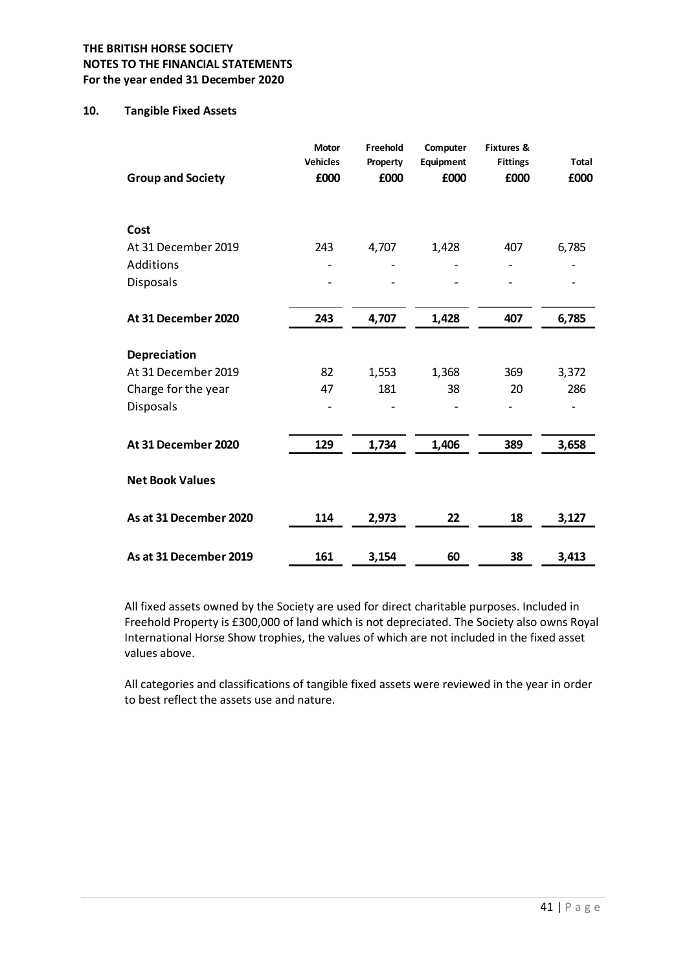#### 10. Tangible Fixed Assets

| <b>TISH HORSE SOCIETY</b>    |                                  |                              |                               |                                                  |                          |
|------------------------------|----------------------------------|------------------------------|-------------------------------|--------------------------------------------------|--------------------------|
| TO THE FINANCIAL STATEMENTS  |                                  |                              |                               |                                                  |                          |
| year ended 31 December 2020  |                                  |                              |                               |                                                  |                          |
| <b>Tangible Fixed Assets</b> |                                  |                              |                               |                                                  |                          |
| <b>Group and Society</b>     | Motor<br><b>Vehicles</b><br>£000 | Freehold<br>Property<br>£000 | Computer<br>Equipment<br>£000 | <b>Fixtures &amp;</b><br><b>Fittings</b><br>£000 | <b>Total</b><br>£000     |
|                              |                                  |                              |                               |                                                  |                          |
| Cost                         |                                  |                              |                               |                                                  |                          |
| At 31 December 2019          | 243                              | 4,707                        | 1,428                         | 407                                              | 6,785                    |
| Additions                    | ٠                                | $\overline{\phantom{a}}$     |                               | $\overline{\phantom{a}}$                         | $\overline{\phantom{0}}$ |
| Disposals                    |                                  |                              |                               |                                                  |                          |
| At 31 December 2020          | 243                              | 4,707                        | 1,428                         | 407                                              | 6,785                    |
| Depreciation                 |                                  |                              |                               |                                                  |                          |
| At 31 December 2019          | 82                               | 1,553                        | 1,368                         | 369                                              | 3,372                    |
| Charge for the year          | 47                               | 181                          | 38                            | 20                                               | 286                      |
| Disposals                    |                                  |                              |                               |                                                  |                          |
| At 31 December 2020          | 129                              | 1,734                        | 1,406                         | 389                                              | 3,658                    |
| <b>Net Book Values</b>       |                                  |                              |                               |                                                  |                          |
| As at 31 December 2020       | 114                              | 2,973                        | 22                            | 18                                               | 3,127                    |
| As at 31 December 2019       | 161                              | 3,154                        | 60                            | 38                                               | 3,413                    |

All fixed assets owned by the Society are used for direct charitable purposes. Included in Freehold Property is £300,000 of land which is not depreciated. The Society also owns Royal International Horse Show trophies, the values of which are not included in the fixed asset values above.

All categories and classifications of tangible fixed assets were reviewed in the year in order to best reflect the assets use and nature.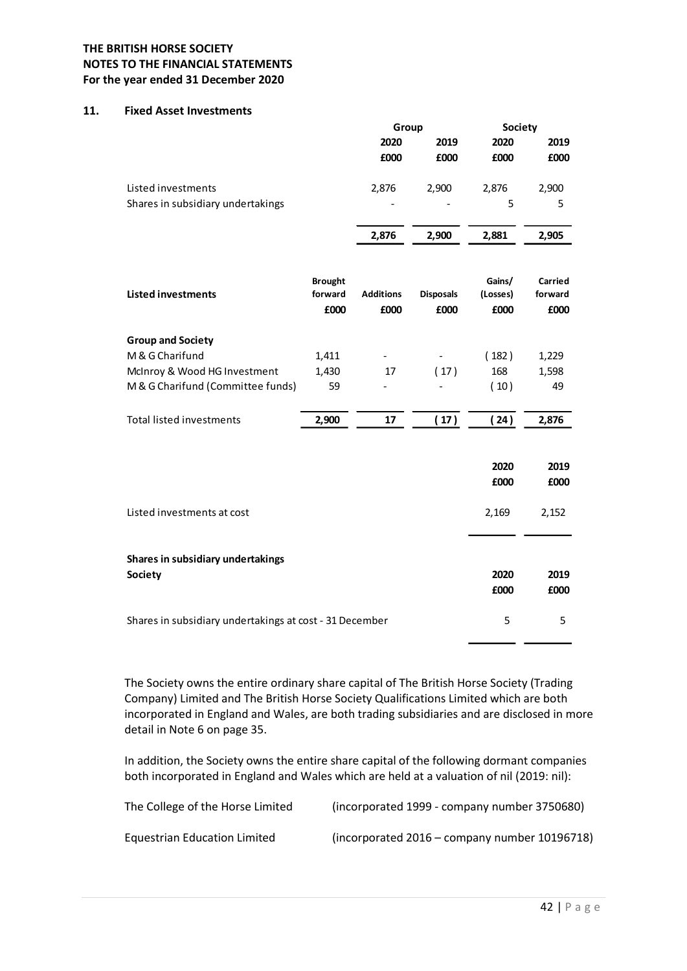#### 11. Fixed Asset Investments

|                                                                                                                           | Group                    |                          | <b>Society</b> |       |
|---------------------------------------------------------------------------------------------------------------------------|--------------------------|--------------------------|----------------|-------|
| <b>TISH HORSE SOCIETY</b><br>TO THE FINANCIAL STATEMENTS<br>year ended 31 December 2020<br><b>Fixed Asset Investments</b> | 2020                     | 2019                     | 2020           | 2019  |
|                                                                                                                           | £000                     | £000                     | £000           | £000  |
|                                                                                                                           | 2,876                    | 2,900                    | 2,876          | 2,900 |
| Listed investments<br>Shares in subsidiary undertakings                                                                   | $\overline{\phantom{a}}$ | $\overline{\phantom{a}}$ | 5              | 5     |

| <b>TISH HORSE SOCIETY</b><br>TO THE FINANCIAL STATEMENTS<br>year ended 31 December 2020 |                |                          |                          |          |         |
|-----------------------------------------------------------------------------------------|----------------|--------------------------|--------------------------|----------|---------|
| <b>Fixed Asset Investments</b>                                                          |                |                          |                          |          |         |
|                                                                                         |                | Group                    |                          | Society  |         |
|                                                                                         |                | 2020                     | 2019                     | 2020     | 2019    |
|                                                                                         |                | £000                     | £000                     | £000     | £000    |
| Listed investments                                                                      |                | 2,876                    | 2,900                    | 2,876    | 2,900   |
| Shares in subsidiary undertakings                                                       |                |                          |                          | 5        | 5       |
|                                                                                         |                |                          |                          |          |         |
|                                                                                         |                | 2,876                    | 2,900                    | 2,881    | 2,905   |
|                                                                                         | <b>Brought</b> |                          |                          | Gains/   | Carried |
| <b>Listed investments</b>                                                               | forward        | <b>Additions</b>         | <b>Disposals</b>         | (Losses) | forward |
|                                                                                         | £000           | £000                     | £000                     | £000     | £000    |
| <b>Group and Society</b>                                                                |                |                          |                          |          |         |
| M & G Charifund                                                                         | 1,411          | $\overline{\phantom{a}}$ | $\blacksquare$           | (182)    | 1,229   |
| McInroy & Wood HG Investment                                                            | 1,430          | $17$                     | (17)                     | 168      | 1,598   |
| M & G Charifund (Committee funds)                                                       | 59             | $\overline{\phantom{a}}$ | $\overline{\phantom{a}}$ | (10)     | 49      |
| Total listed investments                                                                | 2,900          | $17\,$                   | (17)                     | (24)     | 2,876   |
|                                                                                         |                |                          |                          |          |         |
|                                                                                         |                |                          |                          | 2020     | 2019    |
|                                                                                         |                |                          |                          | £000     | £000    |
| Listed investments at cost                                                              |                |                          |                          | 2,169    | 2,152   |
|                                                                                         |                |                          |                          |          |         |
| Shares in subsidiary undertakings                                                       |                |                          |                          |          |         |
| <b>Society</b>                                                                          |                |                          |                          | 2020     | 2019    |
|                                                                                         |                |                          |                          | £000     | £000    |
| Shares in subsidiary undertakings at cost - 31 December                                 |                |                          |                          | 5        | 5       |

The Society owns the entire ordinary share capital of The British Horse Society (Trading Company) Limited and The British Horse Society Qualifications Limited which are both incorporated in England and Wales, are both trading subsidiaries and are disclosed in more detail in Note 6 on page 35.

In addition, the Society owns the entire share capital of the following dormant companies both incorporated in England and Wales which are held at a valuation of nil (2019: nil):

| The College of the Horse Limited | (incorporated 1999 - company number 3750680)  |
|----------------------------------|-----------------------------------------------|
| Equestrian Education Limited     | (incorporated 2016 – company number 10196718) |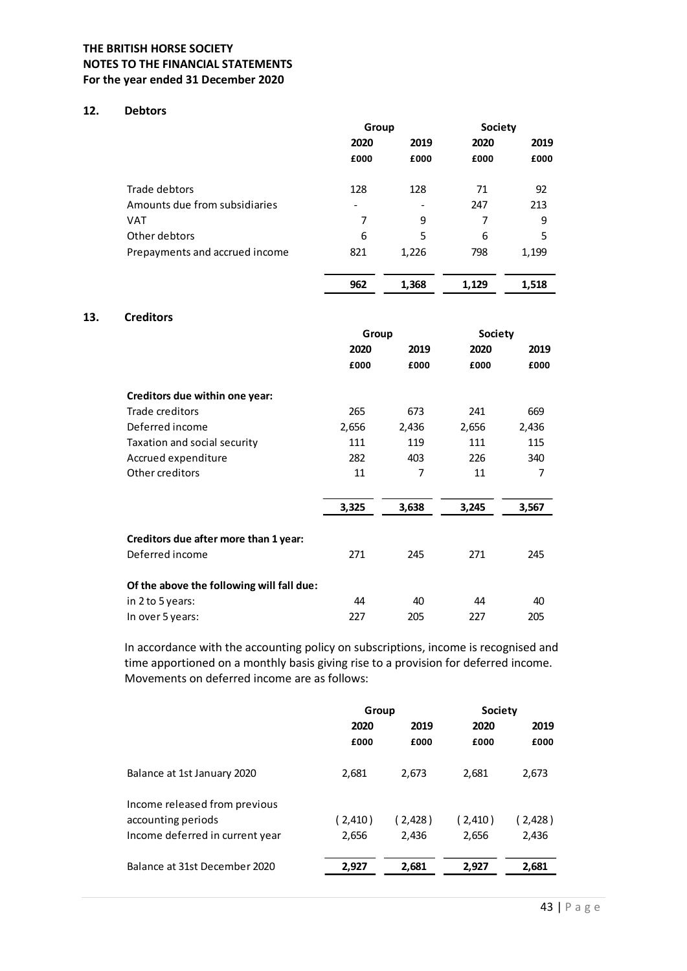## 12. Debtors

| <b>ITISH HORSE SOCIETY</b>     |                          |                |                  |       |  |
|--------------------------------|--------------------------|----------------|------------------|-------|--|
| TO THE FINANCIAL STATEMENTS    |                          |                |                  |       |  |
| year ended 31 December 2020    |                          |                |                  |       |  |
| <b>Debtors</b>                 |                          |                |                  |       |  |
|                                | Group                    |                | Society          |       |  |
|                                | 2020                     | 2019           | 2020             | 2019  |  |
|                                | £000                     | £000           | £000             | £000  |  |
|                                |                          |                |                  |       |  |
| Trade debtors                  | 128                      | 128            | 71               | 92    |  |
| Amounts due from subsidiaries  | $\overline{\phantom{a}}$ | $\blacksquare$ | 247              | 213   |  |
| <b>VAT</b>                     | $\overline{7}$           | 9              | $\overline{7}$   | 9     |  |
| Other debtors                  | 6                        | 5              | $\boldsymbol{6}$ | 5     |  |
| Prepayments and accrued income | 821                      | 1,226          | 798              | 1,199 |  |
|                                |                          |                |                  |       |  |
|                                | 962                      | 1,368          | 1,129            | 1,518 |  |
|                                |                          |                |                  |       |  |
| <b>Creditors</b>               |                          |                |                  |       |  |
|                                | Group                    |                | Society          |       |  |
|                                | 2020                     | 2019           | 2020             | 2019  |  |
|                                | £000                     | £000           | £000             | £000  |  |
| Creditors due within one year: |                          |                |                  |       |  |
|                                | 265                      | 673            | 241              | 669   |  |
| Trade creditors                |                          |                |                  |       |  |
| Deferred income                | 2,656                    | 2,436          | 2,656            | 2,436 |  |

#### 13. Creditors

|                                           | 962   | 1,368          | 1,129   | 1,518          |
|-------------------------------------------|-------|----------------|---------|----------------|
| <b>Creditors</b>                          |       |                |         |                |
|                                           | Group |                | Society |                |
|                                           | 2020  | 2019           | 2020    | 2019           |
|                                           | £000  | £000           | £000    | £000           |
| Creditors due within one year:            |       |                |         |                |
| Trade creditors                           | 265   | 673            | 241     | 669            |
| Deferred income                           | 2,656 | 2,436          | 2,656   | 2,436          |
| Taxation and social security              | 111   | 119            | 111     | 115            |
| Accrued expenditure                       | 282   | 403            | 226     | 340            |
| Other creditors                           | 11    | $\overline{7}$ | 11      | $\overline{7}$ |
|                                           | 3,325 | 3,638          | 3,245   | 3,567          |
| Creditors due after more than 1 year:     |       |                |         |                |
| Deferred income                           | 271   | 245            | 271     | 245            |
| Of the above the following will fall due: |       |                |         |                |
| in 2 to 5 years:                          | 44    | 40             | 44      | 40             |
| In over 5 years:                          | 227   | 205            | 227     | 205            |
|                                           |       |                |         |                |

In accordance with the accounting policy on subscriptions, income is recognised and time apportioned on a monthly basis giving rise to a provision for deferred income. Movements on deferred income are as follows:

|                                 | Group   |         | <b>Society</b> |         |  |
|---------------------------------|---------|---------|----------------|---------|--|
|                                 | 2020    | 2019    | 2020           | 2019    |  |
|                                 | £000    | £000    | £000           | £000    |  |
| Balance at 1st January 2020     | 2,681   | 2,673   | 2,681          | 2,673   |  |
| Income released from previous   |         |         |                |         |  |
| accounting periods              | (2,410) | (2,428) | (2,410)        | (2,428) |  |
| Income deferred in current year | 2,656   | 2,436   | 2,656          | 2,436   |  |
| Balance at 31st December 2020   | 2,927   | 2,681   | 2,927          | 2,681   |  |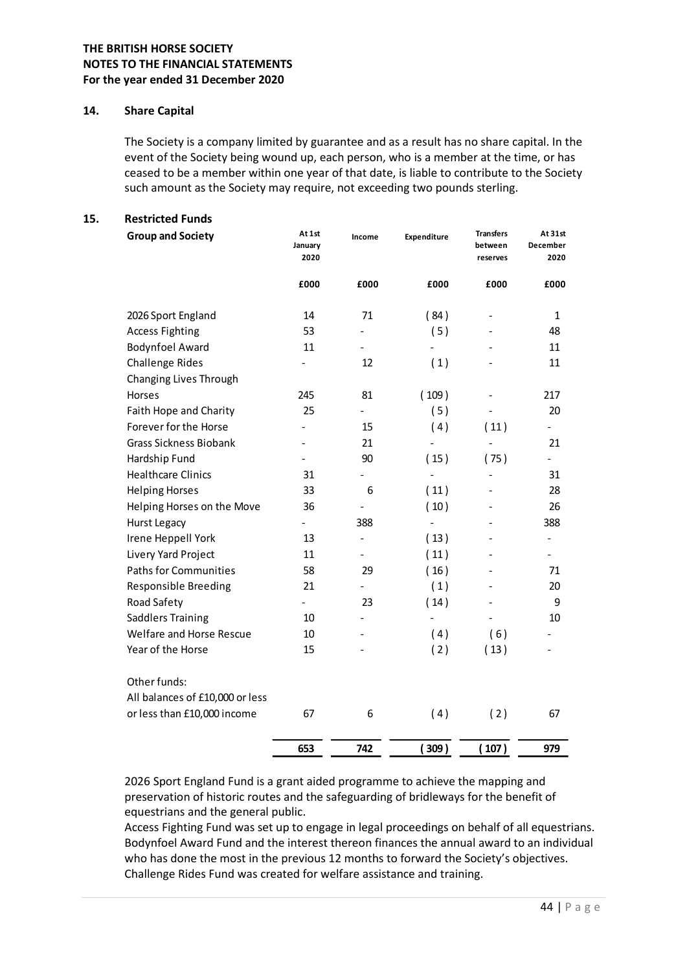#### 14. Share Capital

#### 15. Restricted Funds

| <b>Share Capital</b><br>The Society is a company limited by guarantee and as a result has no share capital. In the<br>event of the Society being wound up, each person, who is a member at the time, or has<br>ceased to be a member within one year of that date, is liable to contribute to the Society<br>such amount as the Society may require, not exceeding two pounds sterling. |                           |                          |                          |                                         |                             |
|-----------------------------------------------------------------------------------------------------------------------------------------------------------------------------------------------------------------------------------------------------------------------------------------------------------------------------------------------------------------------------------------|---------------------------|--------------------------|--------------------------|-----------------------------------------|-----------------------------|
|                                                                                                                                                                                                                                                                                                                                                                                         |                           |                          |                          |                                         |                             |
|                                                                                                                                                                                                                                                                                                                                                                                         |                           |                          |                          |                                         |                             |
| <b>Restricted Funds</b><br><b>Group and Society</b>                                                                                                                                                                                                                                                                                                                                     | At 1st<br>January<br>2020 | Income                   | Expenditure              | <b>Transfers</b><br>between<br>reserves | At 31st<br>December<br>2020 |
|                                                                                                                                                                                                                                                                                                                                                                                         | £000                      | £000                     | £000                     | £000                                    | £000                        |
| 2026 Sport England                                                                                                                                                                                                                                                                                                                                                                      | 14                        | 71                       | (84)                     |                                         | 1                           |
| <b>Access Fighting</b>                                                                                                                                                                                                                                                                                                                                                                  | 53                        | $\overline{\phantom{a}}$ | (5)                      | $\blacksquare$                          | 48                          |
| <b>Bodynfoel Award</b>                                                                                                                                                                                                                                                                                                                                                                  | 11                        |                          | $\blacksquare$           |                                         | 11                          |
| <b>Challenge Rides</b>                                                                                                                                                                                                                                                                                                                                                                  |                           | 12                       | (1)                      | $\overline{a}$                          | 11                          |
| Changing Lives Through                                                                                                                                                                                                                                                                                                                                                                  |                           |                          |                          |                                         |                             |
| Horses                                                                                                                                                                                                                                                                                                                                                                                  | 245                       | 81                       | (109)                    | $\overline{a}$                          | 217                         |
| Faith Hope and Charity                                                                                                                                                                                                                                                                                                                                                                  | 25                        | $\blacksquare$           | (5)                      | $\blacksquare$                          | 20                          |
| Forever for the Horse                                                                                                                                                                                                                                                                                                                                                                   | $\blacksquare$            | 15                       | (4)                      | (11)                                    | $\blacksquare$              |
| <b>Grass Sickness Biobank</b>                                                                                                                                                                                                                                                                                                                                                           |                           | 21                       | $\overline{\phantom{a}}$ | $\blacksquare$                          | 21                          |
| Hardship Fund                                                                                                                                                                                                                                                                                                                                                                           | $\overline{\phantom{a}}$  | 90                       | (15)                     | (75)                                    |                             |
| <b>Healthcare Clinics</b>                                                                                                                                                                                                                                                                                                                                                               | 31                        | $\overline{\phantom{m}}$ | $\blacksquare$           | -                                       | 31                          |
| <b>Helping Horses</b>                                                                                                                                                                                                                                                                                                                                                                   | 33                        | 6                        | (11)                     | $\overline{\phantom{a}}$                | 28                          |
| Helping Horses on the Move                                                                                                                                                                                                                                                                                                                                                              | 36                        |                          | (10)                     |                                         | 26                          |
| Hurst Legacy                                                                                                                                                                                                                                                                                                                                                                            | $\sim$                    | 388                      | $\overline{\phantom{a}}$ |                                         | 388                         |
| Irene Heppell York                                                                                                                                                                                                                                                                                                                                                                      | 13                        | ۰                        | (13)                     |                                         | $\blacksquare$              |
| Livery Yard Project                                                                                                                                                                                                                                                                                                                                                                     | 11                        |                          | (11)                     |                                         |                             |
| <b>Paths for Communities</b>                                                                                                                                                                                                                                                                                                                                                            | 58                        | 29                       | (16)                     |                                         | $71\,$                      |
| Responsible Breeding                                                                                                                                                                                                                                                                                                                                                                    | 21                        |                          | (1)                      |                                         | 20                          |
| Road Safety                                                                                                                                                                                                                                                                                                                                                                             |                           | 23                       | (14)                     |                                         | 9                           |
| <b>Saddlers Training</b>                                                                                                                                                                                                                                                                                                                                                                | 10                        |                          |                          | $\blacksquare$                          | $10\,$                      |
| Welfare and Horse Rescue                                                                                                                                                                                                                                                                                                                                                                | $10\,$                    | $\overline{\phantom{a}}$ | (4)                      | (6)                                     |                             |
| Year of the Horse                                                                                                                                                                                                                                                                                                                                                                       | 15                        | $\overline{\phantom{m}}$ | (2)                      | (13)                                    |                             |
| Other funds:                                                                                                                                                                                                                                                                                                                                                                            |                           |                          |                          |                                         |                             |
| All balances of £10,000 or less                                                                                                                                                                                                                                                                                                                                                         |                           |                          |                          |                                         |                             |
| or less than £10,000 income                                                                                                                                                                                                                                                                                                                                                             | 67                        | 6                        | (4)                      | (2)                                     | 67                          |
|                                                                                                                                                                                                                                                                                                                                                                                         | 653                       |                          |                          |                                         |                             |

Access Fighting Fund was set up to engage in legal proceedings on behalf of all equestrians. Bodynfoel Award Fund and the interest thereon finances the annual award to an individual who has done the most in the previous 12 months to forward the Society's objectives. Challenge Rides Fund was created for welfare assistance and training.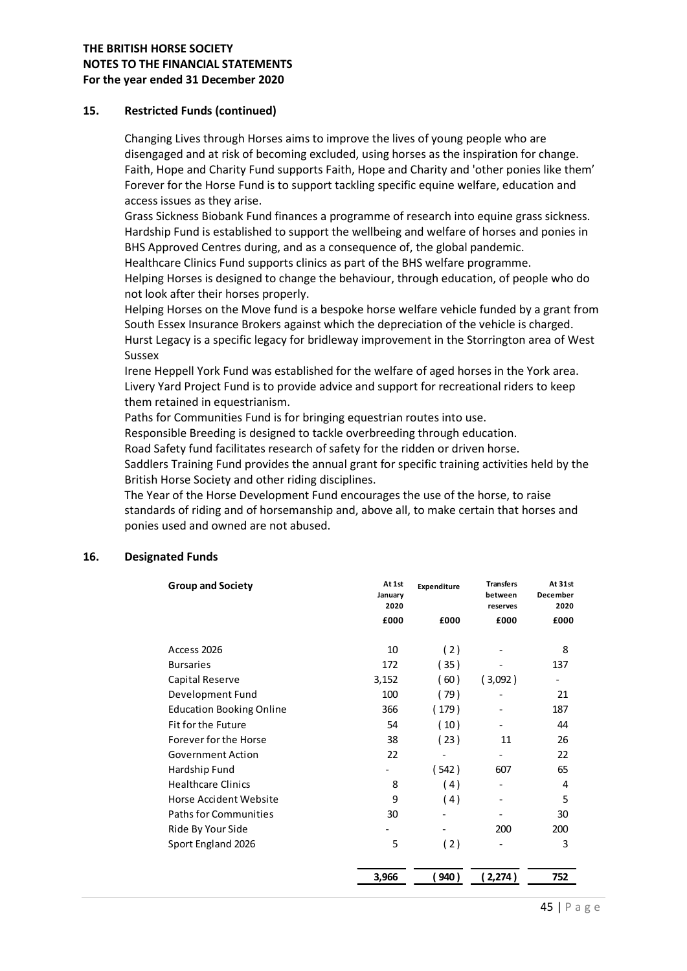#### 15. Restricted Funds (continued)

Changing Lives through Horses aims to improve the lives of young people who are disengaged and at risk of becoming excluded, using horses as the inspiration for change. Faith, Hope and Charity Fund supports Faith, Hope and Charity and 'other ponies like them' Forever for the Horse Fund is to support tackling specific equine welfare, education and access issues as they arise.

Grass Sickness Biobank Fund finances a programme of research into equine grass sickness. Hardship Fund is established to support the wellbeing and welfare of horses and ponies in BHS Approved Centres during, and as a consequence of, the global pandemic.

Healthcare Clinics Fund supports clinics as part of the BHS welfare programme. Helping Horses is designed to change the behaviour, through education, of people who do not look after their horses properly.

Helping Horses on the Move fund is a bespoke horse welfare vehicle funded by a grant from South Essex Insurance Brokers against which the depreciation of the vehicle is charged. Hurst Legacy is a specific legacy for bridleway improvement in the Storrington area of West Sussex

Irene Heppell York Fund was established for the welfare of aged horses in the York area. Livery Yard Project Fund is to provide advice and support for recreational riders to keep them retained in equestrianism.

Paths for Communities Fund is for bringing equestrian routes into use.

Responsible Breeding is designed to tackle overbreeding through education.

Road Safety fund facilitates research of safety for the ridden or driven horse.

Saddlers Training Fund provides the annual grant for specific training activities held by the British Horse Society and other riding disciplines.

The Year of the Horse Development Fund encourages the use of the horse, to raise standards of riding and of horsemanship and, above all, to make certain that horses and ponies used and owned are not abused.

#### 16. Designated Funds

| egacy is a specific legacy for bridleway improvement in the Storrington area of West                                                                                                                                                                                                                                                                                                                                                                                                                                                                                                                                                                                                                                                                                    |                          |                          |                          |                  |  |
|-------------------------------------------------------------------------------------------------------------------------------------------------------------------------------------------------------------------------------------------------------------------------------------------------------------------------------------------------------------------------------------------------------------------------------------------------------------------------------------------------------------------------------------------------------------------------------------------------------------------------------------------------------------------------------------------------------------------------------------------------------------------------|--------------------------|--------------------------|--------------------------|------------------|--|
| eppell York Fund was established for the welfare of aged horses in the York area.<br>ard Project Fund is to provide advice and support for recreational riders to keep<br>tained in equestrianism.<br>or Communities Fund is for bringing equestrian routes into use.<br>sible Breeding is designed to tackle overbreeding through education.<br>ifety fund facilitates research of safety for the ridden or driven horse.<br>s Training Fund provides the annual grant for specific training activities held by the<br>Horse Society and other riding disciplines.<br>Ir of the Horse Development Fund encourages the use of the horse, to raise<br>ds of riding and of horsemanship and, above all, to make certain that horses and<br>used and owned are not abused. |                          |                          |                          |                  |  |
| <b>ited Funds</b><br><b>Group and Society</b>                                                                                                                                                                                                                                                                                                                                                                                                                                                                                                                                                                                                                                                                                                                           | At 1st                   | Expenditure              | <b>Transfers</b>         | At 31st          |  |
|                                                                                                                                                                                                                                                                                                                                                                                                                                                                                                                                                                                                                                                                                                                                                                         | January<br>2020          |                          | between<br>reserves      | December<br>2020 |  |
|                                                                                                                                                                                                                                                                                                                                                                                                                                                                                                                                                                                                                                                                                                                                                                         | £000                     | £000                     | £000                     | £000             |  |
| Access 2026                                                                                                                                                                                                                                                                                                                                                                                                                                                                                                                                                                                                                                                                                                                                                             | 10                       | (2)                      |                          | 8                |  |
| <b>Bursaries</b>                                                                                                                                                                                                                                                                                                                                                                                                                                                                                                                                                                                                                                                                                                                                                        | 172                      | (35)                     | -                        | 137              |  |
| Capital Reserve                                                                                                                                                                                                                                                                                                                                                                                                                                                                                                                                                                                                                                                                                                                                                         | 3,152                    | (60)                     | (3,092)                  |                  |  |
| Development Fund                                                                                                                                                                                                                                                                                                                                                                                                                                                                                                                                                                                                                                                                                                                                                        | 100                      | (79)                     |                          | 21               |  |
| <b>Education Booking Online</b>                                                                                                                                                                                                                                                                                                                                                                                                                                                                                                                                                                                                                                                                                                                                         | 366                      | (179)                    |                          | 187              |  |
| Fit for the Future                                                                                                                                                                                                                                                                                                                                                                                                                                                                                                                                                                                                                                                                                                                                                      | 54                       | (10)                     |                          | 44               |  |
| Forever for the Horse                                                                                                                                                                                                                                                                                                                                                                                                                                                                                                                                                                                                                                                                                                                                                   | 38                       | (23)                     | 11                       | 26               |  |
| <b>Government Action</b>                                                                                                                                                                                                                                                                                                                                                                                                                                                                                                                                                                                                                                                                                                                                                | 22                       | $\overline{\phantom{a}}$ | $\sim$                   | 22               |  |
| Hardship Fund                                                                                                                                                                                                                                                                                                                                                                                                                                                                                                                                                                                                                                                                                                                                                           | $\overline{\phantom{0}}$ | (542)                    | 607                      | 65               |  |
| <b>Healthcare Clinics</b>                                                                                                                                                                                                                                                                                                                                                                                                                                                                                                                                                                                                                                                                                                                                               | 8                        | (4)                      | $\overline{\phantom{a}}$ | 4                |  |
| Horse Accident Website                                                                                                                                                                                                                                                                                                                                                                                                                                                                                                                                                                                                                                                                                                                                                  | 9                        | (4)                      |                          | 5                |  |
| Paths for Communities                                                                                                                                                                                                                                                                                                                                                                                                                                                                                                                                                                                                                                                                                                                                                   | 30                       |                          | $\overline{\phantom{a}}$ | 30               |  |
| Ride By Your Side                                                                                                                                                                                                                                                                                                                                                                                                                                                                                                                                                                                                                                                                                                                                                       |                          |                          | 200                      | 200              |  |
| Sport England 2026                                                                                                                                                                                                                                                                                                                                                                                                                                                                                                                                                                                                                                                                                                                                                      | 5                        | (2)                      |                          | 3                |  |
|                                                                                                                                                                                                                                                                                                                                                                                                                                                                                                                                                                                                                                                                                                                                                                         | 3,966                    | (940)                    | (2,274)                  | 752              |  |
|                                                                                                                                                                                                                                                                                                                                                                                                                                                                                                                                                                                                                                                                                                                                                                         |                          |                          |                          |                  |  |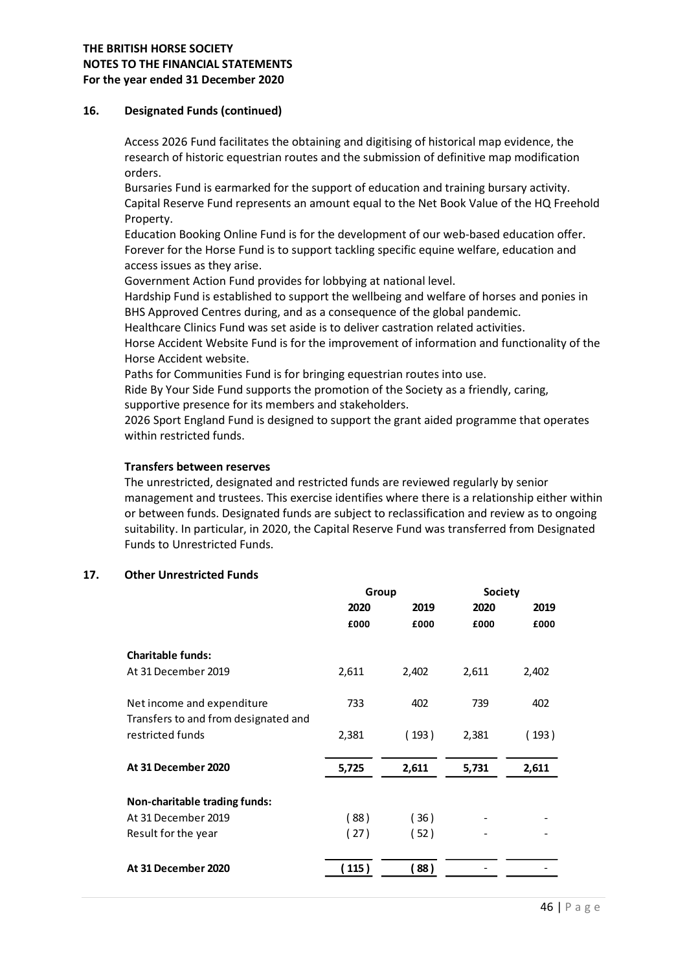#### 16. Designated Funds (continued)

Access 2026 Fund facilitates the obtaining and digitising of historical map evidence, the research of historic equestrian routes and the submission of definitive map modification orders.

Bursaries Fund is earmarked for the support of education and training bursary activity. Capital Reserve Fund represents an amount equal to the Net Book Value of the HQ Freehold Property.

Education Booking Online Fund is for the development of our web-based education offer. Forever for the Horse Fund is to support tackling specific equine welfare, education and access issues as they arise.

Government Action Fund provides for lobbying at national level.

Hardship Fund is established to support the wellbeing and welfare of horses and ponies in BHS Approved Centres during, and as a consequence of the global pandemic.

#### Transfers between reserves

## 17. Other Unrestricted Funds

| Group<br><b>Society</b><br>2020<br>2019<br>2020<br>2019<br>£000<br>£000<br>£000<br>£000<br>2,611<br>2,402<br>2,611<br>2,402<br>402<br>733<br>402<br>739<br>2,381<br>(193)<br>2,381<br>(193)<br>5,725<br>5,731<br>2,611<br>2,611 | Healthcare Clinics Fund was set aside is to deliver castration related activities.<br>Horse Accident Website Fund is for the improvement of information and functionality of the<br>Horse Accident website.<br>Paths for Communities Fund is for bringing equestrian routes into use.<br>Ride By Your Side Fund supports the promotion of the Society as a friendly, caring,<br>supportive presence for its members and stakeholders.<br>2026 Sport England Fund is designed to support the grant aided programme that operates<br>within restricted funds.<br><b>Transfers between reserves</b><br>The unrestricted, designated and restricted funds are reviewed regularly by senior<br>management and trustees. This exercise identifies where there is a relationship either within<br>or between funds. Designated funds are subject to reclassification and review as to ongoing<br>suitability. In particular, in 2020, the Capital Reserve Fund was transferred from Designated<br>Funds to Unrestricted Funds. |  |  |  |
|---------------------------------------------------------------------------------------------------------------------------------------------------------------------------------------------------------------------------------|-------------------------------------------------------------------------------------------------------------------------------------------------------------------------------------------------------------------------------------------------------------------------------------------------------------------------------------------------------------------------------------------------------------------------------------------------------------------------------------------------------------------------------------------------------------------------------------------------------------------------------------------------------------------------------------------------------------------------------------------------------------------------------------------------------------------------------------------------------------------------------------------------------------------------------------------------------------------------------------------------------------------------|--|--|--|
| <b>Charitable funds:</b><br>At 31 December 2019<br>Net income and expenditure<br>Transfers to and from designated and<br>restricted funds<br>At 31 December 2020                                                                | <b>Other Unrestricted Funds</b>                                                                                                                                                                                                                                                                                                                                                                                                                                                                                                                                                                                                                                                                                                                                                                                                                                                                                                                                                                                         |  |  |  |
|                                                                                                                                                                                                                                 |                                                                                                                                                                                                                                                                                                                                                                                                                                                                                                                                                                                                                                                                                                                                                                                                                                                                                                                                                                                                                         |  |  |  |
|                                                                                                                                                                                                                                 |                                                                                                                                                                                                                                                                                                                                                                                                                                                                                                                                                                                                                                                                                                                                                                                                                                                                                                                                                                                                                         |  |  |  |
|                                                                                                                                                                                                                                 |                                                                                                                                                                                                                                                                                                                                                                                                                                                                                                                                                                                                                                                                                                                                                                                                                                                                                                                                                                                                                         |  |  |  |
|                                                                                                                                                                                                                                 |                                                                                                                                                                                                                                                                                                                                                                                                                                                                                                                                                                                                                                                                                                                                                                                                                                                                                                                                                                                                                         |  |  |  |
|                                                                                                                                                                                                                                 |                                                                                                                                                                                                                                                                                                                                                                                                                                                                                                                                                                                                                                                                                                                                                                                                                                                                                                                                                                                                                         |  |  |  |
|                                                                                                                                                                                                                                 |                                                                                                                                                                                                                                                                                                                                                                                                                                                                                                                                                                                                                                                                                                                                                                                                                                                                                                                                                                                                                         |  |  |  |
|                                                                                                                                                                                                                                 |                                                                                                                                                                                                                                                                                                                                                                                                                                                                                                                                                                                                                                                                                                                                                                                                                                                                                                                                                                                                                         |  |  |  |
|                                                                                                                                                                                                                                 |                                                                                                                                                                                                                                                                                                                                                                                                                                                                                                                                                                                                                                                                                                                                                                                                                                                                                                                                                                                                                         |  |  |  |
|                                                                                                                                                                                                                                 |                                                                                                                                                                                                                                                                                                                                                                                                                                                                                                                                                                                                                                                                                                                                                                                                                                                                                                                                                                                                                         |  |  |  |
|                                                                                                                                                                                                                                 | Non-charitable trading funds:                                                                                                                                                                                                                                                                                                                                                                                                                                                                                                                                                                                                                                                                                                                                                                                                                                                                                                                                                                                           |  |  |  |
| At 31 December 2019<br>(88)<br>(36)                                                                                                                                                                                             |                                                                                                                                                                                                                                                                                                                                                                                                                                                                                                                                                                                                                                                                                                                                                                                                                                                                                                                                                                                                                         |  |  |  |
| (27)<br>(52)<br>Result for the year                                                                                                                                                                                             |                                                                                                                                                                                                                                                                                                                                                                                                                                                                                                                                                                                                                                                                                                                                                                                                                                                                                                                                                                                                                         |  |  |  |
| At 31 December 2020<br>(88)                                                                                                                                                                                                     |                                                                                                                                                                                                                                                                                                                                                                                                                                                                                                                                                                                                                                                                                                                                                                                                                                                                                                                                                                                                                         |  |  |  |
| (115)                                                                                                                                                                                                                           |                                                                                                                                                                                                                                                                                                                                                                                                                                                                                                                                                                                                                                                                                                                                                                                                                                                                                                                                                                                                                         |  |  |  |
| 46   Page                                                                                                                                                                                                                       |                                                                                                                                                                                                                                                                                                                                                                                                                                                                                                                                                                                                                                                                                                                                                                                                                                                                                                                                                                                                                         |  |  |  |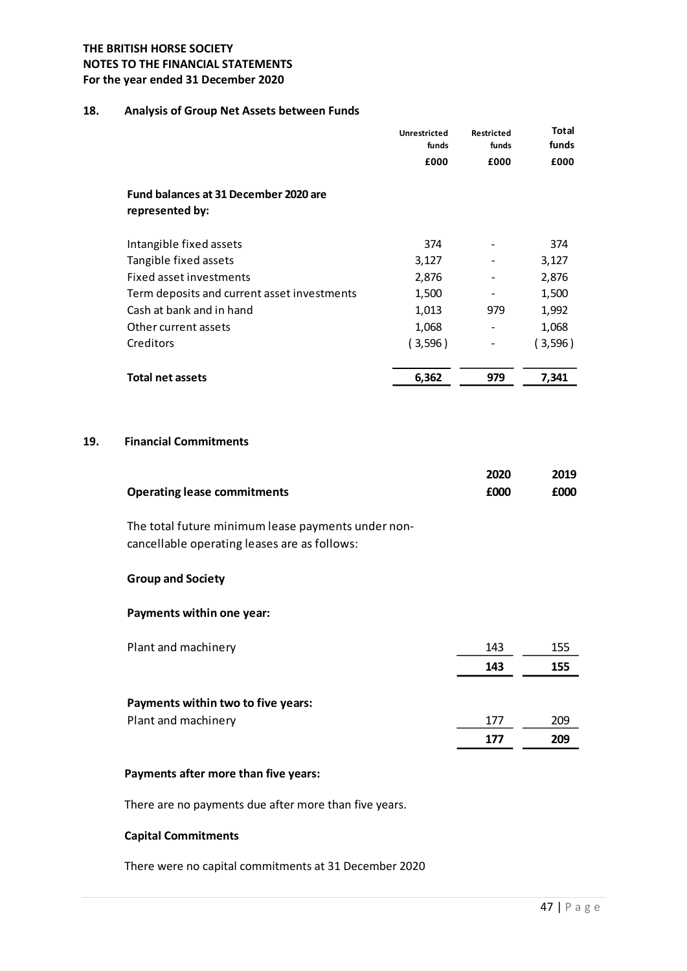## 18. Analysis of Group Net Assets between Funds

| <b>ITISH HORSE SOCIETY</b>                         |                     |                          |              |
|----------------------------------------------------|---------------------|--------------------------|--------------|
| TO THE FINANCIAL STATEMENTS                        |                     |                          |              |
| year ended 31 December 2020                        |                     |                          |              |
|                                                    |                     |                          |              |
| Analysis of Group Net Assets between Funds         |                     |                          |              |
|                                                    | <b>Unrestricted</b> | Restricted               | <b>Total</b> |
|                                                    | funds               | funds                    | funds        |
|                                                    | £000                | £000                     | £000         |
| Fund balances at 31 December 2020 are              |                     |                          |              |
| represented by:                                    |                     |                          |              |
|                                                    |                     |                          |              |
| Intangible fixed assets                            | 374                 |                          | 374          |
| Tangible fixed assets                              | 3,127               | $\overline{\phantom{a}}$ | 3,127        |
| Fixed asset investments                            | 2,876               | $\overline{\phantom{a}}$ | 2,876        |
| Term deposits and current asset investments        | 1,500               | $\overline{\phantom{a}}$ | 1,500        |
| Cash at bank and in hand                           | 1,013               | 979                      | 1,992        |
| Other current assets                               | 1,068               | $\blacksquare$           | 1,068        |
| Creditors                                          | (3,596)             | $\overline{\phantom{a}}$ | (3,596)      |
|                                                    |                     |                          |              |
| <b>Total net assets</b>                            | 6,362               | 979                      | 7,341        |
|                                                    |                     |                          |              |
|                                                    |                     |                          |              |
| <b>Financial Commitments</b>                       |                     |                          |              |
|                                                    |                     |                          |              |
|                                                    |                     | 2020                     | 2019         |
| <b>Operating lease commitments</b>                 |                     | £000                     | £000         |
| The total future minimum lease payments under non- |                     |                          |              |
| cancellable operating leases are as follows:       |                     |                          |              |
|                                                    |                     |                          |              |
|                                                    |                     |                          |              |

#### 19. Financial Commitments

|                                    | 2020 | 2019 |
|------------------------------------|------|------|
| <b>Operating lease commitments</b> | £000 | £000 |

## Group and Society

#### Payments within one year:

| Plant and machinery                | 143 | 155 |
|------------------------------------|-----|-----|
|                                    | 143 | 155 |
| Payments within two to five years: |     |     |
| Plant and machinery                | 177 | 209 |
|                                    | 177 | 209 |

#### Payments after more than five years:

There are no payments due after more than five years.

#### Capital Commitments

There were no capital commitments at 31 December 2020